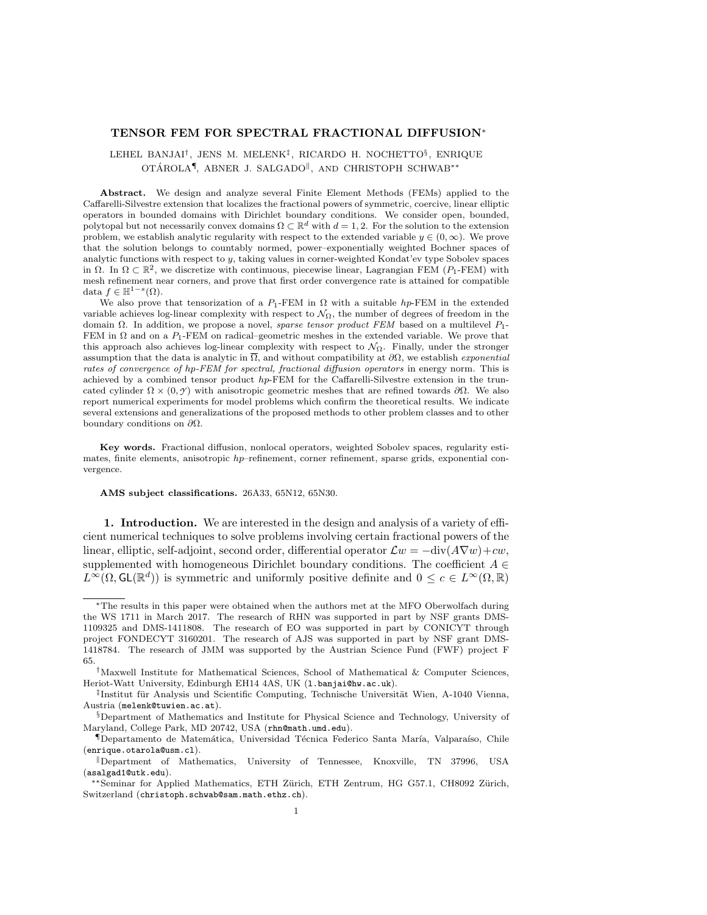# TENSOR FEM FOR SPECTRAL FRACTIONAL DIFFUSION<sup>∗</sup>

# LEHEL BANJAI<sup>†</sup>, JENS M. MELENK<sup>‡</sup>, RICARDO H. NOCHETTO<sup>§</sup>, ENRIQUE OTÁROLA<sup>¶</sup>, ABNER J. SALGADO<sup>||</sup>, AND CHRISTOPH SCHWAB<sup>\*\*</sup>

Abstract. We design and analyze several Finite Element Methods (FEMs) applied to the Caffarelli-Silvestre extension that localizes the fractional powers of symmetric, coercive, linear elliptic operators in bounded domains with Dirichlet boundary conditions. We consider open, bounded, polytopal but not necessarily convex domains  $\Omega \subset \mathbb{R}^d$  with  $d = 1, 2$ . For the solution to the extension problem, we establish analytic regularity with respect to the extended variable  $y \in (0,\infty)$ . We prove that the solution belongs to countably normed, power–exponentially weighted Bochner spaces of analytic functions with respect to y, taking values in corner-weighted Kondat'ev type Sobolev spaces in  $\Omega$ . In  $\Omega \subset \mathbb{R}^2$ , we discretize with continuous, piecewise linear, Lagrangian FEM (P<sub>1</sub>-FEM) with mesh refinement near corners, and prove that first order convergence rate is attained for compatible data  $f \in \mathbb{H}^{1-s}(\Omega)$ .

We also prove that tensorization of a  $P_1$ -FEM in  $\Omega$  with a suitable hp-FEM in the extended variable achieves log-linear complexity with respect to  $\mathcal{N}_{\Omega}$ , the number of degrees of freedom in the domain Ω. In addition, we propose a novel, *sparse tensor product FEM* based on a multilevel  $P_1$ -FEM in  $\Omega$  and on a  $P_1$ -FEM on radical–geometric meshes in the extended variable. We prove that this approach also achieves log-linear complexity with respect to  $\mathcal{N}_{\Omega}$ . Finally, under the stronger assumption that the data is analytic in  $\overline{\Omega}$ , and without compatibility at  $\partial\Omega$ , we establish *exponential* rates of convergence of hp-FEM for spectral, fractional diffusion operators in energy norm. This is achieved by a combined tensor product hp-FEM for the Caffarelli-Silvestre extension in the truncated cylinder  $\Omega \times (0, \gamma)$  with anisotropic geometric meshes that are refined towards  $\partial \Omega$ . We also report numerical experiments for model problems which confirm the theoretical results. We indicate several extensions and generalizations of the proposed methods to other problem classes and to other boundary conditions on  $\partial\Omega$ .

Key words. Fractional diffusion, nonlocal operators, weighted Sobolev spaces, regularity estimates, finite elements, anisotropic  $hp$ –refinement, corner refinement, sparse grids, exponential convergence.

## AMS subject classifications. 26A33, 65N12, 65N30.

1. Introduction. We are interested in the design and analysis of a variety of efficient numerical techniques to solve problems involving certain fractional powers of the linear, elliptic, self-adjoint, second order, differential operator  $\mathcal{L}w = -\text{div}(A\nabla w)+cw$ , supplemented with homogeneous Dirichlet boundary conditions. The coefficient  $A \in$  $L^{\infty}(\Omega, \mathsf{GL}(\mathbb{R}^d))$  is symmetric and uniformly positive definite and  $0 \leq c \in L^{\infty}(\Omega, \mathbb{R})$ 

<sup>∗</sup>The results in this paper were obtained when the authors met at the MFO Oberwolfach during the WS 1711 in March 2017. The research of RHN was supported in part by NSF grants DMS-1109325 and DMS-1411808. The research of EO was supported in part by CONICYT through project FONDECYT 3160201. The research of AJS was supported in part by NSF grant DMS-1418784. The research of JMM was supported by the Austrian Science Fund (FWF) project F 65.

<sup>†</sup>Maxwell Institute for Mathematical Sciences, School of Mathematical & Computer Sciences, Heriot-Watt University, Edinburgh EH14 4AS, UK (l.banjai@hw.ac.uk).

<sup>&</sup>lt;sup>‡</sup>Institut für Analysis und Scientific Computing, Technische Universität Wien, A-1040 Vienna, Austria (melenk@tuwien.ac.at).

<sup>§</sup>Department of Mathematics and Institute for Physical Science and Technology, University of Maryland, College Park, MD 20742, USA (rhn@math.umd.edu).

<sup>&</sup>lt;sup>¶</sup>Departamento de Matemática, Universidad Técnica Federico Santa María, Valparaíso, Chile (enrique.otarola@usm.cl).

<sup>k</sup>Department of Mathematics, University of Tennessee, Knoxville, TN 37996, USA (asalgad1@utk.edu).

<sup>\*\*</sup>Seminar for Applied Mathematics, ETH Zürich, ETH Zentrum, HG G57.1, CH8092 Zürich, Switzerland (christoph.schwab@sam.math.ethz.ch).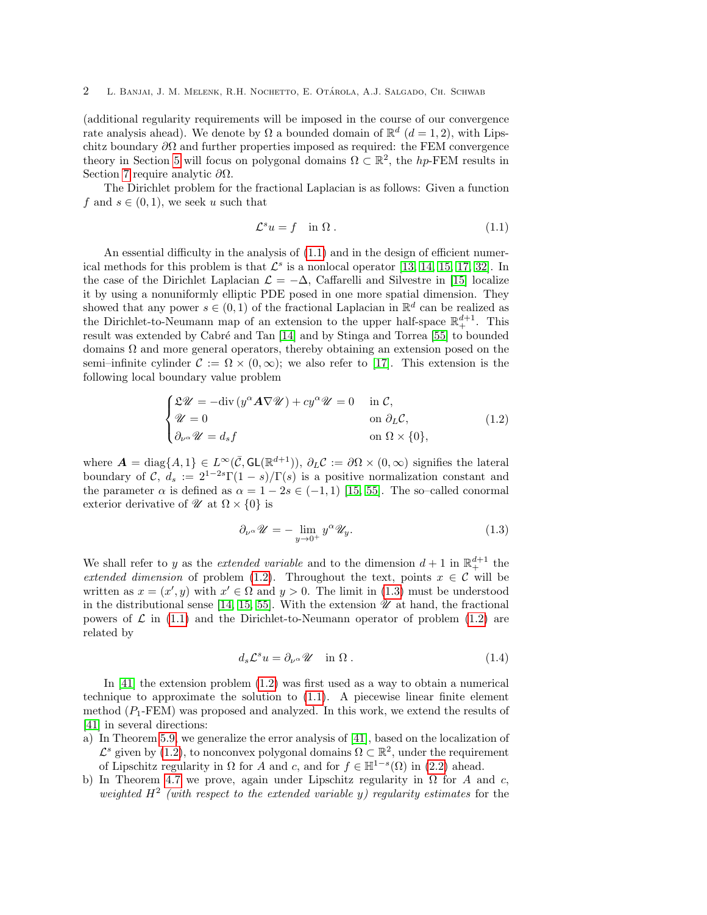(additional regularity requirements will be imposed in the course of our convergence rate analysis ahead). We denote by  $\Omega$  a bounded domain of  $\mathbb{R}^d$   $(d = 1, 2)$ , with Lipschitz boundary  $\partial\Omega$  and further properties imposed as required: the FEM convergence theory in Section [5](#page-11-0) will focus on polygonal domains  $\Omega \subset \mathbb{R}^2$ , the hp-FEM results in Section [7](#page-26-0) require analytic  $\partial Ω$ .

The Dirichlet problem for the fractional Laplacian is as follows: Given a function f and  $s \in (0, 1)$ , we seek u such that

<span id="page-1-0"></span>
$$
\mathcal{L}^s u = f \quad \text{in } \Omega \,. \tag{1.1}
$$

An essential difficulty in the analysis of [\(1.1\)](#page-1-0) and in the design of efficient numerical methods for this problem is that  $\mathcal{L}^s$  is a nonlocal operator [\[13,](#page-42-0) [14,](#page-42-1) [15,](#page-42-2) [17,](#page-42-3) [32\]](#page-42-4). In the case of the Dirichlet Laplacian  $\mathcal{L} = -\Delta$ , Caffarelli and Silvestre in [\[15\]](#page-42-2) localize it by using a nonuniformly elliptic PDE posed in one more spatial dimension. They showed that any power  $s \in (0, 1)$  of the fractional Laplacian in  $\mathbb{R}^d$  can be realized as the Dirichlet-to-Neumann map of an extension to the upper half-space  $\mathbb{R}^{d+1}_+$ . This result was extended by Cabré and Tan [\[14\]](#page-42-1) and by Stinga and Torrea [\[55\]](#page-43-0) to bounded domains  $\Omega$  and more general operators, thereby obtaining an extension posed on the semi–infinite cylinder  $\mathcal{C} := \Omega \times (0, \infty)$ ; we also refer to [\[17\]](#page-42-3). This extension is the following local boundary value problem

<span id="page-1-1"></span>
$$
\begin{cases}\n\mathfrak{L}\mathscr{U} = -\text{div}\left(y^{\alpha}A\nabla\mathscr{U}\right) + cy^{\alpha}\mathscr{U} = 0 & \text{in } \mathcal{C}, \\
\mathscr{U} = 0 & \text{on } \partial_{L}\mathcal{C}, \\
\partial_{\nu^{\alpha}}\mathscr{U} = d_{s}f & \text{on } \Omega \times \{0\},\n\end{cases}
$$
\n(1.2)

where  $\mathbf{A} = \text{diag}\{A, 1\} \in L^{\infty}(\bar{\mathcal{C}}, GL(\mathbb{R}^{d+1})), \partial_L \mathcal{C} := \partial \Omega \times (0, \infty)$  signifies the lateral boundary of C,  $d_s := 2^{1-2s}\Gamma(1-s)/\Gamma(s)$  is a positive normalization constant and the parameter  $\alpha$  is defined as  $\alpha = 1 - 2s \in (-1, 1)$  [\[15,](#page-42-2) [55\]](#page-43-0). The so–called conormal exterior derivative of  $\mathcal{U}$  at  $\Omega \times \{0\}$  is

<span id="page-1-2"></span>
$$
\partial_{\nu^{\alpha}} \mathscr{U} = -\lim_{y \to 0^{+}} y^{\alpha} \mathscr{U}_{y}.
$$
\n(1.3)

We shall refer to y as the *extended variable* and to the dimension  $d+1$  in  $\mathbb{R}^{d+1}_+$  the extended dimension of problem [\(1.2\)](#page-1-1). Throughout the text, points  $x \in \mathcal{C}$  will be written as  $x = (x', y)$  with  $x' \in \Omega$  and  $y > 0$ . The limit in [\(1.3\)](#page-1-2) must be understood in the distributional sense [\[14,](#page-42-1) [15,](#page-42-2) [55\]](#page-43-0). With the extension  $\mathscr U$  at hand, the fractional powers of  $\mathcal L$  in [\(1.1\)](#page-1-0) and the Dirichlet-to-Neumann operator of problem [\(1.2\)](#page-1-1) are related by

$$
d_s \mathcal{L}^s u = \partial_{\nu^\alpha} \mathcal{U} \quad \text{in } \Omega . \tag{1.4}
$$

In [\[41\]](#page-43-1) the extension problem [\(1.2\)](#page-1-1) was first used as a way to obtain a numerical technique to approximate the solution to [\(1.1\)](#page-1-0). A piecewise linear finite element method  $(P_1$ -FEM) was proposed and analyzed. In this work, we extend the results of [\[41\]](#page-43-1) in several directions:

- a) In Theorem [5.9,](#page-17-0) we generalize the error analysis of [\[41\]](#page-43-1), based on the localization of  $\mathcal{L}^s$  given by [\(1.2\)](#page-1-1), to nonconvex polygonal domains  $\Omega \subset \mathbb{R}^2$ , under the requirement of Lipschitz regularity in  $\Omega$  for A and c, and for  $f \in \mathbb{H}^{1-s}(\Omega)$  in [\(2.2\)](#page-3-0) ahead.
- b) In Theorem [4.7](#page-9-0) we prove, again under Lipschitz regularity in  $\Omega$  for A and c, weighted  $H^2$  (with respect to the extended variable y) regularity estimates for the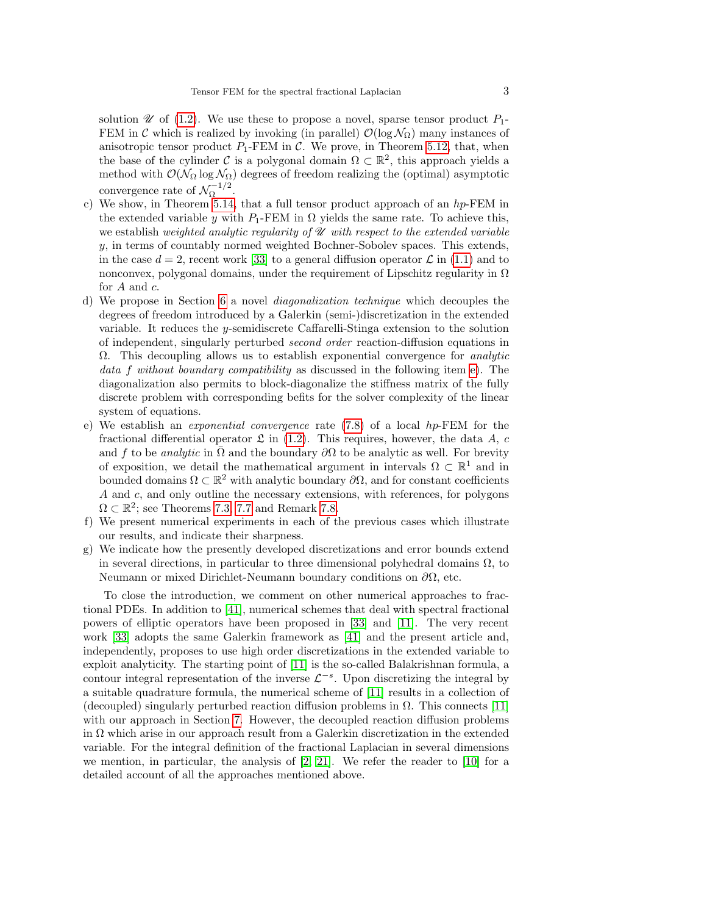solution  $\mathscr U$  of [\(1.2\)](#page-1-1). We use these to propose a novel, sparse tensor product  $P_1$ -FEM in C which is realized by invoking (in parallel)  $\mathcal{O}(\log \mathcal{N}_{\Omega})$  many instances of anisotropic tensor product  $P_1$ -FEM in C. We prove, in Theorem [5.12,](#page-19-0) that, when the base of the cylinder C is a polygonal domain  $\Omega \subset \mathbb{R}^2$ , this approach yields a method with  $\mathcal{O}(\mathcal{N}_{\Omega}\log \mathcal{N}_{\Omega})$  degrees of freedom realizing the (optimal) asymptotic convergence rate of  $\mathcal{N}_0^{-1/2}$  $\frac{1}{2}$ .

- c) We show, in Theorem [5.14,](#page-23-0) that a full tensor product approach of an  $hp$ -FEM in the extended variable y with  $P_1$ -FEM in  $\Omega$  yields the same rate. To achieve this, we establish weighted analytic regularity of  $\mathscr U$  with respect to the extended variable y, in terms of countably normed weighted Bochner-Sobolev spaces. This extends, in the case  $d = 2$ , recent work [\[33\]](#page-42-5) to a general diffusion operator  $\mathcal L$  in [\(1.1\)](#page-1-0) and to nonconvex, polygonal domains, under the requirement of Lipschitz regularity in  $\Omega$ for  $A$  and  $c$ .
- d) We propose in Section [6](#page-23-1) a novel diagonalization technique which decouples the degrees of freedom introduced by a Galerkin (semi-)discretization in the extended variable. It reduces the y-semidiscrete Caffarelli-Stinga extension to the solution of independent, singularly perturbed second order reaction-diffusion equations in  $\Omega$ . This decoupling allows us to establish exponential convergence for *analytic* data f without boundary compatibility as discussed in the following item [e\)](#page-2-0). The diagonalization also permits to block-diagonalize the stiffness matrix of the fully discrete problem with corresponding befits for the solver complexity of the linear system of equations.
- <span id="page-2-0"></span>e) We establish an exponential convergence rate [\(7.8\)](#page-28-0) of a local hp-FEM for the fractional differential operator  $\mathfrak L$  in [\(1.2\)](#page-1-1). This requires, however, the data A, c and f to be *analytic* in  $\Omega$  and the boundary  $\partial\Omega$  to be analytic as well. For brevity of exposition, we detail the mathematical argument in intervals  $\Omega \subset \mathbb{R}^1$  and in bounded domains  $\Omega \subset \mathbb{R}^2$  with analytic boundary  $\partial \Omega$ , and for constant coefficients A and c, and only outline the necessary extensions, with references, for polygons  $\Omega \subset \mathbb{R}^2$ ; see Theorems [7.3,](#page-28-1) [7.7](#page-30-0) and Remark [7.8.](#page-31-0)
- f) We present numerical experiments in each of the previous cases which illustrate our results, and indicate their sharpness.
- g) We indicate how the presently developed discretizations and error bounds extend in several directions, in particular to three dimensional polyhedral domains  $\Omega$ , to Neumann or mixed Dirichlet-Neumann boundary conditions on  $\partial\Omega$ , etc.

To close the introduction, we comment on other numerical approaches to fractional PDEs. In addition to [\[41\]](#page-43-1), numerical schemes that deal with spectral fractional powers of elliptic operators have been proposed in [\[33\]](#page-42-5) and [\[11\]](#page-42-6). The very recent work [\[33\]](#page-42-5) adopts the same Galerkin framework as [\[41\]](#page-43-1) and the present article and, independently, proposes to use high order discretizations in the extended variable to exploit analyticity. The starting point of [\[11\]](#page-42-6) is the so-called Balakrishnan formula, a contour integral representation of the inverse  $\mathcal{L}^{-s}$ . Upon discretizing the integral by a suitable quadrature formula, the numerical scheme of [\[11\]](#page-42-6) results in a collection of (decoupled) singularly perturbed reaction diffusion problems in  $\Omega$ . This connects [\[11\]](#page-42-6) with our approach in Section [7.](#page-26-0) However, the decoupled reaction diffusion problems in  $\Omega$  which arise in our approach result from a Galerkin discretization in the extended variable. For the integral definition of the fractional Laplacian in several dimensions we mention, in particular, the analysis of  $[2, 21]$  $[2, 21]$ . We refer the reader to  $[10]$  for a detailed account of all the approaches mentioned above.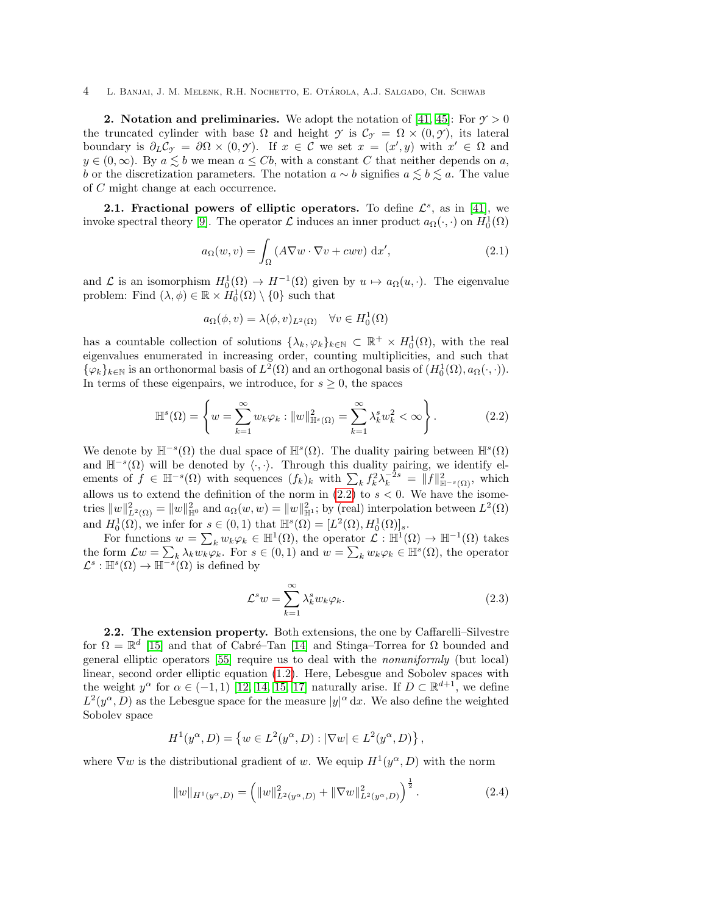**2.** Notation and preliminaries. We adopt the notation of [\[41,](#page-43-1) [45\]](#page-43-2): For  $\gamma > 0$ the truncated cylinder with base  $\Omega$  and height  $\gamma$  is  $\mathcal{C}_{\gamma} = \Omega \times (0, \gamma)$ , its lateral boundary is  $\partial_L C_{\mathcal{Y}} = \partial \Omega \times (0, \mathcal{Y})$ . If  $x \in \mathcal{C}$  we set  $x = (x', y)$  with  $x' \in \Omega$  and  $y \in (0, \infty)$ . By  $a \leq b$  we mean  $a \leq Cb$ , with a constant C that neither depends on a, b or the discretization parameters. The notation  $a \sim b$  signifies  $a \leq b \leq a$ . The value of C might change at each occurrence.

2.1. Fractional powers of elliptic operators. To define  $\mathcal{L}^s$ , as in [\[41\]](#page-43-1), we invoke spectral theory [\[9\]](#page-41-1). The operator  $\mathcal L$  induces an inner product  $a_{\Omega}(\cdot, \cdot)$  on  $H_0^1(\Omega)$ 

<span id="page-3-2"></span>
$$
a_{\Omega}(w,v) = \int_{\Omega} (A\nabla w \cdot \nabla v + c w v) \, dx', \qquad (2.1)
$$

and  $\mathcal L$  is an isomorphism  $H_0^1(\Omega) \to H^{-1}(\Omega)$  given by  $u \mapsto a_{\Omega}(u, \cdot)$ . The eigenvalue problem: Find  $(\lambda, \phi) \in \mathbb{R} \times H_0^1(\Omega) \setminus \{0\}$  such that

$$
a_{\Omega}(\phi, v) = \lambda(\phi, v)_{L^2(\Omega)} \quad \forall v \in H_0^1(\Omega)
$$

has a countable collection of solutions  $\{\lambda_k, \varphi_k\}_{k\in\mathbb{N}} \subset \mathbb{R}^+ \times H_0^1(\Omega)$ , with the real eigenvalues enumerated in increasing order, counting multiplicities, and such that  $\{\varphi_k\}_{k\in\mathbb{N}}$  is an orthonormal basis of  $L^2(\Omega)$  and an orthogonal basis of  $(H_0^1(\Omega), a_{\Omega}(\cdot, \cdot)).$ In terms of these eigenpairs, we introduce, for  $s \geq 0$ , the spaces

<span id="page-3-0"></span>
$$
\mathbb{H}^s(\Omega) = \left\{ w = \sum_{k=1}^{\infty} w_k \varphi_k : ||w||_{\mathbb{H}^s(\Omega)}^2 = \sum_{k=1}^{\infty} \lambda_k^s w_k^2 < \infty \right\}.
$$
 (2.2)

We denote by  $\mathbb{H}^{-s}(\Omega)$  the dual space of  $\mathbb{H}^{s}(\Omega)$ . The duality pairing between  $\mathbb{H}^{s}(\Omega)$ and  $\mathbb{H}^{-s}(\Omega)$  will be denoted by  $\langle \cdot, \cdot \rangle$ . Through this duality pairing, we identify elements of  $f \in \mathbb{H}^{-s}(\Omega)$  with sequences  $(f_k)_k$  with  $\sum_k f_k^2 \lambda_k^{-2s} = ||f||_{\mathbb{H}^{-s}(\Omega)}^2$ , which allows us to extend the definition of the norm in  $(2.2)$  to  $s < 0$ . We have the isometries  $||w||^2_{L^2(\Omega)} = ||w||^2_{\mathbb{H}^0}$  and  $a_{\Omega}(w, w) = ||w||^2_{\mathbb{H}^1}$ ; by (real) interpolation between  $L^2(\Omega)$ and  $H_0^1(\Omega)$ , we infer for  $s \in (0,1)$  that  $\mathbb{H}^s(\Omega) = [L^2(\Omega), H_0^1(\Omega)]_s$ .

For functions  $w = \sum_k w_k \varphi_k \in \mathbb{H}^1(\Omega)$ , the operator  $\mathcal{L} : \mathbb{H}^1(\Omega) \to \mathbb{H}^{-1}(\Omega)$  takes the form  $\mathcal{L}w = \sum_k \lambda_k w_k \varphi_k$ . For  $s \in (0,1)$  and  $w = \sum_k w_k \varphi_k \in \mathbb{H}^s(\Omega)$ , the operator  $\mathcal{L}^s : \mathbb{H}^s(\Omega) \to \mathbb{H}^{-s}(\Omega)$  is defined by

$$
\mathcal{L}^s w = \sum_{k=1}^{\infty} \lambda_k^s w_k \varphi_k.
$$
 (2.3)

2.2. The extension property. Both extensions, the one by Caffarelli–Silvestre for  $\Omega = \mathbb{R}^d$  [\[15\]](#page-42-2) and that of Cabré–Tan [\[14\]](#page-42-1) and Stinga–Torrea for  $\Omega$  bounded and general elliptic operators [\[55\]](#page-43-0) require us to deal with the nonuniformly (but local) linear, second order elliptic equation [\(1.2\)](#page-1-1). Here, Lebesgue and Sobolev spaces with the weight  $y^{\alpha}$  for  $\alpha \in (-1,1)$  [\[12,](#page-42-9) [14,](#page-42-1) [15,](#page-42-2) [17\]](#page-42-3) naturally arise. If  $D \subset \mathbb{R}^{d+1}$ , we define  $L^2(y^\alpha, D)$  as the Lebesgue space for the measure  $|y|^\alpha dx$ . We also define the weighted Sobolev space

$$
H^{1}(y^{\alpha}, D) = \{ w \in L^{2}(y^{\alpha}, D) : |\nabla w| \in L^{2}(y^{\alpha}, D) \},
$$

where  $\nabla w$  is the distributional gradient of w. We equip  $H^1(y^\alpha, D)$  with the norm

<span id="page-3-1"></span>
$$
||w||_{H^1(y^{\alpha}, D)} = \left(||w||^2_{L^2(y^{\alpha}, D)} + ||\nabla w||^2_{L^2(y^{\alpha}, D)}\right)^{\frac{1}{2}}.
$$
\n(2.4)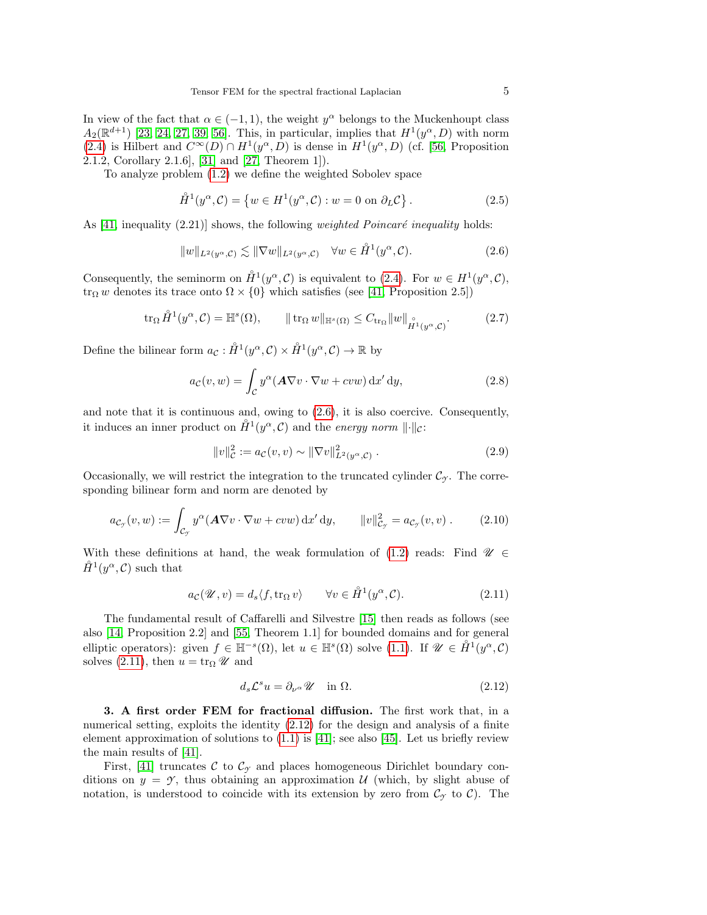In view of the fact that  $\alpha \in (-1,1)$ , the weight  $y^{\alpha}$  belongs to the Muckenhoupt class  $A_2(\mathbb{R}^{d+1})$  [\[23,](#page-42-10) [24,](#page-42-11) [27,](#page-42-12) [39,](#page-43-3) [56\]](#page-43-4). This, in particular, implies that  $H^1(y^{\alpha}, D)$  with norm [\(2.4\)](#page-3-1) is Hilbert and  $C^{\infty}(D) \cap H^1(y^{\alpha}, D)$  is dense in  $H^1(y^{\alpha}, D)$  (cf. [\[56,](#page-43-4) Proposition 2.1.2, Corollary 2.1.6], [\[31\]](#page-42-13) and [\[27,](#page-42-12) Theorem 1]).

To analyze problem [\(1.2\)](#page-1-1) we define the weighted Sobolev space

$$
\mathring{H}^1(y^\alpha, \mathcal{C}) = \{ w \in H^1(y^\alpha, \mathcal{C}) : w = 0 \text{ on } \partial_L \mathcal{C} \}.
$$
 (2.5)

As  $[41,$  inequality  $(2.21)$  shows, the following *weighted Poincaré inequality* holds:

<span id="page-4-0"></span>
$$
||w||_{L^{2}(y^{\alpha}, \mathcal{C})} \lesssim ||\nabla w||_{L^{2}(y^{\alpha}, \mathcal{C})} \quad \forall w \in \mathring{H}^{1}(y^{\alpha}, \mathcal{C}). \tag{2.6}
$$

Consequently, the seminorm on  $\mathring{H}^1(y^\alpha, \mathcal{C})$  is equivalent to [\(2.4\)](#page-3-1). For  $w \in H^1(y^\alpha, \mathcal{C})$ , tr<sub>Ω</sub> w denotes its trace onto  $\Omega \times \{0\}$  which satisfies (see [\[41,](#page-43-1) Proposition 2.5])

$$
\operatorname{tr}_{\Omega} \mathring{H}^1(y^{\alpha}, \mathcal{C}) = \mathbb{H}^s(\Omega), \qquad \|\operatorname{tr}_{\Omega} w\|_{\mathbb{H}^s(\Omega)} \le C_{\operatorname{tr}_{\Omega}} \|w\|_{\mathring{H}^1(y^{\alpha}, \mathcal{C})}. \tag{2.7}
$$

Define the bilinear form  $a_{\mathcal{C}}: \mathring{H}^1(y^{\alpha}, \mathcal{C}) \times \mathring{H}^1(y^{\alpha}, \mathcal{C}) \to \mathbb{R}$  by

$$
a_{\mathcal{C}}(v, w) = \int_{\mathcal{C}} y^{\alpha} (\mathbf{A} \nabla v \cdot \nabla w + c v w) \,dx' \,dy,\tag{2.8}
$$

and note that it is continuous and, owing to [\(2.6\)](#page-4-0), it is also coercive. Consequently, it induces an inner product on  $\mathring{H}^1(y^\alpha, \mathcal{C})$  and the *energy norm*  $\lVert \cdot \rVert_{\mathcal{C}}$ :

<span id="page-4-5"></span>
$$
||v||_{\mathcal{C}}^2 := a_{\mathcal{C}}(v, v) \sim ||\nabla v||_{L^2(y^{\alpha}, \mathcal{C})}^2.
$$
 (2.9)

Occasionally, we will restrict the integration to the truncated cylinder  $\mathcal{C}_{\gamma}$ . The corresponding bilinear form and norm are denoted by

<span id="page-4-3"></span>
$$
a_{\mathcal{C}_{\mathcal{I}}}(v, w) := \int_{\mathcal{C}_{\mathcal{I}}} y^{\alpha} (\mathbf{A} \nabla v \cdot \nabla w + c v w) \,dx' dy, \qquad ||v||_{\mathcal{C}_{\mathcal{I}}}^2 = a_{\mathcal{C}_{\mathcal{I}}}(v, v).
$$
 (2.10)

With these definitions at hand, the weak formulation of [\(1.2\)](#page-1-1) reads: Find  $\mathscr{U} \in$  $\mathring{H}^1(y^\alpha, \mathcal{C})$  such that

<span id="page-4-1"></span>
$$
a_{\mathcal{C}}(\mathcal{U}, v) = d_s \langle f, \text{tr}_{\Omega} v \rangle \qquad \forall v \in \mathring{H}^1(y^{\alpha}, \mathcal{C}). \tag{2.11}
$$

The fundamental result of Caffarelli and Silvestre [\[15\]](#page-42-2) then reads as follows (see also [\[14,](#page-42-1) Proposition 2.2] and [\[55,](#page-43-0) Theorem 1.1] for bounded domains and for general elliptic operators): given  $f \in \mathbb{H}^{-s}(\Omega)$ , let  $u \in \mathbb{H}^{s}(\Omega)$  solve [\(1.1\)](#page-1-0). If  $\mathscr{U} \in \mathring{H}^1(y^{\alpha}, \mathcal{C})$ solves [\(2.11\)](#page-4-1), then  $u = \text{tr}_{\Omega} \mathscr{U}$  and

<span id="page-4-2"></span>
$$
d_s \mathcal{L}^s u = \partial_{\nu^\alpha} \mathcal{U} \quad \text{in } \Omega. \tag{2.12}
$$

<span id="page-4-4"></span>3. A first order FEM for fractional diffusion. The first work that, in a numerical setting, exploits the identity  $(2.12)$  for the design and analysis of a finite element approximation of solutions to  $(1.1)$  is [\[41\]](#page-43-1); see also [\[45\]](#page-43-2). Let us briefly review the main results of [\[41\]](#page-43-1).

First, [\[41\]](#page-43-1) truncates C to  $\mathcal{C}_{\gamma}$  and places homogeneous Dirichlet boundary conditions on  $y = \gamma$ , thus obtaining an approximation U (which, by slight abuse of notation, is understood to coincide with its extension by zero from  $\mathcal{C}_{\gamma}$  to  $\mathcal{C}$ ). The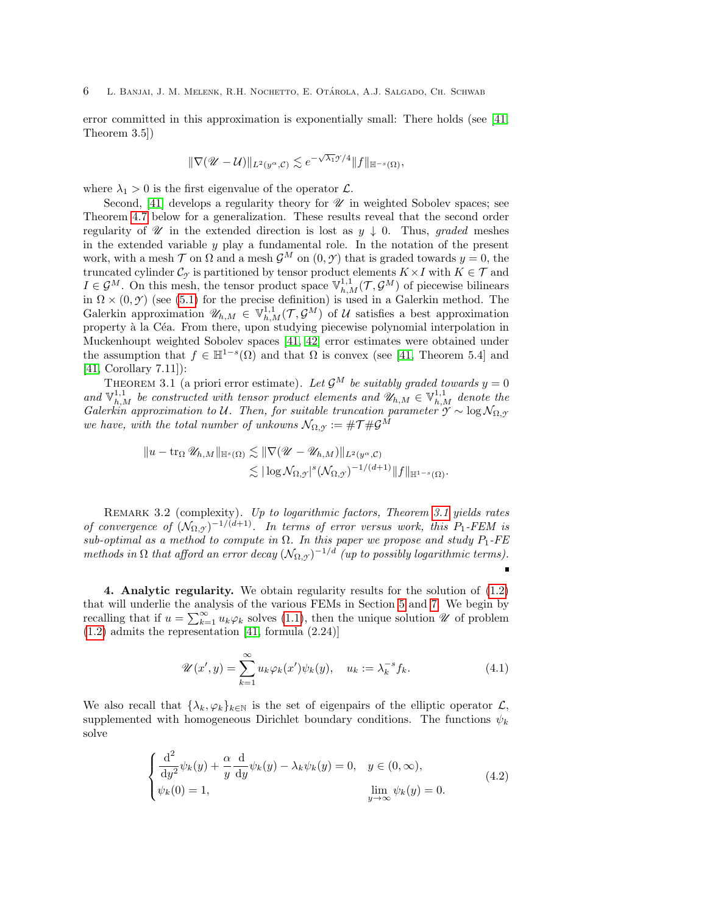error committed in this approximation is exponentially small: There holds (see [\[41,](#page-43-1) Theorem 3.5])

$$
\|\nabla(\mathscr{U}-\mathcal{U})\|_{L^2(y^{\alpha},\mathcal{C})} \lesssim e^{-\sqrt{\lambda_1}\mathscr{I}/4} \|f\|_{\mathbb{H}^{-s}(\Omega)},
$$

where  $\lambda_1 > 0$  is the first eigenvalue of the operator  $\mathcal{L}$ .

Second,  $[41]$  develops a regularity theory for  $\mathscr U$  in weighted Sobolev spaces; see Theorem [4.7](#page-9-0) below for a generalization. These results reveal that the second order regularity of  $\mathscr U$  in the extended direction is lost as  $y \downarrow 0$ . Thus, graded meshes in the extended variable  $y$  play a fundamental role. In the notation of the present work, with a mesh  $\mathcal T$  on  $\Omega$  and a mesh  $\mathcal G^M$  on  $(0, \mathcal Y)$  that is graded towards  $y = 0$ , the truncated cylinder  $\mathcal{C}_{\gamma}$  is partitioned by tensor product elements  $K \times I$  with  $K \in \mathcal{T}$  and  $I \in \mathcal{G}^M$ . On this mesh, the tensor product space  $\mathbb{V}^{1,1}_{h,M}(\mathcal{T}, \mathcal{G}^M)$  of piecewise bilinears in  $\Omega \times (0, \mathcal{Y})$  (see [\(5.1\)](#page-12-0) for the precise definition) is used in a Galerkin method. The Galerkin approximation  $\mathscr{U}_{h,M} \in \mathbb{V}_{h,M}^{1,1}(\mathcal{T}, \mathcal{G}^M)$  of U satisfies a best approximation property à la Céa. From there, upon studying piecewise polynomial interpolation in Muckenhoupt weighted Sobolev spaces [\[41,](#page-43-1) [42\]](#page-43-5) error estimates were obtained under the assumption that  $f \in \mathbb{H}^{1-s}(\Omega)$  and that  $\Omega$  is convex (see [\[41,](#page-43-1) Theorem 5.4] and [\[41,](#page-43-1) Corollary 7.11]):

THEOREM 3.1 (a priori error estimate). Let  $\mathcal{G}^M$  be suitably graded towards  $y = 0$ and  $\mathbb{V}_{h,M}^{1,1}$  be constructed with tensor product elements and  $\mathscr{U}_{h,M} \in \mathbb{V}_{h,M}^{1,1}$  denote the Galerkin approximation to U. Then, for suitable truncation parameter  $\gamma \sim \log N_{\Omega,\gamma}$ we have, with the total number of unkowns  $\mathcal{N}_{\Omega,\gamma} := \# \mathcal{T} \# \mathcal{G}^M$ 

<span id="page-5-0"></span>
$$
\|u - \operatorname{tr}_\Omega \mathscr{U}_{h,M}\|_{\mathbb{H}^s(\Omega)} \lesssim \|\nabla (\mathscr{U} - \mathscr{U}_{h,M})\|_{L^2(y^\alpha, \mathcal{C})} \\ \lesssim |\log \mathcal{N}_{\Omega,y}|^s (\mathcal{N}_{\Omega,y})^{-1/(d+1)} \|f\|_{\mathbb{H}^{1-s}(\Omega)}.
$$

REMARK 3.2 (complexity). Up to logarithmic factors, Theorem [3.1](#page-5-0) yields rates of convergence of  $(\mathcal{N}_{\Omega,\mathcal{Y}})^{-1/(d+1)}$ . In terms of error versus work, this  $P_1$ -FEM is sub-optimal as a method to compute in  $\Omega$ . In this paper we propose and study  $P_1$ -FE methods in  $\Omega$  that afford an error decay  $(\mathcal{N}_{\Omega,\mathcal{Y}})^{-1/d}$  (up to possibly logarithmic terms).  $\blacksquare$ 

<span id="page-5-3"></span>4. Analytic regularity. We obtain regularity results for the solution of [\(1.2\)](#page-1-1) that will underlie the analysis of the various FEMs in Section [5](#page-11-0) and [7.](#page-26-0) We begin by recalling that if  $u = \sum_{k=1}^{\infty} u_k \varphi_k$  solves [\(1.1\)](#page-1-0), then the unique solution  $\mathscr U$  of problem  $(1.2)$  admits the representation [\[41,](#page-43-1) formula  $(2.24)$ ]

<span id="page-5-1"></span>
$$
\mathscr{U}(x',y) = \sum_{k=1}^{\infty} u_k \varphi_k(x') \psi_k(y), \quad u_k := \lambda_k^{-s} f_k.
$$
 (4.1)

We also recall that  $\{\lambda_k, \varphi_k\}_{k\in\mathbb{N}}$  is the set of eigenpairs of the elliptic operator  $\mathcal{L}$ , supplemented with homogeneous Dirichlet boundary conditions. The functions  $\psi_k$ solve

<span id="page-5-2"></span>
$$
\begin{cases}\n\frac{\mathrm{d}^2}{\mathrm{d}y^2}\psi_k(y) + \frac{\alpha}{y}\frac{\mathrm{d}}{\mathrm{d}y}\psi_k(y) - \lambda_k\psi_k(y) = 0, & y \in (0, \infty), \\
\psi_k(0) = 1, & \lim_{y \to \infty} \psi_k(y) = 0.\n\end{cases}
$$
\n(4.2)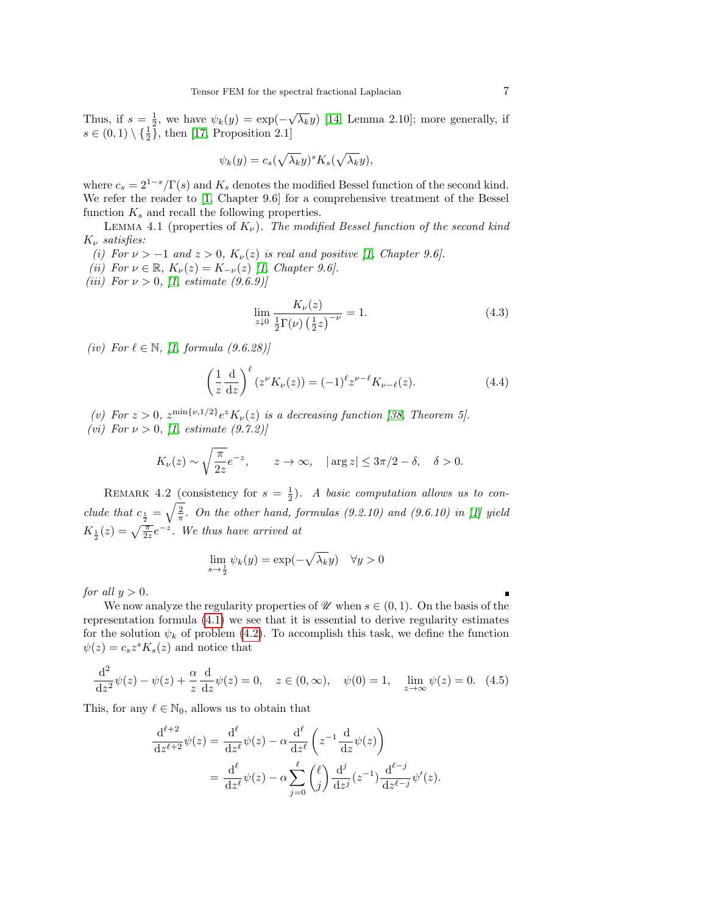Thus, if  $s = \frac{1}{2}$ , we have  $\psi_k(y) = \exp(-\sqrt{\lambda_k}y)$  [\[14,](#page-42-1) Lemma 2.10]; more generally, if  $s \in (0,1) \setminus {\{\frac{1}{2}\}}, \text{ then } [17, \text{ Proposition 2.1}]$  $s \in (0,1) \setminus {\{\frac{1}{2}\}}, \text{ then } [17, \text{ Proposition 2.1}]$  $s \in (0,1) \setminus {\{\frac{1}{2}\}}, \text{ then } [17, \text{ Proposition 2.1}]$ 

$$
\psi_k(y) = c_s(\sqrt{\lambda_k}y)^s K_s(\sqrt{\lambda_k}y),
$$

where  $c_s = 2^{1-s}/\Gamma(s)$  and  $K_s$  denotes the modified Bessel function of the second kind. We refer the reader to [\[1,](#page-41-2) Chapter 9.6] for a comprehensive treatment of the Bessel function  $K_s$  and recall the following properties.

<span id="page-6-2"></span>LEMMA 4.1 (properties of  $K_{\nu}$ ). The modified Bessel function of the second kind  $K_{\nu}$  satisfies:

- (i) For  $\nu > -1$  and  $z > 0$ ,  $K_{\nu}(z)$  is real and positive [\[1,](#page-41-2) Chapter 9.6].
- <span id="page-6-3"></span>(ii) For  $\nu \in \mathbb{R}$ ,  $K_{\nu}(z) = K_{-\nu}(z)$  [\[1,](#page-41-2) Chapter 9.6].
- (*iii*) For  $\nu > 0$ , [\[1,](#page-41-2) estimate (9.6.9)]

<span id="page-6-4"></span>
$$
\lim_{z \downarrow 0} \frac{K_{\nu}(z)}{\frac{1}{2} \Gamma(\nu) \left(\frac{1}{2} z\right)^{-\nu}} = 1. \tag{4.3}
$$

(iv) For  $\ell \in \mathbb{N}$ , [\[1,](#page-41-2) formula (9.6.28)]

<span id="page-6-1"></span>
$$
\left(\frac{1}{z}\frac{\mathrm{d}}{\mathrm{d}z}\right)^{\ell}(z^{\nu}K_{\nu}(z)) = (-1)^{\ell}z^{\nu-\ell}K_{\nu-\ell}(z). \tag{4.4}
$$

- <span id="page-6-6"></span>(v) For  $z > 0$ ,  $z^{\min\{\nu,1/2\}} e^{z} K_{\nu}(z)$  is a decreasing function [\[38,](#page-42-14) Theorem 5].
- <span id="page-6-5"></span>(vi) For  $\nu > 0$ , [\[1,](#page-41-2) estimate (9.7.2)]

$$
K_{\nu}(z) \sim \sqrt{\frac{\pi}{2z}} e^{-z}
$$
,  $z \to \infty$ ,  $|\arg z| \leq 3\pi/2 - \delta$ ,  $\delta > 0$ .

REMARK 4.2 (consistency for  $s = \frac{1}{2}$ ). A basic computation allows us to conclude that  $c_{\frac{1}{2}} = \sqrt{\frac{2}{\pi}}$ . On the other hand, formulas (9.2.10) and (9.6.10) in [\[1\]](#page-41-2) yield  $K_{\frac{1}{2}}(z) = \sqrt{\frac{\pi}{2z}}e^{-z}$ . We thus have arrived at

$$
\lim_{s \to \frac{1}{2}} \psi_k(y) = \exp(-\sqrt{\lambda_k}y) \quad \forall y > 0
$$

for all  $y > 0$ .

We now analyze the regularity properties of  $\mathscr U$  when  $s \in (0,1)$ . On the basis of the representation formula [\(4.1\)](#page-5-1) we see that it is essential to derive regularity estimates for the solution  $\psi_k$  of problem [\(4.2\)](#page-5-2). To accomplish this task, we define the function  $\psi(z) = c_s z^s K_s(z)$  and notice that

<span id="page-6-0"></span>
$$
\frac{d^2}{dz^2}\psi(z) - \psi(z) + \frac{\alpha}{z}\frac{d}{dz}\psi(z) = 0, \quad z \in (0, \infty), \quad \psi(0) = 1, \quad \lim_{z \to \infty} \psi(z) = 0. \tag{4.5}
$$

This, for any  $\ell \in \mathbb{N}_0$ , allows us to obtain that

$$
\frac{\mathrm{d}^{\ell+2}}{\mathrm{d}z^{\ell+2}}\psi(z) = \frac{\mathrm{d}^{\ell}}{\mathrm{d}z^{\ell}}\psi(z) - \alpha \frac{\mathrm{d}^{\ell}}{\mathrm{d}z^{\ell}}\left(z^{-1}\frac{\mathrm{d}}{\mathrm{d}z}\psi(z)\right)
$$

$$
= \frac{\mathrm{d}^{\ell}}{\mathrm{d}z^{\ell}}\psi(z) - \alpha \sum_{j=0}^{\ell} {\ell \choose j} \frac{\mathrm{d}^{j}}{\mathrm{d}z^{j}}(z^{-1}) \frac{\mathrm{d}^{\ell-j}}{\mathrm{d}z^{\ell-j}}\psi'(z).
$$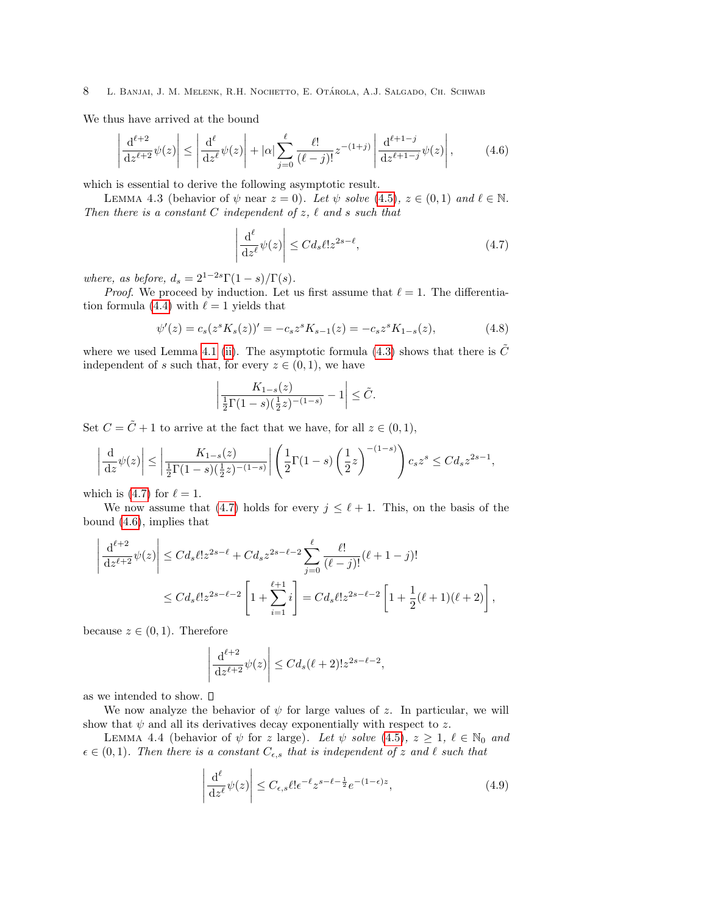We thus have arrived at the bound

<span id="page-7-1"></span>
$$
\left| \frac{\mathrm{d}^{\ell+2}}{\mathrm{d}z^{\ell+2}} \psi(z) \right| \le \left| \frac{\mathrm{d}^{\ell}}{\mathrm{d}z^{\ell}} \psi(z) \right| + |\alpha| \sum_{j=0}^{\ell} \frac{\ell!}{(\ell-j)!} z^{-(1+j)} \left| \frac{\mathrm{d}^{\ell+1-j}}{\mathrm{d}z^{\ell+1-j}} \psi(z) \right|, \tag{4.6}
$$

which is essential to derive the following asymptotic result.

LEMMA 4.3 (behavior of  $\psi$  near  $z = 0$ ). Let  $\psi$  solve [\(4.5\)](#page-6-0),  $z \in (0,1)$  and  $\ell \in \mathbb{N}$ . Then there is a constant C independent of  $z$ ,  $\ell$  and  $s$  such that

<span id="page-7-0"></span>
$$
\left| \frac{\mathrm{d}^{\ell}}{\mathrm{d}z^{\ell}} \psi(z) \right| \le C d_s \ell! z^{2s - \ell},\tag{4.7}
$$

where, as before,  $d_s = 2^{1-2s}\Gamma(1-s)/\Gamma(s)$ .

*Proof.* We proceed by induction. Let us first assume that  $\ell = 1$ . The differentia-tion formula [\(4.4\)](#page-6-1) with  $\ell = 1$  yields that

$$
\psi'(z) = c_s(z^s K_s(z))' = -c_s z^s K_{s-1}(z) = -c_s z^s K_{1-s}(z),\tag{4.8}
$$

where we used Lemma [4.1](#page-6-2) [\(ii\)](#page-6-3). The asymptotic formula [\(4.3\)](#page-6-4) shows that there is  $\tilde{C}$ independent of s such that, for every  $z \in (0,1)$ , we have

$$
\left| \frac{K_{1-s}(z)}{\frac{1}{2}\Gamma(1-s)(\frac{1}{2}z)^{-(1-s)}} - 1 \right| \leq \tilde{C}.
$$

Set  $C = \tilde{C} + 1$  to arrive at the fact that we have, for all  $z \in (0, 1)$ ,

$$
\left| \frac{d}{dz} \psi(z) \right| \le \left| \frac{K_{1-s}(z)}{\frac{1}{2} \Gamma(1-s) (\frac{1}{2} z)^{-(1-s)}} \right| \left( \frac{1}{2} \Gamma(1-s) \left( \frac{1}{2} z \right)^{-(1-s)} \right) c_s z^s \le C d_s z^{2s-1},
$$

which is [\(4.7\)](#page-7-0) for  $\ell = 1$ .

We now assume that [\(4.7\)](#page-7-0) holds for every  $j \leq \ell + 1$ . This, on the basis of the bound [\(4.6\)](#page-7-1), implies that

$$
\left| \frac{d^{\ell+2}}{dz^{\ell+2}} \psi(z) \right| \le C d_s \ell! z^{2s-\ell} + C d_s z^{2s-\ell-2} \sum_{j=0}^{\ell} \frac{\ell!}{(\ell-j)!} (\ell+1-j)!
$$
  

$$
\le C d_s \ell! z^{2s-\ell-2} \left[ 1 + \sum_{i=1}^{\ell+1} i \right] = C d_s \ell! z^{2s-\ell-2} \left[ 1 + \frac{1}{2} (\ell+1) (\ell+2) \right],
$$

because  $z \in (0,1)$ . Therefore

$$
\left| \frac{d^{\ell+2}}{dz^{\ell+2}} \psi(z) \right| \le C d_s(\ell+2)! z^{2s-\ell-2},
$$

as we intended to show.  $\square$ 

We now analyze the behavior of  $\psi$  for large values of z. In particular, we will show that  $\psi$  and all its derivatives decay exponentially with respect to z.

LEMMA 4.4 (behavior of  $\psi$  for z large). Let  $\psi$  solve [\(4.5\)](#page-6-0),  $z \geq 1$ ,  $\ell \in \mathbb{N}_0$  and  $\epsilon \in (0, 1)$ . Then there is a constant  $C_{\epsilon,s}$  that is independent of z and  $\ell$  such that

<span id="page-7-2"></span>
$$
\left| \frac{d^{\ell}}{dz^{\ell}} \psi(z) \right| \le C_{\epsilon,s} \ell! \epsilon^{-\ell} z^{s-\ell-\frac{1}{2}} e^{-(1-\epsilon)z}, \tag{4.9}
$$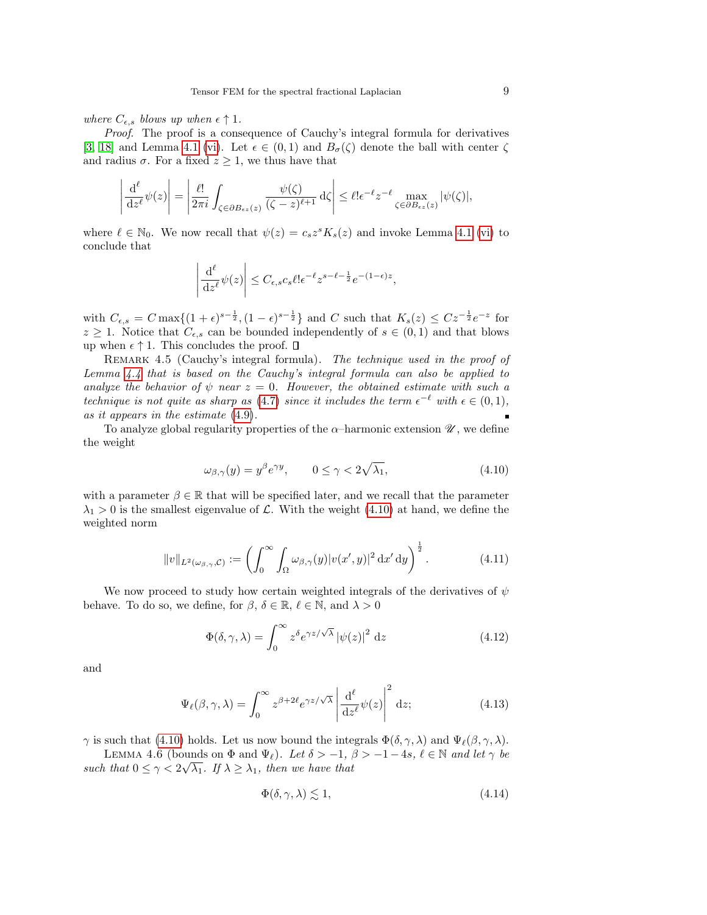where  $C_{\epsilon,s}$  blows up when  $\epsilon \uparrow 1$ .

Proof. The proof is a consequence of Cauchy's integral formula for derivatives [\[3,](#page-41-3) [18\]](#page-42-15) and Lemma [4.1](#page-6-2) [\(vi\)](#page-6-5). Let  $\epsilon \in (0,1)$  and  $B_{\sigma}(\zeta)$  denote the ball with center  $\zeta$ and radius  $\sigma$ . For a fixed  $z \geq 1$ , we thus have that

$$
\left| \frac{\mathrm{d}^{\ell}}{\mathrm{d}z^{\ell}} \psi(z) \right| = \left| \frac{\ell!}{2\pi i} \int_{\zeta \in \partial B_{\epsilon z}(z)} \frac{\psi(\zeta)}{(\zeta - z)^{\ell+1}} \, \mathrm{d}\zeta \right| \leq \ell! \epsilon^{-\ell} z^{-\ell} \max_{\zeta \in \partial B_{\epsilon z}(z)} |\psi(\zeta)|,
$$

where  $\ell \in \mathbb{N}_0$ . We now recall that  $\psi(z) = c_s z^s K_s(z)$  and invoke Lemma [4.1](#page-6-2) [\(vi\)](#page-6-5) to conclude that

$$
\left| \frac{\mathrm{d}^{\ell}}{\mathrm{d}z^{\ell}} \psi(z) \right| \leq C_{\epsilon,s} c_s \ell! \epsilon^{-\ell} z^{s-\ell-\frac{1}{2}} e^{-(1-\epsilon)z},
$$

with  $C_{\epsilon,s} = C \max\{(1+\epsilon)^{s-\frac{1}{2}}, (1-\epsilon)^{s-\frac{1}{2}}\}$  and C such that  $K_s(z) \leq C z^{-\frac{1}{2}} e^{-z}$  for  $z \geq 1$ . Notice that  $C_{\epsilon,s}$  can be bounded independently of  $s \in (0,1)$  and that blows up when  $\epsilon \uparrow 1$ . This concludes the proof.  $\square$ 

REMARK 4.5 (Cauchy's integral formula). The technique used in the proof of Lemma  $4.4$  that is based on the Cauchy's integral formula can also be applied to analyze the behavior of  $\psi$  near  $z = 0$ . However, the obtained estimate with such a technique is not quite as sharp as [\(4.7\)](#page-7-0) since it includes the term  $\epsilon^{-\ell}$  with  $\epsilon \in (0,1)$ , as it appears in the estimate [\(4.9\)](#page-7-2).

To analyze global regularity properties of the  $\alpha$ -harmonic extension  $\mathscr{U}$ , we define the weight

<span id="page-8-0"></span>
$$
\omega_{\beta,\gamma}(y) = y^{\beta} e^{\gamma y}, \qquad 0 \le \gamma < 2\sqrt{\lambda_1},\tag{4.10}
$$

with a parameter  $\beta \in \mathbb{R}$  that will be specified later, and we recall that the parameter  $\lambda_1 > 0$  is the smallest eigenvalue of  $\mathcal{L}$ . With the weight [\(4.10\)](#page-8-0) at hand, we define the weighted norm

$$
||v||_{L^2(\omega_{\beta,\gamma},\mathcal{C})} := \left(\int_0^\infty \int_\Omega \omega_{\beta,\gamma}(y) |v(x',y)|^2 \,dx'\,dy\right)^{\frac{1}{2}}.\tag{4.11}
$$

We now proceed to study how certain weighted integrals of the derivatives of  $\psi$ behave. To do so, we define, for  $\beta$ ,  $\delta \in \mathbb{R}$ ,  $\ell \in \mathbb{N}$ , and  $\lambda > 0$ 

$$
\Phi(\delta, \gamma, \lambda) = \int_0^\infty z^\delta e^{\gamma z/\sqrt{\lambda}} |\psi(z)|^2 dz
$$
\n(4.12)

and

<span id="page-8-3"></span>
$$
\Psi_{\ell}(\beta, \gamma, \lambda) = \int_0^{\infty} z^{\beta + 2\ell} e^{\gamma z/\sqrt{\lambda}} \left| \frac{\mathrm{d}^{\ell}}{\mathrm{d}z^{\ell}} \psi(z) \right|^2 \mathrm{d}z; \tag{4.13}
$$

 $\gamma$  is such that [\(4.10\)](#page-8-0) holds. Let us now bound the integrals  $\Phi(\delta, \gamma, \lambda)$  and  $\Psi_{\ell}(\beta, \gamma, \lambda)$ .

<span id="page-8-2"></span>LEMMA 4.6 (bounds on  $\Phi$  and  $\Psi_{\ell}$ ). Let  $\delta > -1$ ,  $\beta > -1 - 4s$ ,  $\ell \in \mathbb{N}$  and let  $\gamma$  be such that  $0 \leq \gamma < 2\sqrt{\lambda_1}$ . If  $\lambda \geq \lambda_1$ , then we have that

<span id="page-8-1"></span>
$$
\Phi(\delta, \gamma, \lambda) \lesssim 1,\tag{4.14}
$$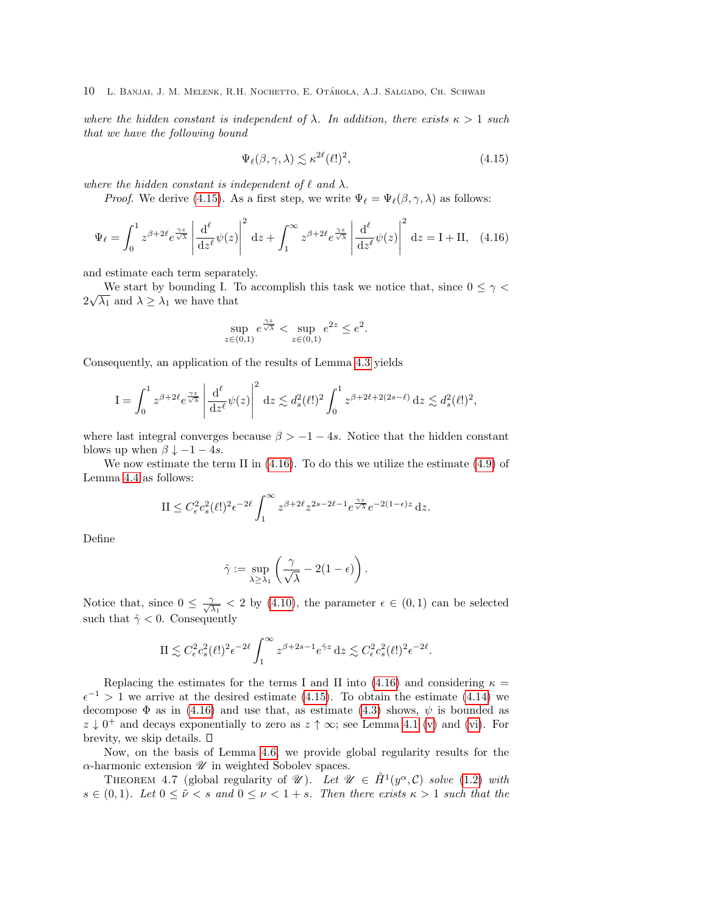where the hidden constant is independent of  $\lambda$ . In addition, there exists  $\kappa > 1$  such that we have the following bound

<span id="page-9-1"></span>
$$
\Psi_{\ell}(\beta, \gamma, \lambda) \lesssim \kappa^{2\ell} (\ell!)^2, \tag{4.15}
$$

where the hidden constant is independent of  $\ell$  and  $\lambda$ .

*Proof.* We derive [\(4.15\)](#page-9-1). As a first step, we write  $\Psi_{\ell} = \Psi_{\ell}(\beta, \gamma, \lambda)$  as follows:

<span id="page-9-2"></span>
$$
\Psi_{\ell} = \int_0^1 z^{\beta + 2\ell} e^{\frac{\gamma z}{\sqrt{\lambda}}} \left| \frac{d^{\ell}}{dz^{\ell}} \psi(z) \right|^2 dz + \int_1^{\infty} z^{\beta + 2\ell} e^{\frac{\gamma z}{\sqrt{\lambda}}} \left| \frac{d^{\ell}}{dz^{\ell}} \psi(z) \right|^2 dz = I + II, \quad (4.16)
$$

and estimate each term separately.

We start by bounding I. To accomplish this task we notice that, since  $0 \leq \gamma$ we start by bounding 1. 1<br>  $2\sqrt{\lambda_1}$  and  $\lambda \geq \lambda_1$  we have that

$$
\sup_{z \in (0,1)} e^{\frac{\gamma z}{\sqrt{\lambda}}} < \sup_{z \in (0,1)} e^{2z} \le e^2.
$$

Consequently, an application of the results of Lemma [4.3](#page-7-0) yields

$$
\mathcal{I} = \int_0^1 z^{\beta + 2\ell} e^{\frac{\gamma z}{\sqrt{\lambda}}} \left| \frac{\mathrm{d}^{\ell}}{\mathrm{d}z^{\ell}} \psi(z) \right|^2 \, \mathrm{d}z \lesssim d_s^2(\ell!)^2 \int_0^1 z^{\beta + 2\ell + 2(2s - \ell)} \, \mathrm{d}z \lesssim d_s^2(\ell!)^2,
$$

where last integral converges because  $\beta > -1 - 4s$ . Notice that the hidden constant blows up when  $\beta \downarrow -1 - 4s$ .

We now estimate the term II in  $(4.16)$ . To do this we utilize the estimate  $(4.9)$  of Lemma [4.4](#page-7-2) as follows:

$$
\mathrm{II} \le C_{\epsilon}^2 c_s^2(\ell!)^2 \epsilon^{-2\ell} \int_1^{\infty} z^{\beta+2\ell} z^{2s-2\ell-1} e^{\frac{\gamma z}{\sqrt{\lambda}}} e^{-2(1-\epsilon)z} dz.
$$

Define

$$
\hat{\gamma} := \sup_{\lambda \geq \lambda_1} \left( \frac{\gamma}{\sqrt{\lambda}} - 2(1 - \epsilon) \right).
$$

Notice that, since  $0 \leq \frac{2}{\sqrt{2}}$  $\frac{\gamma}{\lambda_1}$  < 2 by [\(4.10\)](#page-8-0), the parameter  $\epsilon \in (0,1)$  can be selected such that  $\hat{\gamma}$  < 0. Consequently

$$
\mathrm{II} \lesssim C_\epsilon^2 c_s^2(\ell!)^2 \epsilon^{-2\ell} \int_1^\infty z^{\beta+2s-1} e^{\hat{\gamma} z} \,\mathrm{d} z \lesssim C_\epsilon^2 c_s^2(\ell!)^2 \epsilon^{-2\ell}.
$$

Replacing the estimates for the terms I and II into [\(4.16\)](#page-9-2) and considering  $\kappa =$  $\epsilon^{-1}$  > 1 we arrive at the desired estimate [\(4.15\)](#page-9-1). To obtain the estimate [\(4.14\)](#page-8-1) we decompose  $\Phi$  as in [\(4.16\)](#page-9-2) and use that, as estimate [\(4.3\)](#page-6-4) shows,  $\psi$  is bounded as  $z \downarrow 0^+$  and decays exponentially to zero as  $z \uparrow \infty$ ; see Lemma [4.1](#page-6-2) [\(v\)](#page-6-6) and [\(vi\)](#page-6-5). For brevity, we skip details.  $\square$ 

Now, on the basis of Lemma [4.6,](#page-8-2) we provide global regularity results for the  $\alpha$ -harmonic extension  $\mathscr U$  in weighted Sobolev spaces.

<span id="page-9-0"></span>THEOREM 4.7 (global regularity of  $\mathscr{U}$ ). Let  $\mathscr{U} \in \mathring{H}^1(y^{\alpha}, \mathcal{C})$  solve [\(1.2\)](#page-1-1) with  $s \in (0,1)$ . Let  $0 \le \tilde{\nu} < s$  and  $0 \le \nu < 1+s$ . Then there exists  $\kappa > 1$  such that the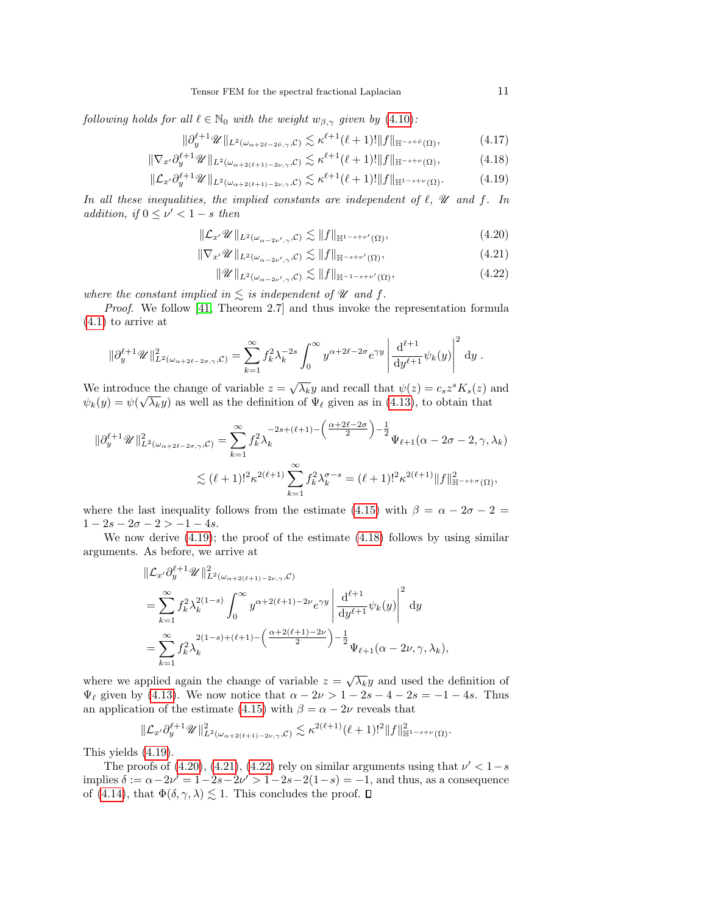following holds for all  $\ell \in \mathbb{N}_0$  with the weight  $w_{\beta,\gamma}$  given by [\(4.10\)](#page-8-0):

$$
\|\partial_y^{\ell+1}\mathscr{U}\|_{L^2(\omega_{\alpha+2\ell-2\tilde{\nu},\gamma},\mathcal{C})} \lesssim \kappa^{\ell+1}(\ell+1)! \|f\|_{\mathbb{H}^{-s+\tilde{\nu}}(\Omega)},\tag{4.17}
$$

$$
\|\nabla_{x'}\partial_y^{\ell+1}\mathscr{U}\|_{L^2(\omega_{\alpha+2(\ell+1)-2\nu,\gamma},\mathcal{C})} \lesssim \kappa^{\ell+1}(\ell+1)! \|f\|_{\mathbb{H}^{-s+\nu}(\Omega)},\tag{4.18}
$$

$$
\|\mathcal{L}_{x'}\partial_y^{\ell+1}\mathscr{U}\|_{L^2(\omega_{\alpha+2(\ell+1)-2\nu,\gamma},\mathcal{C})} \lesssim \kappa^{\ell+1}(\ell+1)! \|f\|_{\mathbb{H}^{1-s+\nu}(\Omega)}.\tag{4.19}
$$

In all these inequalities, the implied constants are independent of  $\ell$ ,  $\mathscr U$  and f. In addition, if  $0 \leq \nu' < 1 - s$  then

<span id="page-10-5"></span><span id="page-10-1"></span>
$$
\|\mathcal{L}_{x'}\mathscr{U}\|_{L^2(\omega_{\alpha-2\nu',\gamma},\mathcal{C})} \lesssim \|f\|_{\mathbb{H}^{1-s+\nu'}(\Omega)},\tag{4.20}
$$

$$
\|\nabla_{x'}\mathscr{U}\|_{L^{2}(\omega_{\alpha-2\nu',\gamma},\mathcal{C})} \lesssim \|f\|_{\mathbb{H}^{-s+\nu'}(\Omega)},\tag{4.21}
$$

<span id="page-10-4"></span><span id="page-10-3"></span><span id="page-10-2"></span><span id="page-10-0"></span>
$$
\|\mathscr{U}\|_{L^2(\omega_{\alpha-2\nu',\gamma},\mathcal{C})} \lesssim \|f\|_{\mathbb{H}^{-1-s+\nu'}(\Omega)},\tag{4.22}
$$

where the constant implied in  $\leq$  is independent of  $\mathscr U$  and  $f$ .

Proof. We follow [\[41,](#page-43-1) Theorem 2.7] and thus invoke the representation formula [\(4.1\)](#page-5-1) to arrive at

$$
\|\partial_y^{\ell+1}\mathscr{U}\|_{L^2(\omega_{\alpha+2\ell-2\sigma,\gamma},\mathcal{C})}^2 = \sum_{k=1}^{\infty} f_k^2 \lambda_k^{-2s} \int_0^{\infty} y^{\alpha+2\ell-2\sigma} e^{\gamma y} \left| \frac{\mathrm{d}^{\ell+1}}{\mathrm{d}y^{\ell+1}} \psi_k(y) \right|^2 \mathrm{d}y.
$$

We introduce the change of variable  $z = \sqrt{\lambda_k}y$  and recall that  $\psi(z) = c_s z^s K_s(z)$  and  $\psi_k(y) = \psi(\sqrt{\lambda_k}y)$  as well as the definition of  $\Psi_\ell$  given as in [\(4.13\)](#page-8-3), to obtain that

$$
\|\partial_y^{\ell+1}\mathscr{U}\|_{L^2(\omega_{\alpha+2\ell-2\sigma,\gamma},\mathcal{C})}^2 = \sum_{k=1}^{\infty} f_k^2 \lambda_k^{-2s+(\ell+1)-\left(\frac{\alpha+2\ell-2\sigma}{2}\right)-\frac{1}{2}} \Psi_{\ell+1}(\alpha-2\sigma-2,\gamma,\lambda_k)
$$
  

$$
\lesssim (\ell+1)!^2 \kappa^{2(\ell+1)} \sum_{k=1}^{\infty} f_k^2 \lambda_k^{\sigma-s} = (\ell+1)!^2 \kappa^{2(\ell+1)} \|f\|_{\mathbb{H}^{-s+\sigma}(\Omega)}^2,
$$

where the last inequality follows from the estimate [\(4.15\)](#page-9-1) with  $\beta = \alpha - 2\sigma - 2 =$  $1-2s-2\sigma-2>-1-4s$ .

We now derive  $(4.19)$ ; the proof of the estimate  $(4.18)$  follows by using similar arguments. As before, we arrive at

$$
\begin{split} &\|\mathcal{L}_{x'}\partial_{y}^{\ell+1}\mathscr{U}\|^{2}_{L^{2}(\omega_{\alpha+2(\ell+1)-2\nu,\gamma},\mathcal{C})} \\ &=\sum_{k=1}^{\infty}f_{k}^{2}\lambda_{k}^{2(1-s)}\int_{0}^{\infty}y^{\alpha+2(\ell+1)-2\nu}e^{\gamma y}\left|\frac{\mathrm{d}^{\ell+1}}{\mathrm{d}y^{\ell+1}}\psi_{k}(y)\right|^{2}\mathrm{d}y \\ &=\sum_{k=1}^{\infty}f_{k}^{2}\lambda_{k}^{2(1-s)+(\ell+1)-\left(\frac{\alpha+2(\ell+1)-2\nu}{2}\right)-\frac{1}{2}}\Psi_{\ell+1}(\alpha-2\nu,\gamma,\lambda_{k}), \end{split}
$$

where we applied again the change of variable  $z = \sqrt{\lambda_k}y$  and used the definition of  $\Psi_{\ell}$  given by [\(4.13\)](#page-8-3). We now notice that  $\alpha - 2\nu > 1 - 2s - 4 - 2s = -1 - 4s$ . Thus an application of the estimate [\(4.15\)](#page-9-1) with  $\beta = \alpha - 2\nu$  reveals that

$$
\|\mathcal{L}_{x'}\partial_y^{\ell+1}\mathscr{U}\|_{L^2(\omega_{\alpha+2(\ell+1)-2\nu,\gamma},\mathcal{C})}^2 \lesssim \kappa^{2(\ell+1)}(\ell+1)!^2\|f\|_{\mathbb{H}^{1-s+\nu}(\Omega)}^2.
$$

This yields [\(4.19\)](#page-10-0).

The proofs of  $(4.20)$ ,  $(4.21)$ ,  $(4.22)$  rely on similar arguments using that  $\nu' < 1-s$ implies  $\delta := \alpha - 2\nu' = 1 - 2s - 2\nu' > 1 - 2s - 2(1 - s) = -1$ , and thus, as a consequence of [\(4.14\)](#page-8-1), that  $\Phi(\delta, \gamma, \lambda) \lesssim 1$ . This concludes the proof.  $\Box$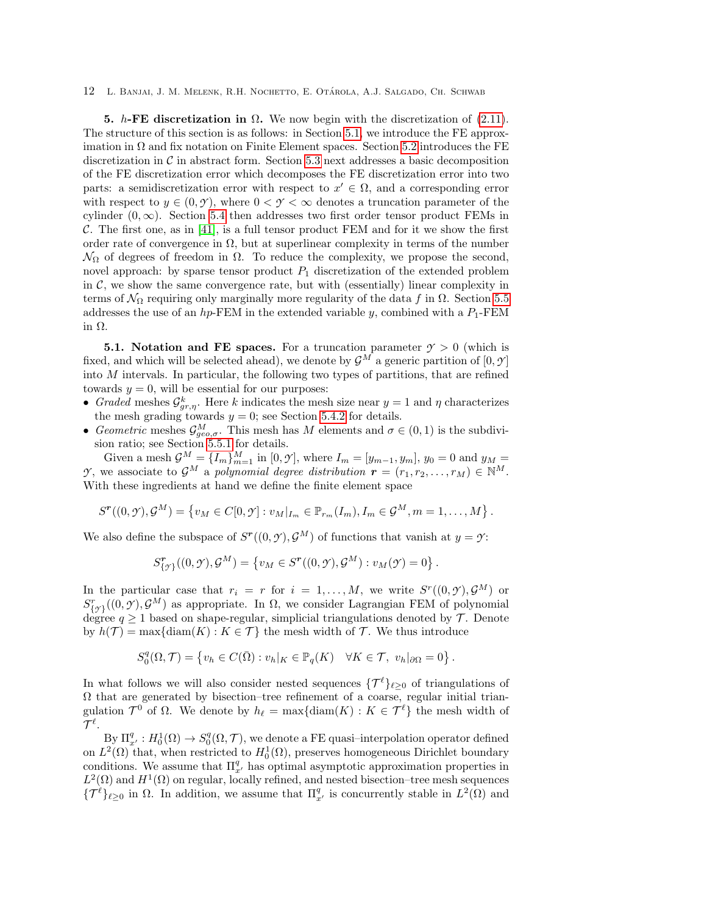<span id="page-11-0"></span>5. h-FE discretization in  $\Omega$ . We now begin with the discretization of [\(2.11\)](#page-4-1). The structure of this section is as follows: in Section [5.1,](#page-11-1) we introduce the FE approximation in  $\Omega$  and fix notation on Finite Element spaces. Section [5.2](#page-12-1) introduces the FE discretization in  $\mathcal C$  in abstract form. Section [5.3](#page-12-2) next addresses a basic decomposition of the FE discretization error which decomposes the FE discretization error into two parts: a semidiscretization error with respect to  $x' \in \Omega$ , and a corresponding error with respect to  $y \in (0, \mathcal{Y})$ , where  $0 < \mathcal{Y} < \infty$  denotes a truncation parameter of the cylinder  $(0, \infty)$ . Section [5.4](#page-13-0) then addresses two first order tensor product FEMs in C. The first one, as in  $[41]$ , is a full tensor product FEM and for it we show the first order rate of convergence in  $\Omega$ , but at superlinear complexity in terms of the number  $\mathcal{N}_\Omega$  of degrees of freedom in  $\Omega$ . To reduce the complexity, we propose the second, novel approach: by sparse tensor product  $P_1$  discretization of the extended problem in  $C$ , we show the same convergence rate, but with (essentially) linear complexity in terms of  $\mathcal{N}_{\Omega}$  requiring only marginally more regularity of the data f in  $\Omega$ . Section [5.5](#page-21-0) addresses the use of an hp-FEM in the extended variable y, combined with a  $P_1$ -FEM in Ω.

<span id="page-11-1"></span>**5.1. Notation and FE spaces.** For a truncation parameter  $\gamma > 0$  (which is fixed, and which will be selected ahead), we denote by  $\mathcal{G}^M$  a generic partition of  $[0, \mathcal{Y}]$ into  $M$  intervals. In particular, the following two types of partitions, that are refined towards  $y = 0$ , will be essential for our purposes:

- Graded meshes  $\mathcal{G}_{gr,\eta}^k$ . Here k indicates the mesh size near  $y = 1$  and  $\eta$  characterizes the mesh grading towards  $y = 0$ ; see Section [5.4.2](#page-15-0) for details.
- Geometric meshes  $\mathcal{G}^M_{geo,\sigma}$ . This mesh has M elements and  $\sigma \in (0,1)$  is the subdivision ratio; see Section [5.5.1](#page-21-1) for details.

Given a mesh  $\mathcal{G}^M = \{I_m\}_{m=1}^M$  in  $[0, \mathcal{Y}],$  where  $I_m = [y_{m-1}, y_m], y_0 = 0$  and  $y_M =$ *Y*, we associate to  $\mathcal{G}^M$  a polynomial degree distribution  $\mathbf{r} = (r_1, r_2, \ldots, r_M) \in \mathbb{N}^M$ . With these ingredients at hand we define the finite element space

$$
S^{\mathbf{r}}((0,\mathbf{y}),\mathbf{G}^M)=\left\{v_M\in C[0,\mathbf{y}]:v_M|_{I_m}\in\mathbb{P}_{r_m}(I_m),I_m\in\mathbf{G}^M,m=1,\ldots,M\right\}.
$$

We also define the subspace of  $S^{r}((0, \mathcal{Y}), \mathcal{G}^{M})$  of functions that vanish at  $y = \mathcal{Y}$ :

$$
S^{\mathbf{r}}_{\{\mathcal{I}\}}((0,\mathcal{Y}),\mathcal{G}^M)=\left\{v_M\in S^{\mathbf{r}}((0,\mathcal{Y}),\mathcal{G}^M):v_M(\mathcal{Y})=0\right\}.
$$

In the particular case that  $r_i = r$  for  $i = 1, ..., M$ , we write  $S<sup>r</sup>((0, \mathcal{Y}), \mathcal{G}^M)$  or  $S^r_{\{y\}}((0, \mathcal{Y}), \mathcal{G}^M)$  as appropriate. In  $\Omega$ , we consider Lagrangian FEM of polynomial degree  $q \ge 1$  based on shape-regular, simplicial triangulations denoted by  $\mathcal{T}$ . Denote by  $h(\mathcal{T}) = \max\{\text{diam}(K) : K \in \mathcal{T}\}\$  the mesh width of  $\mathcal{T}$ . We thus introduce

$$
S_0^q(\Omega, \mathcal{T}) = \left\{ v_h \in C(\bar{\Omega}) : v_h|_K \in \mathbb{P}_q(K) \quad \forall K \in \mathcal{T}, \ v_h|_{\partial \Omega} = 0 \right\}
$$

.

In what follows we will also consider nested sequences  $\{\mathcal{T}^{\ell}\}_{\ell \geq 0}$  of triangulations of  $\Omega$  that are generated by bisection–tree refinement of a coarse, regular initial triangulation  $\mathcal{T}^0$  of  $\Omega$ . We denote by  $h_\ell = \max\{\text{diam}(K) : K \in \mathcal{T}^\ell\}$  the mesh width of  $\mathcal{T}^\ell.$ 

By  $\Pi_{x'}^q : H_0^1(\Omega) \to S_0^q(\Omega, \mathcal{T})$ , we denote a FE quasi-interpolation operator defined on  $L^2(\Omega)$  that, when restricted to  $H_0^1(\Omega)$ , preserves homogeneous Dirichlet boundary conditions. We assume that  $\Pi_{x'}^q$  has optimal asymptotic approximation properties in  $L^2(\Omega)$  and  $H^1(\Omega)$  on regular, locally refined, and nested bisection–tree mesh sequences  ${\{\mathcal{T}^\ell\}}_{\ell \geq 0}$  in  $\Omega$ . In addition, we assume that  $\Pi_{x'}^q$  is concurrently stable in  $L^2(\Omega)$  and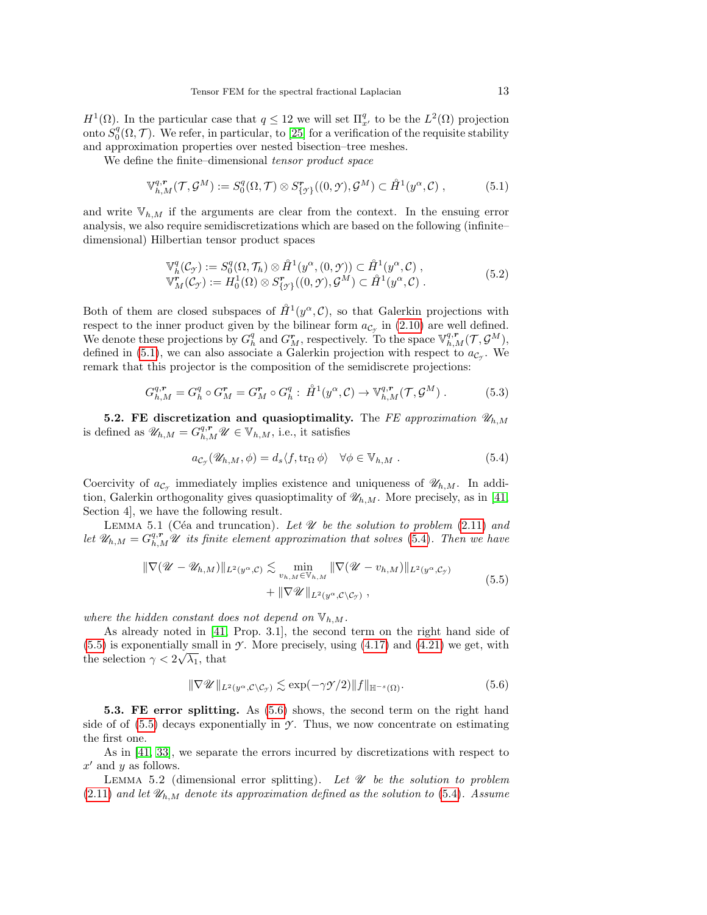$H^1(\Omega)$ . In the particular case that  $q \leq 12$  we will set  $\Pi_{x'}^q$  to be the  $L^2(\Omega)$  projection onto  $S_0^q(\Omega, \mathcal{T})$ . We refer, in particular, to [\[25\]](#page-42-16) for a verification of the requisite stability and approximation properties over nested bisection–tree meshes.

We define the finite–dimensional tensor product space

<span id="page-12-0"></span>
$$
\mathbb{V}_{h,M}^{q,r}(\mathcal{T},\mathcal{G}^M) := S_0^q(\Omega,\mathcal{T}) \otimes S_{\{\mathcal{T}\}}^r((0,\mathcal{Y}),\mathcal{G}^M) \subset \mathring{H}^1(y^\alpha,\mathcal{C}),\tag{5.1}
$$

and write  $\mathbb{V}_{h,M}$  if the arguments are clear from the context. In the ensuing error analysis, we also require semidiscretizations which are based on the following (infinite– dimensional) Hilbertian tensor product spaces

<span id="page-12-9"></span>
$$
\mathbb{V}_{h}^{q}(\mathcal{C}_{\mathcal{F}}) := S_{0}^{q}(\Omega, \mathcal{T}_{h}) \otimes \mathring{H}^{1}(\mathcal{y}^{\alpha}, (0, \mathcal{Y})) \subset \mathring{H}^{1}(\mathcal{y}^{\alpha}, \mathcal{C}),
$$
  
\n
$$
\mathbb{V}_{M}^{r}(\mathcal{C}_{\mathcal{F}}) := H_{0}^{1}(\Omega) \otimes S_{\{\mathcal{F}\}}^{r}((0, \mathcal{Y}), \mathcal{G}^{M}) \subset \mathring{H}^{1}(\mathcal{y}^{\alpha}, \mathcal{C}).
$$
\n(5.2)

Both of them are closed subspaces of  $\mathring{H}^1(y^{\alpha}, \mathcal{C})$ , so that Galerkin projections with respect to the inner product given by the bilinear form  $a_{\mathcal{C}_{\gamma}}$  in [\(2.10\)](#page-4-3) are well defined. We denote these projections by  $G_h^q$  and  $G_M^r$ , respectively. To the space  $\mathbb{V}_{h,M}^{q,r}(\mathcal{T},\mathcal{G}^M)$ , defined in [\(5.1\)](#page-12-0), we can also associate a Galerkin projection with respect to  $a_{\mathcal{C}_{\gamma}}$ . We remark that this projector is the composition of the semidiscrete projections:

<span id="page-12-8"></span>
$$
G_{h,M}^{q,r} = G_h^q \circ G_M^r = G_M^r \circ G_h^q : \mathring{H}^1(y^\alpha, \mathcal{C}) \to \mathbb{V}_{h,M}^{q,r}(\mathcal{T}, \mathcal{G}^M) . \tag{5.3}
$$

<span id="page-12-1"></span>5.2. FE discretization and quasioptimality. The FE approximation  $\mathscr{U}_{h,M}$ is defined as  $\mathscr{U}_{h,M} = G_{h,M}^{q,r} \mathscr{U} \in \mathbb{V}_{h,M}$ , i.e., it satisfies

<span id="page-12-3"></span>
$$
a_{\mathcal{C}_{\mathcal{I}}}(\mathscr{U}_{h,M},\phi) = d_s \langle f, \operatorname{tr}_{\Omega} \phi \rangle \quad \forall \phi \in \mathbb{V}_{h,M} . \tag{5.4}
$$

Coercivity of  $a_{\mathcal{C}_{\gamma}}$  immediately implies existence and uniqueness of  $\mathscr{U}_{h,M}$ . In addition, Galerkin orthogonality gives quasioptimality of  $\mathcal{U}_{h,M}$ . More precisely, as in [\[41,](#page-43-1) Section 4], we have the following result.

<span id="page-12-6"></span>LEMMA 5.1 (Céa and truncation). Let  $\mathscr U$  be the solution to problem [\(2.11\)](#page-4-1) and let  $\mathscr{U}_{h,M} = G_{h,M}^{q,r} \mathscr{U}$  its finite element approximation that solves [\(5.4\)](#page-12-3). Then we have

<span id="page-12-4"></span>
$$
\|\nabla(\mathscr{U} - \mathscr{U}_{h,M})\|_{L^2(y^\alpha,\mathcal{C})} \lesssim \min_{v_{h,M} \in \mathbb{V}_{h,M}} \|\nabla(\mathscr{U} - v_{h,M})\|_{L^2(y^\alpha,\mathcal{C}_\mathcal{Y})} + \|\nabla\mathscr{U}\|_{L^2(y^\alpha,\mathcal{C}\setminus\mathcal{C}_\mathcal{Y})},
$$
\n(5.5)

where the hidden constant does not depend on  $\mathbb{V}_{h,M}$ .

As already noted in [\[41,](#page-43-1) Prop. 3.1], the second term on the right hand side of  $(5.5)$  is exponentially small in *Y*. More precisely, using  $(4.17)$  and  $(4.21)$  we get, with the selection  $\gamma < 2\sqrt{\lambda_1}$ , that

<span id="page-12-7"></span><span id="page-12-5"></span>
$$
\|\nabla \mathscr{U}\|_{L^2(y^\alpha, \mathcal{C}\setminus \mathcal{C}_{\mathcal{I}})} \lesssim \exp(-\gamma \mathscr{I}/2) \|f\|_{\mathbb{H}^{-s}(\Omega)}.
$$
\n(5.6)

<span id="page-12-2"></span>5.3. FE error splitting. As [\(5.6\)](#page-12-5) shows, the second term on the right hand side of of  $(5.5)$  decays exponentially in  $\mathcal{Y}$ . Thus, we now concentrate on estimating the first one.

As in [\[41,](#page-43-1) [33\]](#page-42-5), we separate the errors incurred by discretizations with respect to  $x'$  and y as follows.

LEMMA 5.2 (dimensional error splitting). Let  $\mathcal U$  be the solution to problem  $(2.11)$  and let  $\mathscr{U}_{h,M}$  denote its approximation defined as the solution to [\(5.4\)](#page-12-3). Assume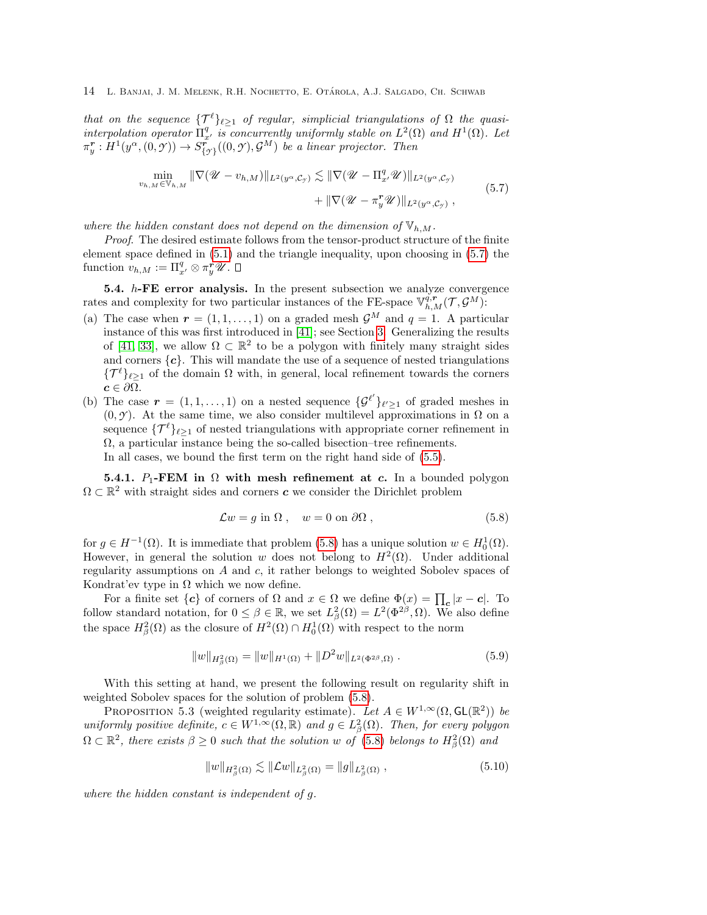that on the sequence  $\{\mathcal{T}^{\ell}\}_{\ell \geq 1}$  of regular, simplicial triangulations of  $\Omega$  the quasiinterpolation operator  $\Pi_{x'}^q$  is concurrently uniformly stable on  $L^2(\Omega)$  and  $H^1(\Omega)$ . Let  $\pi_y^r : H^1(y^\alpha, (0, \mathcal{Y})) \to S^r_{\{\mathcal{Y}\}}((0, \mathcal{Y}), \mathcal{G}^M)$  be a linear projector. Then

<span id="page-13-1"></span>
$$
\min_{v_{h,M}\in\mathbb{V}_{h,M}} \|\nabla(\mathscr{U}-v_{h,M})\|_{L^2(y^\alpha,\mathcal{C}_\mathcal{Y})} \lesssim \|\nabla(\mathscr{U}-\Pi_{x'}^q\mathscr{U})\|_{L^2(y^\alpha,\mathcal{C}_\mathcal{Y})} \n+ \|\nabla(\mathscr{U}-\pi_y^r\mathscr{U})\|_{L^2(y^\alpha,\mathcal{C}_\mathcal{Y})},
$$
\n(5.7)

where the hidden constant does not depend on the dimension of  $\mathbb{V}_{h,M}$ .

Proof. The desired estimate follows from the tensor-product structure of the finite element space defined in [\(5.1\)](#page-12-0) and the triangle inequality, upon choosing in [\(5.7\)](#page-13-1) the function  $v_{h,M} := \Pi_{x'}^q \otimes \pi_y^r \mathscr{U}.$ 

<span id="page-13-0"></span>5.4.  $h$ -FE error analysis. In the present subsection we analyze convergence rates and complexity for two particular instances of the FE-space  $\mathbb{V}_{h,M}^{q,r}(\mathcal{T}, \mathcal{G}^M)$ :

- (a) The case when  $r = (1, 1, \ldots, 1)$  on a graded mesh  $\mathcal{G}^M$  and  $q = 1$ . A particular instance of this was first introduced in [\[41\]](#page-43-1); see Section [3.](#page-4-4) Generalizing the results of [\[41,](#page-43-1) [33\]](#page-42-5), we allow  $\Omega \subset \mathbb{R}^2$  to be a polygon with finitely many straight sides and corners  $\{c\}$ . This will mandate the use of a sequence of nested triangulations  ${\{\mathcal{T}^{\ell}\}}_{\ell \geq 1}$  of the domain  $\Omega$  with, in general, local refinement towards the corners  $c \in \partial \Omega$ .
- (b) The case  $\mathbf{r} = (1, 1, \ldots, 1)$  on a nested sequence  $\{\mathcal{G}^{\ell'}\}_{\ell' \geq 1}$  of graded meshes in  $(0, \mathcal{Y})$ . At the same time, we also consider multilevel approximations in  $\Omega$  on a sequence  $\{\mathcal{T}^{\ell}\}_{\ell>1}$  of nested triangulations with appropriate corner refinement in  $\Omega$ , a particular instance being the so-called bisection–tree refinements. In all cases, we bound the first term on the right hand side of [\(5.5\)](#page-12-4).

**5.4.1.** P<sub>1</sub>-FEM in  $\Omega$  with mesh refinement at c. In a bounded polygon  $\Omega \subset \mathbb{R}^2$  with straight sides and corners c we consider the Dirichlet problem

<span id="page-13-2"></span>
$$
\mathcal{L}w = g \text{ in } \Omega \,, \quad w = 0 \text{ on } \partial\Omega \,, \tag{5.8}
$$

for  $g \in H^{-1}(\Omega)$ . It is immediate that problem [\(5.8\)](#page-13-2) has a unique solution  $w \in H_0^1(\Omega)$ . However, in general the solution w does not belong to  $H^2(\Omega)$ . Under additional regularity assumptions on  $A$  and  $c$ , it rather belongs to weighted Sobolev spaces of Kondrat'ev type in  $\Omega$  which we now define.

For a finite set  $\{c\}$  of corners of  $\Omega$  and  $x \in \Omega$  we define  $\Phi(x) = \prod_{c} |x - c|$ . To follow standard notation, for  $0 \le \beta \in \mathbb{R}$ , we set  $L^2_{\beta}(\Omega) = L^2(\Phi^{2\beta}, \Omega)$ . We also define the space  $H^2_{\beta}(\Omega)$  as the closure of  $H^2(\Omega) \cap H^1_0(\Omega)$  with respect to the norm

$$
||w||_{H^2_{\beta}(\Omega)} = ||w||_{H^1(\Omega)} + ||D^2 w||_{L^2(\Phi^{2\beta}, \Omega)}.
$$
\n(5.9)

With this setting at hand, we present the following result on regularity shift in weighted Sobolev spaces for the solution of problem [\(5.8\)](#page-13-2).

PROPOSITION 5.3 (weighted regularity estimate). Let  $A \in W^{1,\infty}(\Omega, GL(\mathbb{R}^2))$  be uniformly positive definite,  $c \in W^{1,\infty}(\Omega,\mathbb{R})$  and  $g \in L^2_{\beta}(\Omega)$ . Then, for every polygon  $\Omega \subset \mathbb{R}^2$ , there exists  $\beta \geq 0$  such that the solution w of [\(5.8\)](#page-13-2) belongs to  $H^2_\beta(\Omega)$  and

<span id="page-13-4"></span><span id="page-13-3"></span>
$$
||w||_{H^2_{\beta}(\Omega)} \lesssim ||\mathcal{L}w||_{L^2_{\beta}(\Omega)} = ||g||_{L^2_{\beta}(\Omega)},
$$
\n(5.10)

where the hidden constant is independent of g.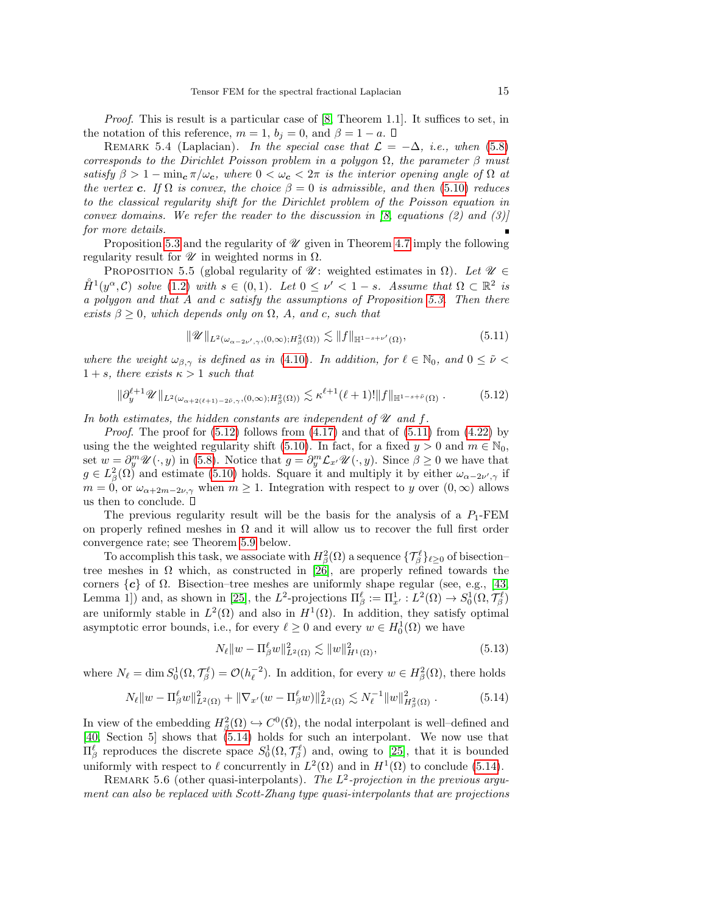Proof. This is result is a particular case of [\[8,](#page-41-4) Theorem 1.1]. It suffices to set, in the notation of this reference,  $m = 1$ ,  $b_i = 0$ , and  $\beta = 1 - a$ .  $\Box$ 

REMARK 5.4 (Laplacian). In the special case that  $\mathcal{L} = -\Delta$ , i.e., when [\(5.8\)](#page-13-2) corresponds to the Dirichlet Poisson problem in a polygon  $\Omega$ , the parameter  $\beta$  must satisfy  $\beta > 1 - \min_{\mathbf{c}} \pi/\omega_{\mathbf{c}}$ , where  $0 < \omega_{\mathbf{c}} < 2\pi$  is the interior opening angle of  $\Omega$  at the vertex c. If  $\Omega$  is convex, the choice  $\beta = 0$  is admissible, and then [\(5.10\)](#page-13-3) reduces to the classical regularity shift for the Dirichlet problem of the Poisson equation in convex domains. We refer the reader to the discussion in  $\beta$ , equations  $\beta$  and  $\beta$ ) for more details.

Proposition [5.3](#page-13-4) and the regularity of  $\mathcal U$  given in Theorem [4.7](#page-9-0) imply the following regularity result for  $\mathscr U$  in weighted norms in  $\Omega$ .

PROPOSITION 5.5 (global regularity of  $\mathscr{U}$ : weighted estimates in  $\Omega$ ). Let  $\mathscr{U} \in$  $\mathring{H}^1(y^\alpha, \mathcal{C})$  solve [\(1.2\)](#page-1-1) with  $s \in (0,1)$ . Let  $0 \leq \nu' < 1-s$ . Assume that  $\Omega \subset \mathbb{R}^2$  is a polygon and that A and c satisfy the assumptions of Proposition [5.3.](#page-13-4) Then there exists  $\beta \geq 0$ , which depends only on  $\Omega$ , A, and c, such that

<span id="page-14-1"></span>
$$
\|\mathscr{U}\|_{L^2(\omega_{\alpha-2\nu',\gamma},(0,\infty);H^2_\beta(\Omega))} \lesssim \|f\|_{\mathbb{H}^{1-s+\nu'}(\Omega)},\tag{5.11}
$$

where the weight  $\omega_{\beta,\gamma}$  is defined as in [\(4.10\)](#page-8-0). In addition, for  $\ell \in \mathbb{N}_0$ , and  $0 \leq \tilde{\nu} <$  $1 + s$ , there exists  $\kappa > 1$  such that

<span id="page-14-0"></span>
$$
\|\partial_y^{\ell+1}\mathscr{U}\|_{L^2(\omega_{\alpha+2(\ell+1)-2\tilde{\nu},\gamma},(0,\infty);H^2_\beta(\Omega))} \lesssim \kappa^{\ell+1}(\ell+1)! \|f\|_{\mathbb{H}^{1-s+\tilde{\nu}}(\Omega)}.
$$
 (5.12)

In both estimates, the hidden constants are independent of  $\mathcal U$  and  $f$ .

*Proof.* The proof for  $(5.12)$  follows from  $(4.17)$  and that of  $(5.11)$  from  $(4.22)$  by using the the weighted regularity shift [\(5.10\)](#page-13-3). In fact, for a fixed  $y > 0$  and  $m \in \mathbb{N}_0$ , set  $w = \partial_y^m \mathscr{U}(\cdot, y)$  in [\(5.8\)](#page-13-2). Notice that  $g = \partial_y^m \mathcal{L}_{x'} \mathscr{U}(\cdot, y)$ . Since  $\beta \geq 0$  we have that  $g \in L^2_{\beta}(\Omega)$  and estimate [\(5.10\)](#page-13-3) holds. Square it and multiply it by either  $\omega_{\alpha-2\nu',\gamma}$  if  $m = 0$ , or  $\omega_{\alpha+2m-2\nu,\gamma}$  when  $m \ge 1$ . Integration with respect to y over  $(0,\infty)$  allows us then to conclude.  $\square$ 

The previous regularity result will be the basis for the analysis of a  $P_1$ -FEM on properly refined meshes in  $\Omega$  and it will allow us to recover the full first order convergence rate; see Theorem [5.9](#page-17-0) below.

To accomplish this task, we associate with  $H^2_\beta(\Omega)$  a sequence  $\{\mathcal{T}_\beta^\ell\}_{\ell \geq 0}$  of bisection– tree meshes in  $\Omega$  which, as constructed in [\[26\]](#page-42-17), are properly refined towards the corners  $\{c\}$  of  $\Omega$ . Bisection–tree meshes are uniformly shape regular (see, e.g., [\[43,](#page-43-6) Lemma 1]) and, as shown in [\[25\]](#page-42-16), the  $L^2$ -projections  $\Pi_{\beta}^{\ell} := \Pi_{x'}^1 : L^2(\Omega) \to S_0^1(\Omega, \mathcal{T}_{\beta}^{\ell})$ are uniformly stable in  $L^2(\Omega)$  and also in  $H^1(\Omega)$ . In addition, they satisfy optimal asymptotic error bounds, i.e., for every  $\ell \geq 0$  and every  $w \in H_0^1(\Omega)$  we have

<span id="page-14-3"></span>
$$
N_{\ell} \|w - \Pi_{\beta}^{\ell} w\|_{L^{2}(\Omega)}^{2} \lesssim \|w\|_{H^{1}(\Omega)}^{2}, \tag{5.13}
$$

where  $N_{\ell} = \dim S_0^1(\Omega, \mathcal{T}_{\beta}^{\ell}) = \mathcal{O}(h_{\ell}^{-2})$ . In addition, for every  $w \in H_{\beta}^2(\Omega)$ , there holds

<span id="page-14-2"></span>
$$
N_{\ell} \|w - \Pi_{\beta}^{\ell} w\|_{L^2(\Omega)}^2 + \|\nabla_{x'} (w - \Pi_{\beta}^{\ell} w)\|_{L^2(\Omega)}^2 \lesssim N_{\ell}^{-1} \|w\|_{H_{\beta}^2(\Omega)}^2.
$$
 (5.14)

In view of the embedding  $H^2_\beta(\Omega) \hookrightarrow C^0(\overline{\Omega})$ , the nodal interpolant is well-defined and [\[40,](#page-43-7) Section 5] shows that [\(5.14\)](#page-14-2) holds for such an interpolant. We now use that  $\Pi^{\ell}_{\beta}$  reproduces the discrete space  $S^1_0(\Omega, \mathcal{T}_{\beta}^{\ell})$  and, owing to [\[25\]](#page-42-16), that it is bounded uniformly with respect to  $\ell$  concurrently in  $L^2(\Omega)$  and in  $H^1(\Omega)$  to conclude [\(5.14\)](#page-14-2).

REMARK 5.6 (other quasi-interpolants). The  $L^2$ -projection in the previous argument can also be replaced with Scott-Zhang type quasi-interpolants that are projections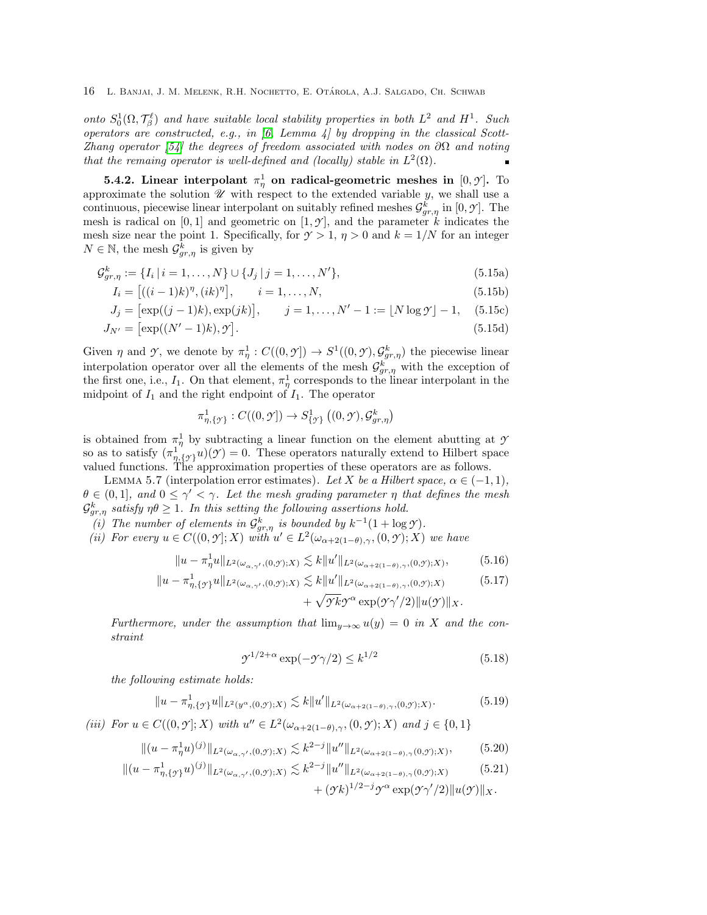onto  $S_0^1(\Omega, \mathcal{T}_{\beta}^{\ell})$  and have suitable local stability properties in both  $L^2$  and  $H^1$ . Such operators are constructed, e.g., in [\[6,](#page-41-5) Lemma 4] by dropping in the classical Scott-Zhang operator [\[54\]](#page-43-8) the degrees of freedom associated with nodes on  $\partial\Omega$  and noting that the remaing operator is well-defined and (locally) stable in  $L^2(\Omega)$ .

<span id="page-15-0"></span>**5.4.2.** Linear interpolant  $\pi^1_\eta$  on radical-geometric meshes in  $[0, \gamma]$ . To approximate the solution  $\mathscr U$  with respect to the extended variable y, we shall use a continuous, piecewise linear interpolant on suitably refined meshes  $\mathcal{G}^k_{gr,\eta}$  in [0,  $\mathcal{Y}$ ]. The mesh is radical on  $[0, 1]$  and geometric on  $[1, \mathcal{Y}]$ , and the parameter k indicates the mesh size near the point 1. Specifically, for  $\gamma > 1$ ,  $\eta > 0$  and  $k = 1/N$  for an integer  $N \in \mathbb{N}$ , the mesh  $\mathcal{G}^{\overline{k}}_{gr,\eta}$  is given by

$$
\mathcal{G}_{gr,\eta}^{k} := \{ I_i \, | \, i = 1, \dots, N \} \cup \{ J_j \, | \, j = 1, \dots, N' \},\tag{5.15a}
$$

<span id="page-15-6"></span>
$$
I_i = [((i-1)k)^{\eta}, (ik)^{\eta}], \qquad i = 1, ..., N,
$$
\n(5.15b)

$$
J_j = [\exp((j-1)k), \exp(jk)], \qquad j = 1, ..., N' - 1 := \lfloor N \log \gamma \rfloor - 1, \quad (5.15c)
$$

$$
J_{N'} = \left[ \exp((N'-1)k), \mathcal{Y} \right]. \tag{5.15d}
$$

Given  $\eta$  and  $\gamma$ , we denote by  $\pi_{\eta}^1 : C((0,\gamma]) \to S^1((0,\gamma), \mathcal{G}_{gr,\eta}^k)$  the piecewise linear interpolation operator over all the elements of the mesh  $\mathcal{G}^k_{gr,\eta}$  with the exception of the first one, i.e.,  $I_1$ . On that element,  $\pi^1_\eta$  corresponds to the linear interpolant in the midpoint of  $I_1$  and the right endpoint of  $I_1$ . The operator

<span id="page-15-3"></span>
$$
\pi_{\eta,\{\mathcal{Y}\}}^1:C((0,\mathcal{Y}])\to S^1_{\{\mathcal{Y}\}}((0,\mathcal{Y}),\mathcal{G}_{gr,\eta}^k)
$$

is obtained from  $\pi_n^1$  by subtracting a linear function on the element abutting at  $\gamma$ so as to satisfy  $(\pi_{\eta,\{y\}}^1 u)(y) = 0$ . These operators naturally extend to Hilbert space valued functions. The approximation properties of these operators are as follows.

<span id="page-15-7"></span>LEMMA 5.7 (interpolation error estimates). Let X be a Hilbert space,  $\alpha \in (-1,1)$ ,  $\theta \in (0,1],$  and  $0 \leq \gamma' < \gamma$ . Let the mesh grading parameter  $\eta$  that defines the mesh  $\mathcal{G}^k_{gr,\eta}$  satisfy  $\eta\theta\geq 1$ . In this setting the following assertions hold.

- <span id="page-15-9"></span>(i) The number of elements in  $\mathcal{G}^k_{gr,\eta}$  is bounded by  $k^{-1}(1 + \log \mathcal{Y})$ .
- <span id="page-15-1"></span>(*ii*) For every  $u \in C((0,\mathcal{Y}];X)$  with  $u' \in L^2(\omega_{\alpha+2(1-\theta),\gamma},(0,\mathcal{Y});X)$  we have

$$
||u - \pi_{\eta}^{1}u||_{L^{2}(\omega_{\alpha,\gamma'},(0,\gamma);X)} \lesssim k||u'||_{L^{2}(\omega_{\alpha+2(1-\theta),\gamma},(0,\gamma);X)},
$$
(5.16)

$$
||u - \pi_{\eta, \{ \mathcal{Y} \}}^1 u||_{L^2(\omega_{\alpha, \gamma'}, (0, \mathcal{Y}); X)} \lesssim k ||u'||_{L^2(\omega_{\alpha + 2(1-\theta), \gamma}, (0, \mathcal{Y}); X)} \qquad (5.17)
$$
  
+  $\sqrt{\mathcal{Y}k} \mathcal{Y}^{\alpha} \exp(\mathcal{Y} \gamma'/2) ||u(\mathcal{Y})||_X.$ 

Furthermore, under the assumption that 
$$
\lim_{y\to\infty} u(y) = 0
$$
 in X and the constraint

<span id="page-15-8"></span><span id="page-15-4"></span>
$$
\mathcal{I}^{1/2+\alpha} \exp(-\mathcal{I}\gamma/2) \le k^{1/2} \tag{5.18}
$$

the following estimate holds:

$$
||u - \pi_{\eta,\{\mathcal{Y}\}}^1 u||_{L^2(y^{\alpha},(0,\mathcal{Y});X)} \lesssim k||u'||_{L^2(\omega_{\alpha+2(1-\theta),\gamma},(0,\mathcal{Y});X)}.
$$
 (5.19)

<span id="page-15-2"></span>(*iii*) For  $u \in C((0, \mathcal{Y}]; X)$  with  $u'' \in L^2(\omega_{\alpha+2(1-\theta), \gamma}, (0, \mathcal{Y}); X)$  and  $j \in \{0, 1\}$ 

$$
\|(u - \pi_{\eta}^{1}u)^{(j)}\|_{L^{2}(\omega_{\alpha,\gamma'}(0,\mathcal{I});X)} \lesssim k^{2-j} \|u''\|_{L^{2}(\omega_{\alpha+2(1-\theta),\gamma}(0,\mathcal{I});X)},\tag{5.20}
$$

$$
\|(u - \pi_{\eta,\{\mathcal{I}\}}^1 u)^{(j)}\|_{L^2(\omega_{\alpha,\gamma'},(0,\mathcal{I});X)} \lesssim k^{2-j} \|u''\|_{L^2(\omega_{\alpha+2(1-\theta),\gamma}(0,\mathcal{I});X)} \tag{5.21}
$$

<span id="page-15-5"></span>
$$
+(\gamma k)^{1/2-j}\gamma^\alpha\exp(\gamma\gamma'/2)\|u(\gamma)\|_X.
$$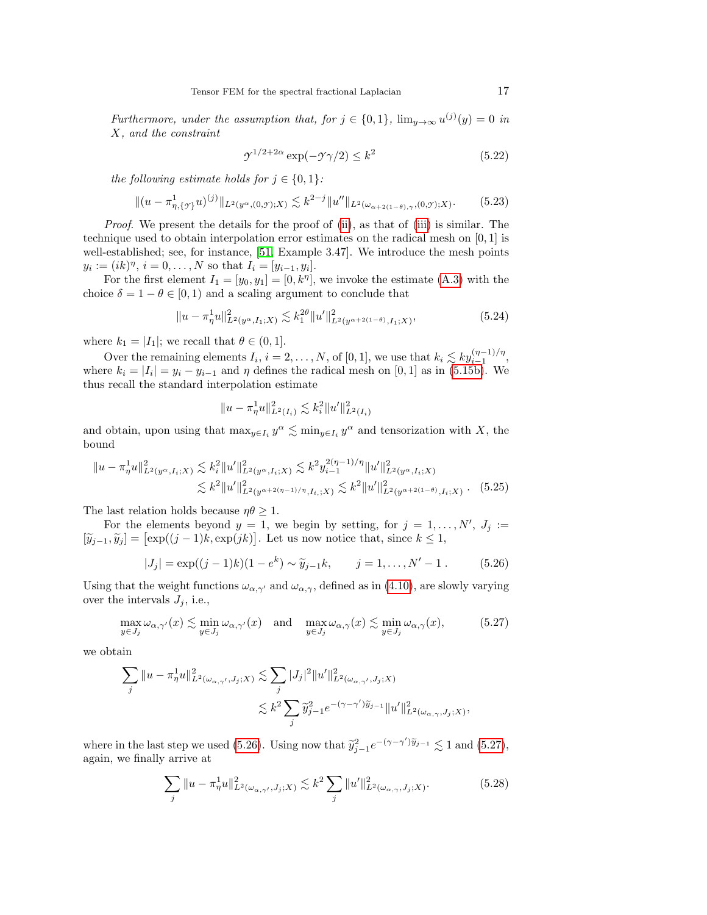Furthermore, under the assumption that, for  $j \in \{0,1\}$ ,  $\lim_{y\to\infty} u^{(j)}(y) = 0$  in X, and the constraint

<span id="page-16-6"></span><span id="page-16-5"></span>
$$
\mathcal{Y}^{1/2+2\alpha} \exp(-\mathcal{Y}\gamma/2) \le k^2 \tag{5.22}
$$

the following estimate holds for  $j \in \{0,1\}$ :

$$
\|(u - \pi_{\eta,\{\mathcal{I}\}}^1 u)^{(j)}\|_{L^2(y^{\alpha},(0,\mathcal{I});X)} \lesssim k^{2-j} \|u''\|_{L^2(\omega_{\alpha+2(1-\theta),\gamma},(0,\mathcal{I});X)}.\tag{5.23}
$$

Proof. We present the details for the proof of [\(ii\)](#page-15-1), as that of [\(iii\)](#page-15-2) is similar. The technique used to obtain interpolation error estimates on the radical mesh on [0, 1] is well-established; see, for instance, [\[51,](#page-43-9) Example 3.47]. We introduce the mesh points  $y_i := (ik)^{\eta}, i = 0, \dots, N$  so that  $I_i = [y_{i-1}, y_i].$ 

For the first element  $I_1 = [y_0, y_1] = [0, k^{\eta}],$  we invoke the estimate [\(A.3\)](#page-37-0) with the choice  $\delta = 1 - \theta \in [0, 1)$  and a scaling argument to conclude that

<span id="page-16-2"></span>
$$
||u - \pi_{\eta}^1 u||_{L^2(y^{\alpha}, I_1;X)}^2 \lesssim k_1^{2\theta} ||u'||_{L^2(y^{\alpha+2(1-\theta)}, I_1;X)}^2,
$$
\n(5.24)

where  $k_1 = |I_1|$ ; we recall that  $\theta \in (0, 1]$ .

Over the remaining elements  $I_i$ ,  $i = 2, ..., N$ , of [0, 1], we use that  $k_i \lesssim k y_{i-1}^{(\eta-1)/\eta}$ , where  $k_i = |I_i| = y_i - y_{i-1}$  and  $\eta$  defines the radical mesh on [0, 1] as in [\(5.15b\)](#page-15-3). We thus recall the standard interpolation estimate

<span id="page-16-3"></span>
$$
||u - \pi_{\eta}^1 u||_{L^2(I_i)}^2 \lesssim k_i^2 ||u'||_{L^2(I_i)}^2
$$

and obtain, upon using that  $\max_{y \in I_i} y^{\alpha} \lesssim \min_{y \in I_i} y^{\alpha}$  and tensorization with X, the bound

$$
\|u - \pi_{\eta}^1 u\|_{L^2(y^{\alpha}, I_i;X)}^2 \lesssim k_i^2 \|u'\|_{L^2(y^{\alpha}, I_i;X)}^2 \lesssim k^2 y_{i-1}^{2(\eta-1)/\eta} \|u'\|_{L^2(y^{\alpha}, I_i;X)}^2
$$
  

$$
\lesssim k^2 \|u'\|_{L^2(y^{\alpha+2(\eta-1)/\eta}, I_i;X)}^2 \lesssim k^2 \|u'\|_{L^2(y^{\alpha+2(1-\theta)}, I_i;X)}^2.
$$
 (5.25)

The last relation holds because  $\eta\theta \geq 1$ .

For the elements beyond  $y = 1$ , we begin by setting, for  $j = 1, \ldots, N', J_j :=$  $[\widetilde{y}_{j-1}, \widetilde{y}_j] = [\exp((j-1)k, \exp(jk)].$  Let us now notice that, since  $k \leq 1$ ,

<span id="page-16-0"></span>
$$
|J_j| = \exp((j-1)k)(1 - e^k) \sim \tilde{y}_{j-1}k, \qquad j = 1, ..., N' - 1.
$$
 (5.26)

Using that the weight functions  $\omega_{\alpha,\gamma'}$  and  $\omega_{\alpha,\gamma}$ , defined as in [\(4.10\)](#page-8-0), are slowly varying over the intervals  $J_j$ , i.e.,

<span id="page-16-1"></span>
$$
\max_{y \in J_j} \omega_{\alpha,\gamma'}(x) \lesssim \min_{y \in J_j} \omega_{\alpha,\gamma'}(x) \quad \text{and} \quad \max_{y \in J_j} \omega_{\alpha,\gamma}(x) \lesssim \min_{y \in J_j} \omega_{\alpha,\gamma}(x), \tag{5.27}
$$

we obtain

$$
\begin{split} \sum_j \|u-\pi_\eta^1 u\|_{L^2(\omega_{\alpha,\gamma'},J_j;X)}^2 &\lesssim \sum_j |J_j|^2 \|u'\|_{L^2(\omega_{\alpha,\gamma'},J_j;X)}^2 \\ &\lesssim k^2 \sum_j \widetilde{y}_{j-1}^2 e^{-(\gamma-\gamma')\widetilde{y}_{j-1}} \|u'\|_{L^2(\omega_{\alpha,\gamma},J_j;X)}^2, \end{split}
$$

where in the last step we used [\(5.26\)](#page-16-0). Using now that  $\tilde{y}_{j-1}^2 e^{-(\gamma-\gamma')\tilde{y}_{j-1}} \lesssim 1$  and [\(5.27\)](#page-16-1), again, we finally arrive at

<span id="page-16-4"></span>
$$
\sum_{j} \|u - \pi_{\eta}^{1}u\|_{L^{2}(\omega_{\alpha,\gamma'},J_{j};X)}^{2} \lesssim k^{2} \sum_{j} \|u'\|_{L^{2}(\omega_{\alpha,\gamma},J_{j};X)}^{2}.
$$
 (5.28)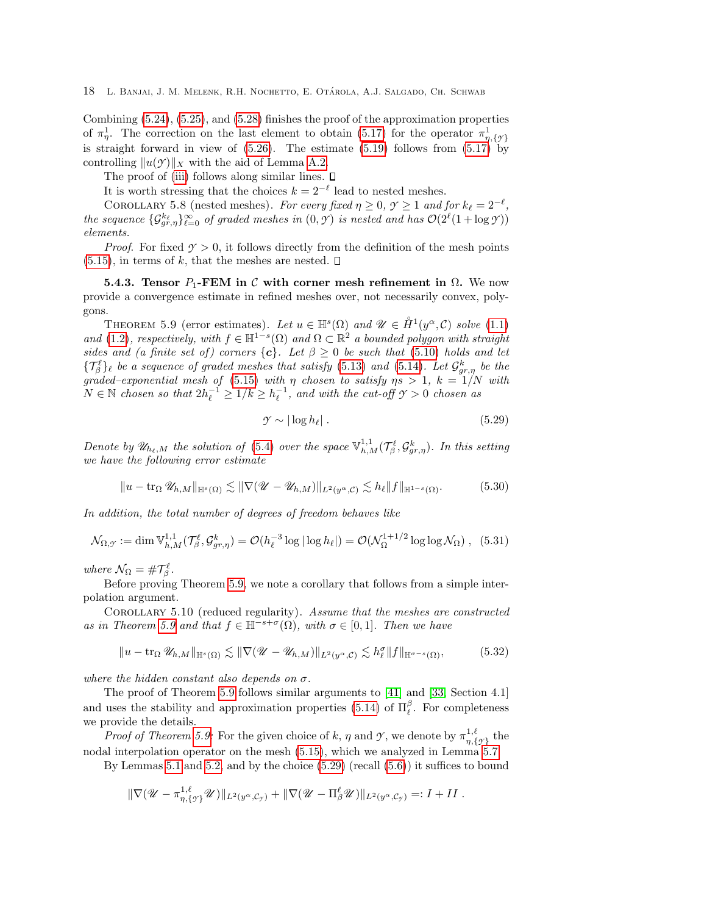Combining [\(5.24\)](#page-16-2), [\(5.25\)](#page-16-3), and [\(5.28\)](#page-16-4) finishes the proof of the approximation properties of  $\pi_{\eta}^1$ . The correction on the last element to obtain [\(5.17\)](#page-15-4) for the operator  $\pi_{\eta,\{\gamma\}}^1$ is straight forward in view of  $(5.26)$ . The estimate  $(5.19)$  follows from  $(5.17)$  by controlling  $||u(\mathcal{Y})||_X$  with the aid of Lemma [A.2.](#page-39-0)

The proof of [\(iii\)](#page-15-2) follows along similar lines.  $\square$ 

It is worth stressing that the choices  $k = 2^{-\ell}$  lead to nested meshes.

<span id="page-17-4"></span>COROLLARY 5.8 (nested meshes). For every fixed  $\eta \ge 0$ ,  $\gamma \ge 1$  and for  $k_{\ell} = 2^{-\ell}$ , the sequence  $\{\mathcal{G}_{gr,\eta}^{k_{\ell}}\}_{\ell=0}^{\infty}$  of graded meshes in  $(0,\mathcal{Y})$  is nested and has  $\mathcal{O}(2^{\ell}(1 + \log \mathcal{Y}))$ elements.

*Proof.* For fixed  $\gamma > 0$ , it follows directly from the definition of the mesh points  $(5.15)$ , in terms of k, that the meshes are nested.  $\square$ 

<span id="page-17-5"></span>5.4.3. Tensor  $P_1$ -FEM in C with corner mesh refinement in  $\Omega$ . We now provide a convergence estimate in refined meshes over, not necessarily convex, polygons.

<span id="page-17-0"></span>THEOREM 5.9 (error estimates). Let  $u \in \mathbb{H}^s(\Omega)$  and  $\mathscr{U} \in \mathring{H}^1(y^\alpha, \mathcal{C})$  solve [\(1.1\)](#page-1-0) and [\(1.2\)](#page-1-1), respectively, with  $f \in \mathbb{H}^{1-s}(\Omega)$  and  $\Omega \subset \mathbb{R}^2$  a bounded polygon with straight sides and (a finite set of) corners  ${c}$ . Let  $\beta \geq 0$  be such that [\(5.10\)](#page-13-3) holds and let  $\{\mathcal{T}_{\beta}^{\ell}\}_\ell$  be a sequence of graded meshes that satisfy [\(5.13\)](#page-14-3) and [\(5.14\)](#page-14-2). Let  $\mathcal{G}_{gr,\eta}^k$  be the graded–exponential mesh of [\(5.15\)](#page-15-6) with  $\eta$  chosen to satisfy  $\eta s > 1$ ,  $k = 1/N$  with  $N \in \mathbb{N}$  chosen so that  $2h_{\ell}^{-1} \geq 1/k \geq h_{\ell}^{-1}$ , and with the cut-off  $\gamma > 0$  chosen as

<span id="page-17-1"></span>
$$
\mathcal{Y} \sim |\log h_{\ell}| \tag{5.29}
$$

Denote by  $\mathscr{U}_{h_\ell,M}$  the solution of [\(5.4\)](#page-12-3) over the space  $\mathbb{V}_{h,M}^{1,1}(\mathcal{T}_{\beta}^{\ell},\mathcal{G}_{gr,\eta}^k)$ . In this setting we have the following error estimate

<span id="page-17-2"></span> $||u - \text{tr}_{\Omega} \mathscr{U}_{h,M}||_{\mathbb{H}^{s}(\Omega)} \lesssim ||\nabla (\mathscr{U} - \mathscr{U}_{h,M})||_{L^{2}(u^{\alpha},\mathcal{C})} \lesssim h_{\ell} ||f||_{\mathbb{H}^{1-s}(\Omega)}.$  (5.30)

In addition, the total number of degrees of freedom behaves like

<span id="page-17-3"></span>
$$
\mathcal{N}_{\Omega,\mathcal{Y}} := \dim \mathbb{V}^{1,1}_{h,M}(\mathcal{T}_{\beta}^{\ell},\mathcal{G}_{gr,\eta}^{k}) = \mathcal{O}(h_{\ell}^{-3}\log|\log h_{\ell}|) = \mathcal{O}(\mathcal{N}_{\Omega}^{1+1/2}\log\log \mathcal{N}_{\Omega}), \quad (5.31)
$$

where  $\mathcal{N}_{\Omega} = \# \mathcal{T}_{\beta}^{\ell}$ .

Before proving Theorem [5.9,](#page-17-0) we note a corollary that follows from a simple interpolation argument.

COROLLARY 5.10 (reduced regularity). Assume that the meshes are constructed as in Theorem [5.9](#page-17-0) and that  $f \in \mathbb{H}^{-s+\sigma}(\Omega)$ , with  $\sigma \in [0,1]$ . Then we have

$$
||u - \operatorname{tr}_{\Omega} \mathscr{U}_{h,M}||_{\mathbb{H}^{s}(\Omega)} \lesssim ||\nabla (\mathscr{U} - \mathscr{U}_{h,M})||_{L^{2}(y^{\alpha}, \mathcal{C})} \lesssim h_{\ell}^{\sigma} ||f||_{\mathbb{H}^{\sigma-s}(\Omega)},
$$
\n(5.32)

where the hidden constant also depends on  $\sigma$ .

The proof of Theorem [5.9](#page-17-0) follows similar arguments to [\[41\]](#page-43-1) and [\[33,](#page-42-5) Section 4.1] and uses the stability and approximation properties [\(5.14\)](#page-14-2) of  $\Pi_{\ell}^{\beta}$ . For completeness we provide the details.

*Proof of Theorem [5.9:](#page-17-0)* For the given choice of k,  $\eta$  and  $\gamma$ , we denote by  $\pi^{1,\ell}_{n,\ell}$  $\big\{\begin{array}{c}\n\frac{1,\ell}{\eta,\{\gamma\}}\n\end{array}$  the nodal interpolation operator on the mesh [\(5.15\)](#page-15-6), which we analyzed in Lemma [5.7.](#page-15-7)

By Lemmas [5.1](#page-12-6) and [5.2,](#page-12-7) and by the choice  $(5.29)$  (recall  $(5.6)$ ) it suffices to bound

$$
\|\nabla (\mathscr{U}-\pi_{\eta,\{\mathscr{Y}\}}^{1,\ell}\mathscr{U})\|_{L^2(y^\alpha,\mathcal{C}_{\mathscr{Y}})}+\|\nabla (\mathscr{U}-\Pi_{\beta}^{\ell}\mathscr{U})\|_{L^2(y^\alpha,\mathcal{C}_{\mathscr{Y}})}=:I+II.
$$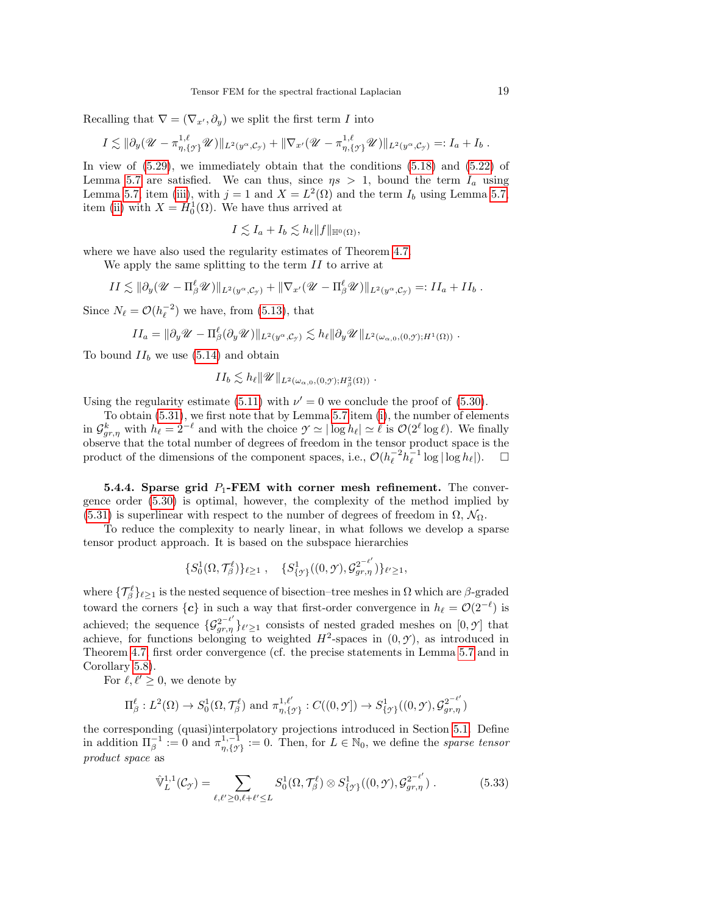Recalling that  $\nabla = (\nabla_{x'}, \partial_y)$  we split the first term I into

$$
I \lesssim \|\partial_y(\mathscr{U}-\pi_{\eta,\{\gamma\}}^{1,\ell}\mathscr{U})\|_{L^2(y^\alpha,\mathcal{C}_\gamma)} + \|\nabla_{x'}(\mathscr{U}-\pi_{\eta,\{\gamma\}}^{1,\ell}\mathscr{U})\|_{L^2(y^\alpha,\mathcal{C}_\gamma)} =: I_a + I_b.
$$

In view of  $(5.29)$ , we immediately obtain that the conditions  $(5.18)$  and  $(5.22)$  of Lemma [5.7](#page-15-7) are satisfied. We can thus, since  $\eta s > 1$ , bound the term  $I_a$  using Lemma [5.7,](#page-15-7) item [\(iii\)](#page-15-2), with  $j = 1$  and  $X = L^2(\Omega)$  and the term  $I_b$  using Lemma 5.7, item [\(ii\)](#page-15-1) with  $X = H_0^1(\Omega)$ . We have thus arrived at

$$
I \lesssim I_a + I_b \lesssim h_\ell \|f\|_{\mathbb{H}^0(\Omega)},
$$

where we have also used the regularity estimates of Theorem [4.7.](#page-9-0)

We apply the same splitting to the term  $II$  to arrive at

$$
II \lesssim \|\partial_y(\mathscr{U}-\Pi_\beta^\ell \mathscr{U})\|_{L^2(y^\alpha,\mathcal{C}_y)} + \|\nabla_{x'}(\mathscr{U}-\Pi_\beta^\ell \mathscr{U})\|_{L^2(y^\alpha,\mathcal{C}_y)} =: II_a + II_b.
$$

Since  $N_{\ell} = \mathcal{O}(h_{\ell}^{-2})$  we have, from [\(5.13\)](#page-14-3), that

$$
II_a = \|\partial_y \mathscr{U} - \Pi_\beta^\ell (\partial_y \mathscr{U})\|_{L^2(y^\alpha, \mathcal{C}_y)} \lesssim h_\ell \|\partial_y \mathscr{U}\|_{L^2(\omega_{\alpha,0}, (0,\mathcal{Y});H^1(\Omega))}.
$$

To bound  $II_b$  we use [\(5.14\)](#page-14-2) and obtain

$$
II_b \lesssim h_\ell \| \mathscr{U} \|_{L^2(\omega_{\alpha,0}, (0,\mathcal{Y});H^2_\beta(\Omega))} .
$$

Using the regularity estimate [\(5.11\)](#page-14-1) with  $\nu' = 0$  we conclude the proof of [\(5.30\)](#page-17-2).

To obtain [\(5.31\)](#page-17-3), we first note that by Lemma [5.7](#page-15-7) item [\(i\)](#page-15-9), the number of elements in  $\mathcal{G}^k_{gr,\eta}$  with  $h_\ell = 2^{-\ell}$  and with the choice  $\mathcal{Y} \simeq |\log h_\ell| \simeq \ell$  is  $\mathcal{O}(2^{\ell} \log \ell)$ . We finally observe that the total number of degrees of freedom in the tensor product space is the product of the dimensions of the component spaces, i.e.,  $\mathcal{O}(h_{\ell}^{-2}h_{\ell}^{-1}\log|\log h_{\ell}|).$   $\Box$ 

<span id="page-18-1"></span>5.4.4. Sparse grid  $P_1$ -FEM with corner mesh refinement. The convergence order [\(5.30\)](#page-17-2) is optimal, however, the complexity of the method implied by [\(5.31\)](#page-17-3) is superlinear with respect to the number of degrees of freedom in  $\Omega$ ,  $\mathcal{N}_{\Omega}$ .

To reduce the complexity to nearly linear, in what follows we develop a sparse tensor product approach. It is based on the subspace hierarchies

$$
\{S_0^1(\Omega, \mathcal{T}_{\beta}^{\ell})\}_{\ell \geq 1}\;,\quad \{S_{\{\mathcal{I}\}}^1((0,\mathcal{Y}),\mathcal{G}_{gr,\eta}^{2^{-\ell'}})\}_{\ell' \geq 1},
$$

where  $\{\mathcal{T}_{\beta}^{\ell}\}_{\ell \geq 1}$  is the nested sequence of bisection–tree meshes in  $\Omega$  which are  $\beta$ -graded toward the corners  $\{c\}$  in such a way that first-order convergence in  $h_\ell = \mathcal{O}(2^{-\ell})$  is achieved; the sequence  $\{G_{gr,\eta}^{2^{-\ell'}}\}_{\ell'\geq 1}$  consists of nested graded meshes on  $[0,\mathcal{Y}]$  that achieve, for functions belonging to weighted  $H^2$ -spaces in  $(0, \mathcal{Y})$ , as introduced in Theorem [4.7,](#page-9-0) first order convergence (cf. the precise statements in Lemma [5.7](#page-15-7) and in Corollary [5.8\)](#page-17-4).

For  $\ell, \ell' \geq 0$ , we denote by

$$
\Pi_{\beta}^{\ell}: L^2(\Omega) \to S_0^1(\Omega, \mathcal{T}_{\beta}^{\ell}) \text{ and } \pi_{\eta, {\{\gamma\}}}^{1,\ell'}: C((0,\mathcal{Y}]) \to S_{\{\gamma\}}^1((0,\mathcal{Y}), \mathcal{G}_{gr,\eta}^{2^{-\ell'}})
$$

the corresponding (quasi)interpolatory projections introduced in Section [5.1.](#page-11-1) Define in addition  $\Pi_{\beta}^{-1} := 0$  and  $\pi_{\eta,\{\gamma}}^{1,-1}$  $\eta_{\eta,\{\gamma\}}^{1,-1} := 0.$  Then, for  $L \in \mathbb{N}_0$ , we define the *sparse tensor* product space as

<span id="page-18-0"></span>
$$
\hat{\mathbb{V}}_L^{1,1}(\mathcal{C}_{\mathcal{I}}) = \sum_{\ell,\ell' \ge 0,\ell+\ell' \le L} S_0^1(\Omega, \mathcal{T}_{\beta}^{\ell}) \otimes S_{\{\mathcal{I}\}}^1((0,\mathcal{I}), \mathcal{G}_{gr,\eta}^{2^{-\ell'}}) . \tag{5.33}
$$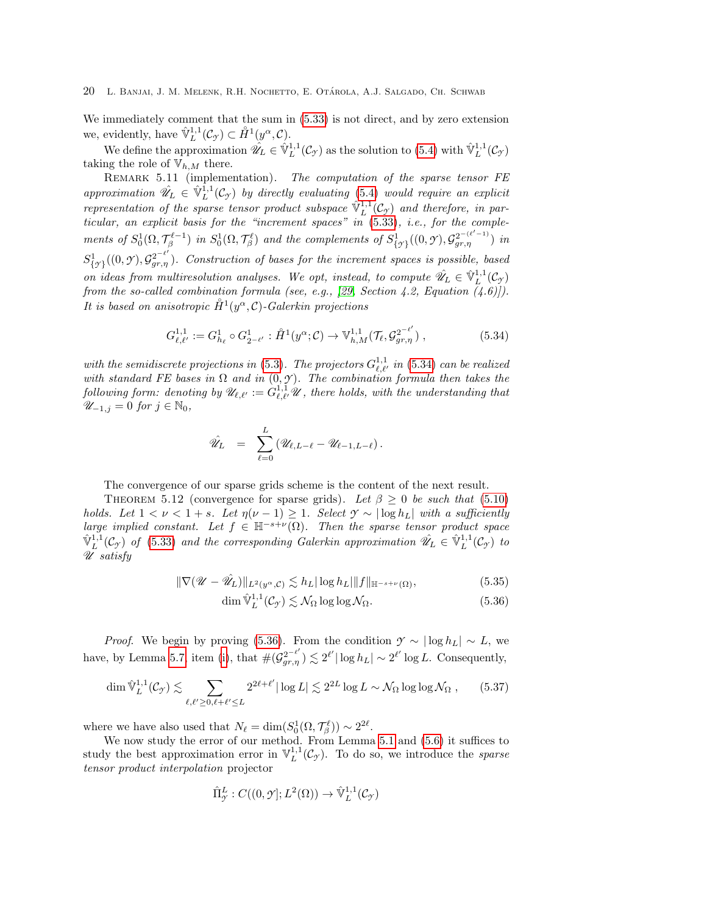We immediately comment that the sum in [\(5.33\)](#page-18-0) is not direct, and by zero extension we, evidently, have  $\hat{\mathbb{V}}_L^{1,1}(\mathcal{C}_{\mathcal{T}}) \subset \mathring{H}^1(y^\alpha, \mathcal{C}).$ 

We define the approximation  $\hat{\mathscr{U}}_L \in \hat{\mathbb{V}}_L^{1,1}(\mathcal{C}_{\mathcal{Y}})$  as the solution to [\(5.4\)](#page-12-3) with  $\hat{\mathbb{V}}_L^{1,1}(\mathcal{C}_{\mathcal{Y}})$ taking the role of  $V_{h,M}$  there.

<span id="page-19-3"></span>REMARK 5.11 (implementation). The computation of the sparse tensor FE approximation  $\hat{\mathcal{U}}_L \in \hat{\mathbb{V}}_L^{1,1}(\mathcal{C}_{\gamma})$  by directly evaluating [\(5.4\)](#page-12-3) would require an explicit representation of the sparse tensor product subspace  $\hat{\mathbb{V}}_L^{1,1}(\mathcal{C}_{\gamma})$  and therefore, in particular, an explicit basis for the "increment spaces" in [\(5.33\)](#page-18-0), i.e., for the complements of  $S_0^1(\Omega, \mathcal{T}_\beta^{\ell-1})$  in  $S_0^1(\Omega, \mathcal{T}_\beta^{\ell})$  and the complements of  $S_{\{\gamma\}}^1((0,\gamma), \mathcal{G}_{gr,\eta}^{2^{-(\ell'-1)}})$  in  $S^1_{\{y\}}((0, \gamma), \mathcal{G}_{gr,\eta}^{2^{-\ell'}})$ . Construction of bases for the increment spaces is possible, based on ideas from multiresolution analyses. We opt, instead, to compute  $\hat{\mathcal{U}}_L \in \hat{\mathbb{V}}_L^{1,1}(\mathcal{C}_{\mathcal{Y}})$ from the so-called combination formula (see, e.g., [\[29,](#page-42-18) Section 4.2, Equation  $(4.6)$ ]). It is based on anisotropic  $\mathring{H}^1(y^\alpha, \mathcal{C})$ -Galerkin projections

<span id="page-19-1"></span>
$$
G_{\ell,\ell'}^{1,1} := G_{h_{\ell}}^1 \circ G_{2^{-\ell'}}^1 : \mathring{H}^1(y^{\alpha}; \mathcal{C}) \to \mathbb{V}_{h,M}^{1,1}(\mathcal{T}_{\ell}, \mathcal{G}_{gr,\eta}^{2^{-\ell'}}) ,
$$
 (5.34)

with the semidiscrete projections in [\(5.3\)](#page-12-8). The projectors  $G_{\ell,\ell'}^{1,1}$  in [\(5.34\)](#page-19-1) can be realized with standard FE bases in  $\Omega$  and in  $(0, \mathcal{Y})$ . The combination formula then takes the following form: denoting by  $\mathscr{U}_{\ell,\ell'}:=\dot{G}^{1,1}_{\ell,\ell'}\mathscr{U}$ , there holds, with the understanding that  $\mathscr{U}_{-1,j} = 0$  for  $j \in \mathbb{N}_0$ ,

$$
\hat{\mathscr{U}}_L = \sum_{\ell=0}^L (\mathscr{U}_{\ell,L-\ell} - \mathscr{U}_{\ell-1,L-\ell}).
$$

The convergence of our sparse grids scheme is the content of the next result.

<span id="page-19-0"></span>THEOREM 5.12 (convergence for sparse grids). Let  $\beta \geq 0$  be such that [\(5.10\)](#page-13-3) holds. Let  $1 < \nu < 1 + s$ . Let  $\eta(\nu - 1) \geq 1$ . Select  $\gamma \sim |\log h_L|$  with a sufficiently large implied constant. Let  $f \in \mathbb{H}^{-s+\nu}(\Omega)$ . Then the sparse tensor product space  $\hat{\mathbb{V}}_L^{1,1}(\mathcal{C}_{\gamma})$  of [\(5.33\)](#page-18-0) and the corresponding Galerkin approximation  $\hat{\mathscr{U}}_L \in \hat{\mathbb{V}}_L^{1,1}(\mathcal{C}_{\gamma})$  to U satisfy

$$
\|\nabla(\mathscr{U} - \hat{\mathscr{U}}_L)\|_{L^2(\mathscr{Y}^\alpha, \mathscr{C})} \lesssim h_L |\log h_L| \|f\|_{\mathbb{H}^{-s+\nu}(\Omega)},\tag{5.35}
$$

<span id="page-19-2"></span>
$$
\dim \hat{\mathbb{V}}_L^{1,1}(\mathcal{C}_{\mathcal{T}}) \lesssim \mathcal{N}_{\Omega} \log \log \mathcal{N}_{\Omega}.\tag{5.36}
$$

*Proof.* We begin by proving [\(5.36\)](#page-19-2). From the condition  $\gamma \sim |\log h_L| \sim L$ , we have, by Lemma [5.7,](#page-15-7) item [\(i\)](#page-15-9), that  $\#(G^{2-\ell'}_{gr,\eta}) \lesssim 2^{\ell'} |\log h_L| \sim 2^{\ell'} \log L$ . Consequently,

$$
\dim \hat{\mathbb{V}}_L^{1,1}(\mathcal{C}_{\mathcal{I}}) \lesssim \sum_{\ell,\ell' \ge 0,\ell+\ell' \le L} 2^{2\ell+\ell'} |\log L| \lesssim 2^{2L} \log L \sim \mathcal{N}_{\Omega} \log \log \mathcal{N}_{\Omega} ,\qquad (5.37)
$$

where we have also used that  $N_{\ell} = \dim(S_0^1(\Omega, \mathcal{T}_{\beta}^{\ell})) \sim 2^{2\ell}$ .

We now study the error of our method. From Lemma [5.1](#page-12-6) and [\(5.6\)](#page-12-5) it suffices to study the best approximation error in  $\mathbb{V}^{1,1}_L(\mathcal{C}_{\mathcal{I}})$ . To do so, we introduce the *sparse* tensor product interpolation projector

$$
\hat{\Pi}^L_{\mathcal{I}}: C((0,\mathcal{I}];L^2(\Omega)) \to \hat{\mathbb{V}}^{1,1}_L(\mathcal{C}_{\mathcal{I}})
$$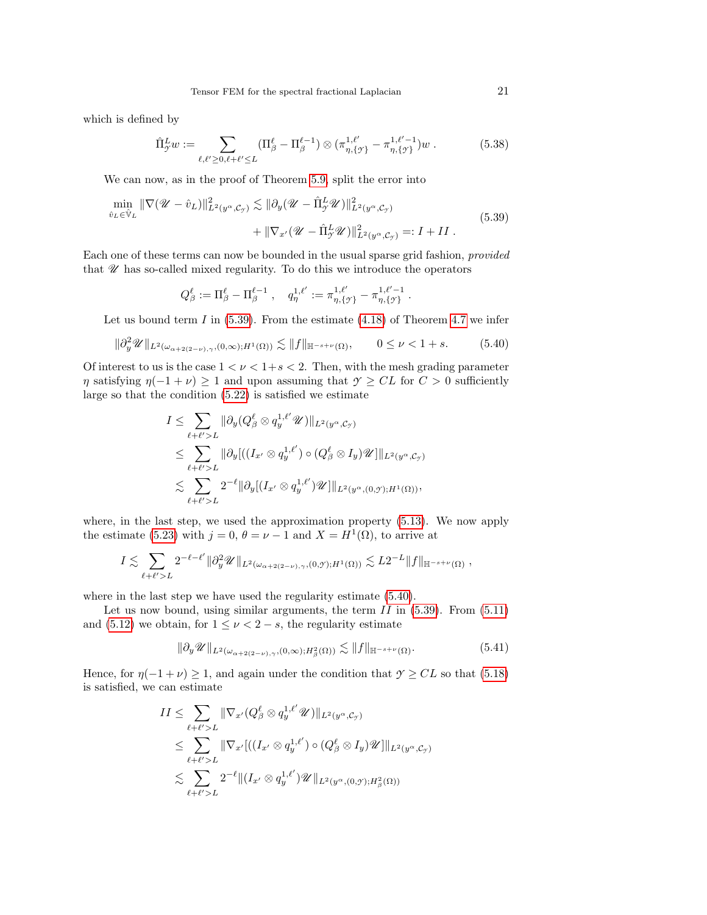which is defined by

$$
\hat{\Pi}_{\mathcal{T}}^{L} w := \sum_{\ell,\ell' \ge 0, \ell+\ell' \le L} (\Pi_{\beta}^{\ell} - \Pi_{\beta}^{\ell-1}) \otimes (\pi_{\eta,\{\mathcal{T}\}}^{1,\ell'} - \pi_{\eta,\{\mathcal{T}\}}^{1,\ell'-1}) w . \tag{5.38}
$$

We can now, as in the proof of Theorem [5.9,](#page-17-0) split the error into

<span id="page-20-0"></span>
$$
\min_{\hat{v}_L \in \hat{\mathbb{V}}_L} \|\nabla (\mathcal{U} - \hat{v}_L)\|_{L^2(y^\alpha, \mathcal{C}_{\mathcal{Y}})}^2 \lesssim \|\partial_y (\mathcal{U} - \hat{\Pi}_{\mathcal{Y}}^L \mathcal{U})\|_{L^2(y^\alpha, \mathcal{C}_{\mathcal{Y}})}^2 \n+ \|\nabla_{x'} (\mathcal{U} - \hat{\Pi}_{\mathcal{Y}}^L \mathcal{U})\|_{L^2(y^\alpha, \mathcal{C}_{\mathcal{Y}})}^2 =: I + II.
$$
\n(5.39)

Each one of these terms can now be bounded in the usual sparse grid fashion, provided that  $\mathscr U$  has so-called mixed regularity. To do this we introduce the operators

<span id="page-20-1"></span>
$$
Q_{\beta}^{\ell} := \Pi_{\beta}^{\ell} - \Pi_{\beta}^{\ell-1} , \quad q_{\eta}^{1,\ell'} := \pi_{\eta,\{\gamma\}}^{1,\ell'} - \pi_{\eta,\{\gamma\}}^{1,\ell'-1}.
$$

Let us bound term I in  $(5.39)$ . From the estimate  $(4.18)$  of Theorem [4.7](#page-9-0) we infer

$$
\|\partial_y^2 \mathscr{U}\|_{L^2(\omega_{\alpha+2(2-\nu)},\gamma,(0,\infty);H^1(\Omega))} \lesssim \|f\|_{\mathbb{H}^{-s+\nu}(\Omega)}, \qquad 0 \le \nu < 1+s. \tag{5.40}
$$

Of interest to us is the case  $1 < \nu < 1+s < 2$ . Then, with the mesh grading parameter  $\eta$  satisfying  $\eta(-1+\nu) \geq 1$  and upon assuming that  $\gamma \geq CL$  for  $C > 0$  sufficiently large so that the condition [\(5.22\)](#page-16-5) is satisfied we estimate

$$
I \leq \sum_{\ell+\ell'>L} \|\partial_y (Q_\beta^{\ell} \otimes q_y^{1,\ell'} \mathscr{U})\|_{L^2(y^{\alpha}, \mathcal{C}_{\mathcal{F}})}
$$
  
\n
$$
\leq \sum_{\ell+\ell'>L} \|\partial_y [((I_{x'} \otimes q_y^{1,\ell'}) \circ (Q_\beta^{\ell} \otimes I_y) \mathscr{U}] \|_{L^2(y^{\alpha}, \mathcal{C}_{\mathcal{F}})}
$$
  
\n
$$
\lesssim \sum_{\ell+\ell'>L} 2^{-\ell} \|\partial_y [(I_{x'} \otimes q_y^{1,\ell'}) \mathscr{U}] \|_{L^2(y^{\alpha}, (0, \mathcal{Y}); H^1(\Omega))},
$$

where, in the last step, we used the approximation property [\(5.13\)](#page-14-3). We now apply the estimate [\(5.23\)](#page-16-6) with  $j = 0$ ,  $\theta = \nu - 1$  and  $X = H^1(\Omega)$ , to arrive at

$$
I \lesssim \sum_{\ell+\ell'>L} 2^{-\ell-\ell'} \|\partial_y^2 \mathscr{U}\|_{L^2(\omega_{\alpha+2(2-\nu),\gamma},(0,\mathscr{Y});H^1(\Omega))} \lesssim L 2^{-L} \|f\|_{\mathbb{H}^{-s+\nu}(\Omega)},
$$

where in the last step we have used the regularity estimate [\(5.40\)](#page-20-1).

Let us now bound, using similar arguments, the term  $II$  in  $(5.39)$ . From  $(5.11)$ and [\(5.12\)](#page-14-0) we obtain, for  $1 \leq \nu < 2-s$ , the regularity estimate

<span id="page-20-2"></span>
$$
\|\partial_y \mathscr{U}\|_{L^2(\omega_{\alpha+2(2-\nu),\gamma},(0,\infty);H^2_\beta(\Omega))} \lesssim \|f\|_{\mathbb{H}^{-s+\nu}(\Omega)}.
$$
\n(5.41)

Hence, for  $\eta(-1+\nu) \geq 1$ , and again under the condition that  $\gamma \geq CL$  so that [\(5.18\)](#page-15-8) is satisfied, we can estimate

$$
II \leq \sum_{\ell+\ell'>L} \|\nabla_{x'} (Q^{\ell}_{\beta} \otimes q_{y}^{1,\ell'} \mathscr{U})\|_{L^{2}(y^{\alpha}, \mathcal{C}_{\mathcal{Y}})}
$$
  
\n
$$
\leq \sum_{\ell+\ell'>L} \|\nabla_{x'}[((I_{x'} \otimes q_{y}^{1,\ell'}) \circ (Q^{\ell}_{\beta} \otimes I_{y})\mathscr{U}]\|_{L^{2}(y^{\alpha}, \mathcal{C}_{\mathcal{Y}})}
$$
  
\n
$$
\lesssim \sum_{\ell+\ell'>L} 2^{-\ell} \|(I_{x'} \otimes q_{y}^{1,\ell'})\mathscr{U}\|_{L^{2}(y^{\alpha}, (0, \mathcal{Y}); H^{2}_{\beta}(\Omega))}
$$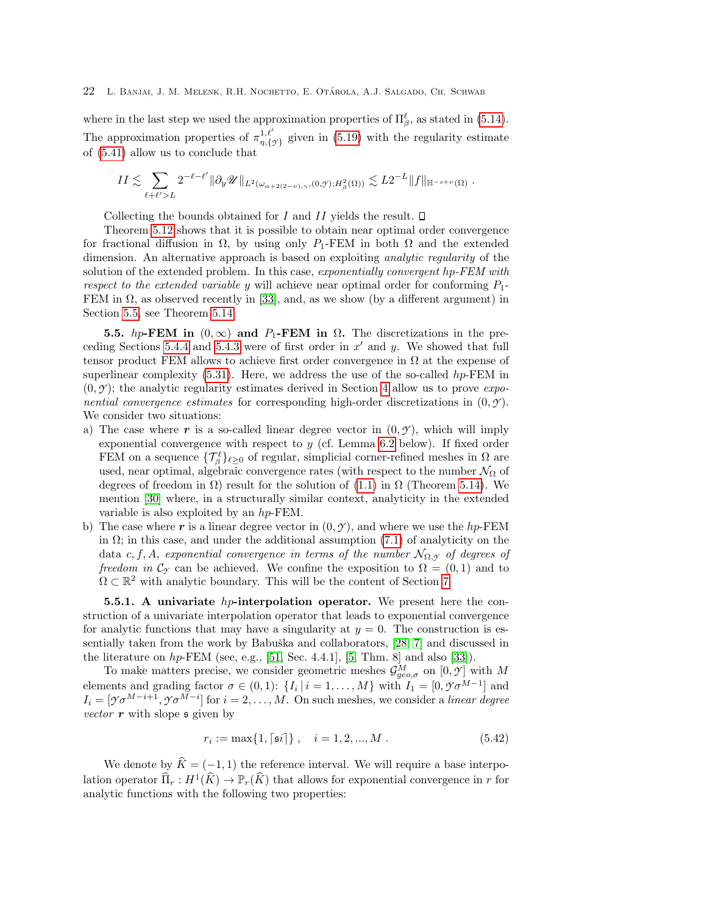where in the last step we used the approximation properties of  $\Pi_{\beta}^{\ell}$ , as stated in [\(5.14\)](#page-14-2). The approximation properties of  $\pi_n^{1,\ell'}$  $\eta^{1,\ell}_{\eta,\{\gamma\}}$  given in [\(5.19\)](#page-15-5) with the regularity estimate of [\(5.41\)](#page-20-2) allow us to conclude that

$$
II \lesssim \sum_{\ell+\ell'>L} 2^{-\ell-\ell'} \|\partial_y \mathscr{U}\|_{L^2(\omega_{\alpha+2(2-\nu),\gamma},(0,\mathscr{Y});H^2_\beta(\Omega))} \lesssim L 2^{-L} \|f\|_{\mathbb{H}^{-s+\nu}(\Omega)}.
$$

Collecting the bounds obtained for  $I$  and  $II$  yields the result.  $\Box$ 

Theorem [5.12](#page-19-0) shows that it is possible to obtain near optimal order convergence for fractional diffusion in  $\Omega$ , by using only P<sub>1</sub>-FEM in both  $\Omega$  and the extended dimension. An alternative approach is based on exploiting analytic regularity of the solution of the extended problem. In this case, exponentially convergent hp-FEM with respect to the extended variable y will achieve near optimal order for conforming  $P_1$ -FEM in  $\Omega$ , as observed recently in [\[33\]](#page-42-5), and, as we show (by a different argument) in Section [5.5,](#page-21-0) see Theorem [5.14.](#page-23-0)

<span id="page-21-0"></span>5.5. hp-FEM in  $(0, \infty)$  and P<sub>1</sub>-FEM in  $\Omega$ . The discretizations in the pre-ceding Sections [5.4.4](#page-18-1) and [5.4.3](#page-17-5) were of first order in  $x'$  and  $y$ . We showed that full tensor product FEM allows to achieve first order convergence in  $\Omega$  at the expense of superlinear complexity  $(5.31)$ . Here, we address the use of the so-called hp-FEM in  $(0, \mathcal{Y})$ ; the analytic regularity estimates derived in Section [4](#page-5-3) allow us to prove *expo*nential convergence estimates for corresponding high-order discretizations in  $(0, \gamma)$ . We consider two situations:

- a) The case where r is a so-called linear degree vector in  $(0, \gamma)$ , which will imply exponential convergence with respect to  $y$  (cf. Lemma [6.2](#page-25-0) below). If fixed order FEM on a sequence  $\{\mathcal{T}_{\beta}^{\ell}\}_{\ell \geq 0}$  of regular, simplicial corner-refined meshes in  $\Omega$  are used, near optimal, algebraic convergence rates (with respect to the number  $\mathcal{N}_{\Omega}$  of degrees of freedom in  $\Omega$ ) result for the solution of [\(1.1\)](#page-1-0) in  $\Omega$  (Theorem [5.14\)](#page-23-0). We mention [\[30\]](#page-42-19) where, in a structurally similar context, analyticity in the extended variable is also exploited by an hp-FEM.
- b) The case where r is a linear degree vector in  $(0, \mathcal{Y})$ , and where we use the hp-FEM in  $\Omega$ ; in this case, and under the additional assumption [\(7.1\)](#page-26-1) of analyticity on the data c, f, A, exponential convergence in terms of the number  $\mathcal{N}_{\Omega,\mathcal{Y}}$  of degrees of freedom in  $\mathcal{C}_{\gamma}$  can be achieved. We confine the exposition to  $\Omega = (0,1)$  and to  $\Omega \subset \mathbb{R}^2$  with analytic boundary. This will be the content of Section [7.](#page-26-0)

<span id="page-21-1"></span>5.5.1. A univariate hp-interpolation operator. We present here the construction of a univariate interpolation operator that leads to exponential convergence for analytic functions that may have a singularity at  $y = 0$ . The construction is es-sentially taken from the work by Babuška and collaborators, [\[28,](#page-42-20) [7\]](#page-41-6) and discussed in the literature on  $hp$ -FEM (see, e.g., [\[51,](#page-43-9) Sec. 4.4.1], [\[5,](#page-41-7) Thm. 8] and also [\[33\]](#page-42-5)).

To make matters precise, we consider geometric meshes  $\mathcal{G}^M_{geo,\sigma}$  on  $[0,\mathcal{Y}]$  with M elements and grading factor  $\sigma \in (0,1)$ :  $\{I_i \mid i = 1,\ldots,M\}$  with  $I_1 = [0, \mathcal{V} \sigma^{M-1}]$  and  $I_i = [\mathcal{T} \sigma^{M-i+1}, \mathcal{T} \sigma^{M-i}]$  for  $i = 2, \ldots, M$ . On such meshes, we consider a *linear degree* vector  $\bm{r}$  with slope  $\bm{s}$  given by

$$
r_i := \max\{1, \lceil \mathfrak{s}i \rceil\}, \quad i = 1, 2, ..., M. \tag{5.42}
$$

We denote by  $\hat{K} = (-1, 1)$  the reference interval. We will require a base interpolation operator  $\widehat{\Pi}_r : H^1(\widehat{K}) \to \mathbb{P}_r(\widehat{K})$  that allows for exponential convergence in r for analytic functions with the following two properties: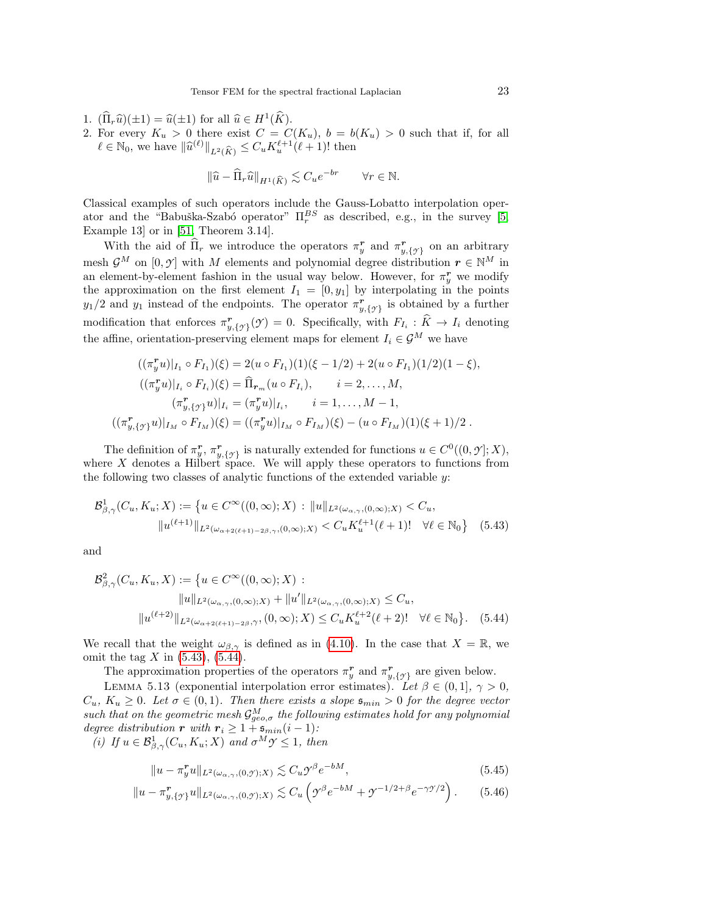- 1.  $(\widehat{\Pi}_r \widehat{u})(\pm 1) = \widehat{u}(\pm 1)$  for all  $\widehat{u} \in H^1(\widehat{K})$ .<br>2. For every  $K > 0$  there exist  $C = C$ .
- 2. For every  $K_u > 0$  there exist  $C = C(K_u)$ ,  $b = b(K_u) > 0$  such that if, for all  $\ell \in \mathbb{N}_0$ , we have  $\|\widehat{u}^{(\ell)}\|_{L^2(\widehat{K})} \leq C_u K_u^{\ell+1}(\ell+1)!$  then

$$
\|\widehat{u} - \widehat{\Pi}_r \widehat{u}\|_{H^1(\widehat{K})} \lesssim C_u e^{-br} \qquad \forall r \in \mathbb{N}.
$$

Classical examples of such operators include the Gauss-Lobatto interpolation operator and the "Babuška-Szabó operator"  $\Pi_r^{BS}$  as described, e.g., in the survey [\[5,](#page-41-7) Example 13] or in [\[51,](#page-43-9) Theorem 3.14].

With the aid of  $\widehat{\Pi}_r$  we introduce the operators  $\pi_y^r$  and  $\pi_{y,\{\gamma\}}^r$  on an arbitrary mesh  $\mathcal{G}^M$  on  $[0, \mathcal{Y}]$  with M elements and polynomial degree distribution  $r \in \mathbb{N}^M$  in an element-by-element fashion in the usual way below. However, for  $\pi_y^r$  we modify the approximation on the first element  $I_1 = [0, y_1]$  by interpolating in the points  $y_1/2$  and  $y_1$  instead of the endpoints. The operator  $\pi^r_{y,\{\gamma\}}$  is obtained by a further modification that enforces  $\pi_{y,\{\gamma\}}^{\mathbf{r}}(\gamma) = 0$ . Specifically, with  $F_{I_i} : \hat{K} \to I_i$  denoting the affine, orientation-preserving element maps for element  $I_i \in \mathcal{G}^M$  we have

$$
((\pi_y^r u)|_{I_1} \circ F_{I_1})(\xi) = 2(u \circ F_{I_1})(1)(\xi - 1/2) + 2(u \circ F_{I_1})(1/2)(1 - \xi),
$$
  

$$
((\pi_y^r u)|_{I_i} \circ F_{I_i})(\xi) = \widehat{\Pi}_{r_m}(u \circ F_{I_i}), \qquad i = 2, ..., M,
$$
  

$$
(\pi_y^r, \{y\} u)|_{I_i} = (\pi_y^r u)|_{I_i}, \qquad i = 1, ..., M - 1,
$$
  

$$
((\pi_{y,\{y\}}^r u)|_{I_M} \circ F_{I_M})(\xi) = ((\pi_y^r u)|_{I_M} \circ F_{I_M})(\xi) - (u \circ F_{I_M})(1)(\xi + 1)/2.
$$

The definition of  $\pi_y^r$ ,  $\pi_{y,\{\gamma\}}^r$  is naturally extended for functions  $u \in C^0((0,\gamma];X)$ , where  $X$  denotes a Hilbert space. We will apply these operators to functions from the following two classes of analytic functions of the extended variable y:

<span id="page-22-0"></span>
$$
\mathcal{B}^1_{\beta,\gamma}(C_u, K_u; X) := \left\{ u \in C^{\infty}((0,\infty); X) : ||u||_{L^2(\omega_{\alpha,\gamma}, (0,\infty); X)} < C_u, \, ||u||_{L^2(\omega_{\alpha,\gamma}, (0,\infty); X)} < C_u K_u^{\ell+1}(\ell+1)! \quad \forall \ell \in \mathbb{N}_0 \right\}
$$
(5.43)

and

$$
\mathcal{B}_{\beta,\gamma}^2(C_u, K_u, X) := \{ u \in C^\infty((0,\infty); X) : \|u\|_{L^2(\omega_{\alpha,\gamma},(0,\infty);X)} + \|u'\|_{L^2(\omega_{\alpha,\gamma},(0,\infty);X)} \leq C_u, \|u^{(\ell+2)}\|_{L^2(\omega_{\alpha+2(\ell+1)-2\beta},\gamma)}, (0,\infty); X) \leq C_u K_u^{\ell+2}(\ell+2)! \quad \forall \ell \in \mathbb{N}_0 \}. \tag{5.44}
$$

We recall that the weight  $\omega_{\beta,\gamma}$  is defined as in [\(4.10\)](#page-8-0). In the case that  $X = \mathbb{R}$ , we omit the tag X in  $(5.43)$ ,  $(5.44)$ .

The approximation properties of the operators  $\pi_y^r$  and  $\pi_{y,\{\gamma\}}^r$  are given below.

<span id="page-22-2"></span>LEMMA 5.13 (exponential interpolation error estimates). Let  $\beta \in (0,1], \gamma > 0$ ,  $C_u$ ,  $K_u \geq 0$ . Let  $\sigma \in (0,1)$ . Then there exists a slope  $\mathfrak{s}_{min} > 0$  for the degree vector such that on the geometric mesh  $\mathcal{G}^M_{geo,\sigma}$  the following estimates hold for any polynomial degree distribution r with  $r_i \geq 1 + \mathfrak{s}_{min}(i-1)$ :

(i) If  $u \in \mathcal{B}^1_{\beta,\gamma}(C_u,K_u;X)$  and  $\sigma^M \mathcal{Y} \leq 1$ , then

<span id="page-22-4"></span><span id="page-22-3"></span><span id="page-22-1"></span>
$$
||u - \pi_y^r u||_{L^2(\omega_{\alpha,\gamma},(0,\gamma);X)} \lesssim C_u \mathcal{Y}^\beta e^{-bM},\tag{5.45}
$$

$$
||u - \pi_{y,\{y\}}^r u||_{L^2(\omega_{\alpha,\gamma},(0,y);X)} \lesssim C_u \left( \mathcal{Y}^{\beta} e^{-bM} + \mathcal{Y}^{-1/2+\beta} e^{-\gamma \mathcal{Y}/2} \right). \tag{5.46}
$$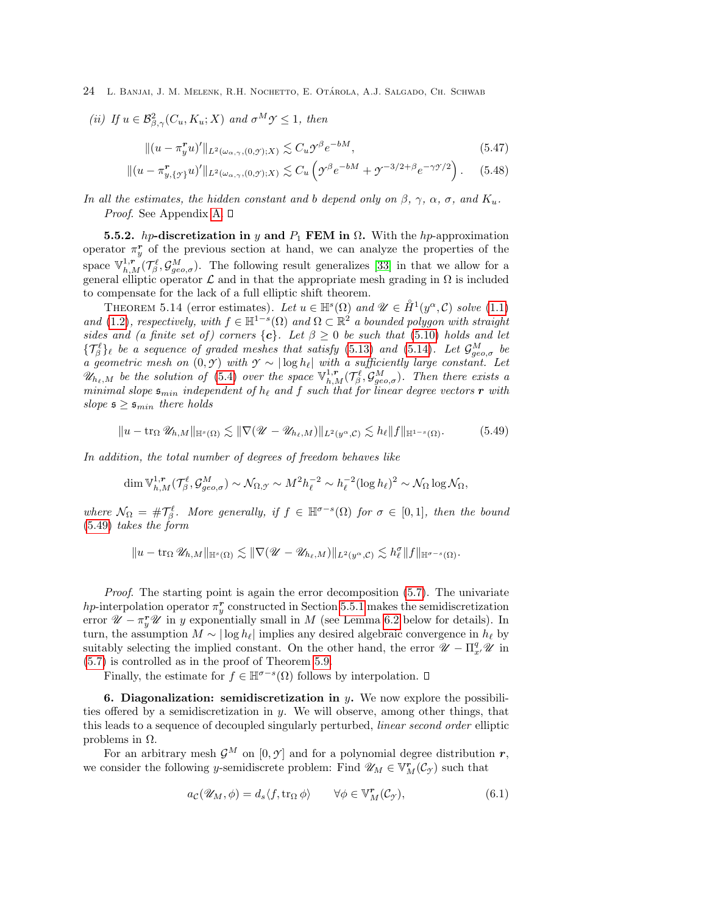(ii) If 
$$
u \in \mathcal{B}^2_{\beta,\gamma}(C_u, K_u; X)
$$
 and  $\sigma^M \mathcal{Y} \leq 1$ , then

<span id="page-23-5"></span><span id="page-23-4"></span>
$$
\|(u - \pi_y^r u)'\|_{L^2(\omega_{\alpha,\gamma},(0,\gamma);X)} \lesssim C_u \mathcal{Y}^\beta e^{-bM},\tag{5.47}
$$

$$
\|(u - \pi_{y,\{y\}}^r u)'\|_{L^2(\omega_{\alpha,\gamma},(0,y);X)} \lesssim C_u \left( \mathcal{Y}^{\beta} e^{-bM} + \mathcal{Y}^{-3/2+\beta} e^{-\gamma \mathcal{Y}/2} \right). \tag{5.48}
$$

In all the estimates, the hidden constant and b depend only on  $\beta$ ,  $\gamma$ ,  $\alpha$ ,  $\sigma$ , and  $K_u$ . *Proof.* See Appendix [A.](#page-37-1)  $\square$ 

5.5.2. hp-discretization in y and  $P_1$  FEM in  $\Omega$ . With the hp-approximation operator  $\pi_y^r$  of the previous section at hand, we can analyze the properties of the space  $\mathbb{V}_{h,M}^{1,r}(\mathcal{T}_{\beta}^{\ell},\mathcal{G}_{geo,\sigma}^{M})$ . The following result generalizes [\[33\]](#page-42-5) in that we allow for a general elliptic operator  $\mathcal L$  and in that the appropriate mesh grading in  $\Omega$  is included to compensate for the lack of a full elliptic shift theorem.

<span id="page-23-0"></span>THEOREM 5.14 (error estimates). Let  $u \in \mathbb{H}^s(\Omega)$  and  $\mathscr{U} \in \mathring{H}^1(y^\alpha, \mathcal{C})$  solve [\(1.1\)](#page-1-0) and [\(1.2\)](#page-1-1), respectively, with  $f \in \mathbb{H}^{1-s}(\Omega)$  and  $\Omega \subset \mathbb{R}^2$  a bounded polygon with straight sides and (a finite set of) corners  $\{c\}$ . Let  $\beta \geq 0$  be such that [\(5.10\)](#page-13-3) holds and let  $\{\mathcal{T}_{\beta}^{\ell}\}_\ell$  be a sequence of graded meshes that satisfy [\(5.13\)](#page-14-3) and [\(5.14\)](#page-14-2). Let  $\mathcal{G}_{geo,\sigma}^M$  be a geometric mesh on  $(0, \mathcal{Y})$  with  $\mathcal{Y} \sim |\log h_{\ell}|$  with a sufficiently large constant. Let  $\mathscr{U}_{h_{\ell},M}$  be the solution of [\(5.4\)](#page-12-3) over the space  $\mathbb{V}_{h,M}^{1,r}(\mathcal{T}_{\beta}^{\ell},\mathcal{G}_{geo,\sigma}^M)$ . Then there exists a minimal slope  $\mathfrak{s}_{min}$  independent of  $h_\ell$  and f such that for linear degree vectors r with slope  $\mathfrak{s} \geq \mathfrak{s}_{min}$  there holds

<span id="page-23-2"></span>
$$
||u - \operatorname{tr}_{\Omega} \mathscr{U}_{h,M}||_{\mathbb{H}^{s}(\Omega)} \lesssim ||\nabla (\mathscr{U} - \mathscr{U}_{h_{\ell},M})||_{L^{2}(y^{\alpha},\mathcal{C})} \lesssim h_{\ell} ||f||_{\mathbb{H}^{1-s}(\Omega)}.
$$
 (5.49)

In addition, the total number of degrees of freedom behaves like

$$
\dim \mathbb{V}^{1,\mathbf{r}}_{h,M}(\mathcal{T}^{\ell}_\beta,\mathcal{G}^M_{geo,\sigma})\sim \mathcal{N}_{\Omega,\mathcal{Y}} \sim M^2 h_\ell^{-2} \sim h_\ell^{-2} (\log h_\ell)^2 \sim \mathcal{N}_\Omega \log \mathcal{N}_\Omega,
$$

where  $\mathcal{N}_{\Omega} = \#\mathcal{T}_{\beta}^{\ell}$ . More generally, if  $f \in \mathbb{H}^{\sigma-s}(\Omega)$  for  $\sigma \in [0,1]$ , then the bound [\(5.49\)](#page-23-2) takes the form

$$
||u - \operatorname{tr}_\Omega \mathscr{U}_{h,M}||_{\mathbb{H}^s(\Omega)} \lesssim ||\nabla (\mathscr{U} - \mathscr{U}_{h_\ell,M})||_{L^2(y^\alpha, \mathcal{C})} \lesssim h_\ell^\sigma ||f||_{\mathbb{H}^{\sigma-s}(\Omega)}.
$$

Proof. The starting point is again the error decomposition [\(5.7\)](#page-13-1). The univariate hp-interpolation operator  $\pi_y^r$  constructed in Section [5.5.1](#page-21-1) makes the semidiscretization error  $\mathscr{U} - \pi_y^T \mathscr{U}$  in y exponentially small in M (see Lemma [6.2](#page-25-0) below for details). In turn, the assumption  $M \sim |\log h_\ell|$  implies any desired algebraic convergence in  $h_\ell$  by suitably selecting the implied constant. On the other hand, the error  $\mathscr{U} - \Pi_{x'}^q \mathscr{U}$  in [\(5.7\)](#page-13-1) is controlled as in the proof of Theorem [5.9.](#page-17-0)

Finally, the estimate for  $f \in \mathbb{H}^{\sigma-s}(\Omega)$  follows by interpolation.

<span id="page-23-1"></span>6. Diagonalization: semidiscretization in  $y$ . We now explore the possibilities offered by a semidiscretization in y. We will observe, among other things, that this leads to a sequence of decoupled singularly perturbed, linear second order elliptic problems in  $Ω$ .

For an arbitrary mesh  $\mathcal{G}^M$  on  $[0, \gamma]$  and for a polynomial degree distribution r, we consider the following y-semidiscrete problem: Find  $\mathscr{U}_M \in V^{\mathbf{r}}_M(\mathcal{C}_{\mathcal{I}})$  such that

<span id="page-23-3"></span>
$$
a_{\mathcal{C}}(\mathscr{U}_M, \phi) = d_s \langle f, \operatorname{tr}_{\Omega} \phi \rangle \qquad \forall \phi \in \mathbb{V}_M^r(\mathcal{C}_{\mathcal{I}}), \tag{6.1}
$$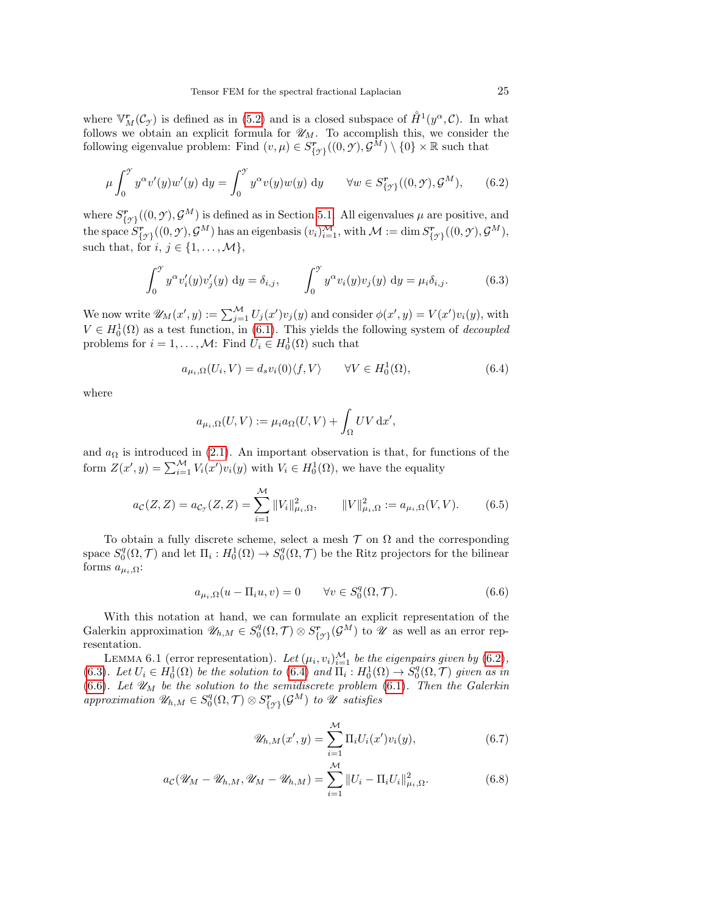where  $\mathbb{V}_M^r(\mathcal{C}_{\gamma})$  is defined as in [\(5.2\)](#page-12-9) and is a closed subspace of  $\mathring{H}^1(y^{\alpha}, \mathcal{C})$ . In what follows we obtain an explicit formula for  $\mathscr{U}_M$ . To accomplish this, we consider the following eigenvalue problem: Find  $(v, \mu) \in S^{\mathbf{r}}_{\{\mathcal{Y}\}}((0, \mathcal{Y}), \mathcal{G}^{\bar{M}}) \setminus \{0\} \times \mathbb{R}$  such that

<span id="page-24-0"></span>
$$
\mu \int_0^{\mathcal{I}} y^{\alpha} v'(y) w'(y) dy = \int_0^{\mathcal{I}} y^{\alpha} v(y) w(y) dy \quad \forall w \in S^{\mathbf{r}}_{\{\mathcal{I}\}}((0, \mathcal{I}), \mathcal{G}^M), \quad (6.2)
$$

where  $S^r_{\{y\}}((0, \mathcal{Y}), \mathcal{G}^M)$  is defined as in Section [5.1.](#page-11-1) All eigenvalues  $\mu$  are positive, and  ${\rm the\ space\ } \widetilde{S}^{\bm{r}}_{\{{\mathcal{Y}}\}}((0,{\mathcal{Y}}),{\mathcal{G}}^M) \text{ has an eigenbasis } (v_i)_{i=1}^M, \text{with } {\mathcal{M}}:=\dim S^{\bm{r}}_{\{{\mathcal{Y}}\}}((0,{\mathcal{Y}}),{\mathcal{G}}^M),$ such that, for  $i, j \in \{1, \ldots, \mathcal{M}\},\$ 

<span id="page-24-1"></span>
$$
\int_0^{\gamma} y^{\alpha} v_i'(y) v_j'(y) dy = \delta_{i,j}, \qquad \int_0^{\gamma} y^{\alpha} v_i(y) v_j(y) dy = \mu_i \delta_{i,j}.
$$
 (6.3)

We now write  $\mathscr{U}_M(x', y) := \sum_{j=1}^{\mathcal{M}} U_j(x') v_j(y)$  and consider  $\phi(x', y) = V(x') v_i(y)$ , with  $V \in H_0^1(\Omega)$  as a test function, in [\(6.1\)](#page-23-3). This yields the following system of *decoupled* problems for  $i = 1, ..., M$ : Find  $U_i \in H_0^1(\Omega)$  such that

$$
a_{\mu_i,\Omega}(U_i,V) = d_s v_i(0) \langle f, V \rangle \qquad \forall V \in H_0^1(\Omega), \tag{6.4}
$$

where

<span id="page-24-2"></span>
$$
a_{\mu_i,\Omega}(U,V) := \mu_i a_{\Omega}(U,V) + \int_{\Omega} UV \,\mathrm{d}x',
$$

and  $a_{\Omega}$  is introduced in [\(2.1\)](#page-3-2). An important observation is that, for functions of the form  $Z(x', y) = \sum_{i=1}^{M} V_i(x')v_i(y)$  with  $V_i \in H_0^1(\Omega)$ , we have the equality

<span id="page-24-6"></span>
$$
a_{\mathcal{C}}(Z,Z) = a_{\mathcal{C}_{\mathcal{Y}}}(Z,Z) = \sum_{i=1}^{\mathcal{M}} \|V_i\|_{\mu_i,\Omega}^2, \qquad \|V\|_{\mu_i,\Omega}^2 := a_{\mu_i,\Omega}(V,V). \tag{6.5}
$$

To obtain a fully discrete scheme, select a mesh  $\mathcal T$  on  $\Omega$  and the corresponding space  $S_0^q(\Omega, \mathcal{T})$  and let  $\Pi_i: H_0^1(\Omega) \to S_0^q(\Omega, \mathcal{T})$  be the Ritz projectors for the bilinear forms  $a_{\mu_i,\Omega}$ :

<span id="page-24-3"></span>
$$
a_{\mu_i,\Omega}(u - \Pi_i u, v) = 0 \qquad \forall v \in S_0^q(\Omega, \mathcal{T}). \tag{6.6}
$$

With this notation at hand, we can formulate an explicit representation of the Galerkin approximation  $\mathscr{U}_{h,M} \in S_0^q(\Omega, \mathcal{T}) \otimes S_{\{\mathcal{Y}\}}^r(\mathcal{G}^M)$  to  $\mathscr{U}$  as well as an error representation.

LEMMA 6.1 (error representation). Let  $(\mu_i, v_i)_{i=1}^{\mathcal{M}}$  be the eigenpairs given by [\(6.2\)](#page-24-0), [\(6.3\)](#page-24-1). Let  $U_i \in H_0^1(\Omega)$  be the solution to [\(6.4\)](#page-24-2) and  $\Pi_i : H_0^1(\Omega) \to S_0^q(\Omega, \mathcal{T})$  given as in [\(6.6\)](#page-24-3). Let  $\mathscr{U}_M$  be the solution to the semidiscrete problem [\(6.1\)](#page-23-3). Then the Galerkin  $approximation \ \mathscr{U}_{h,M} \in S^q_0(\Omega, \mathcal{T}) \otimes S^r_{\{\mathscr{I}\}}(\mathcal{G}^M) \ \ to \ \ \mathscr{U} \ \ satisfies$ 

<span id="page-24-5"></span><span id="page-24-4"></span>
$$
\mathscr{U}_{h,M}(x',y) = \sum_{i=1}^{M} \Pi_i U_i(x') v_i(y), \qquad (6.7)
$$

$$
a_{\mathcal{C}}(\mathscr{U}_{M} - \mathscr{U}_{h,M}, \mathscr{U}_{M} - \mathscr{U}_{h,M}) = \sum_{i=1}^{M} ||U_{i} - \Pi_{i} U_{i}||_{\mu_{i},\Omega}^{2}.
$$
 (6.8)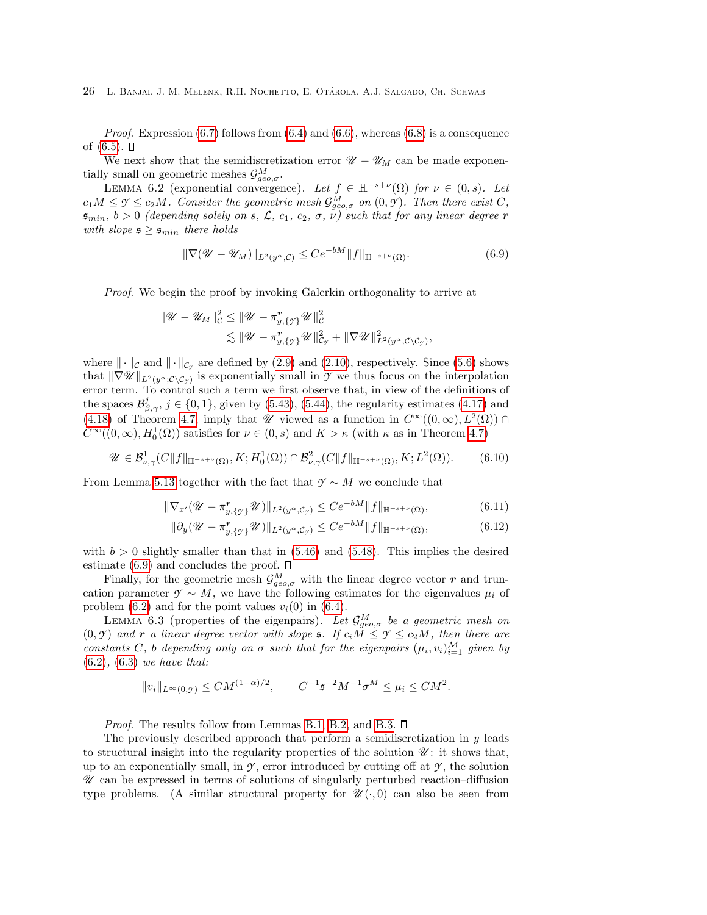*Proof.* Expression  $(6.7)$  follows from  $(6.4)$  and  $(6.6)$ , whereas  $(6.8)$  is a consequence of  $(6.5)$ .  $\Box$ 

We next show that the semidiscretization error  $\mathcal{U} - \mathcal{U}_M$  can be made exponentially small on geometric meshes  $\mathcal{G}^M_{geo,\sigma}$ .

<span id="page-25-0"></span>LEMMA 6.2 (exponential convergence). Let  $f \in \mathbb{H}^{-s+\nu}(\Omega)$  for  $\nu \in (0, s)$ . Let  $c_1M \leq \gamma \leq c_2M$ . Consider the geometric mesh  $\mathcal{G}^M_{geo,\sigma}$  on  $(0,\gamma)$ . Then there exist C,  $s_{min}$ ,  $b > 0$  (depending solely on s,  $\mathcal{L}$ ,  $c_1$ ,  $c_2$ ,  $\sigma$ ,  $\nu$ ) such that for any linear degree r with slope  $\mathfrak{s} \geq \mathfrak{s}_{min}$  there holds

<span id="page-25-1"></span>
$$
\|\nabla(\mathscr{U} - \mathscr{U}_M)\|_{L^2(y^\alpha, \mathcal{C})} \le Ce^{-bM} \|f\|_{\mathbb{H}^{-s+\nu}(\Omega)}.
$$
\n(6.9)

Proof. We begin the proof by invoking Galerkin orthogonality to arrive at

$$
\begin{aligned} \|\mathscr{U}-\mathscr{U}_M\|_{\mathcal{C}}^2 &\leq \|\mathscr{U}-\pi_{y,\{\gamma\}}^{\mathbf{r}}\mathscr{U}\|_{\mathcal{C}}^2\\ &\lesssim \|\mathscr{U}-\pi_{y,\{\gamma\}}^{\mathbf{r}}\mathscr{U}\|_{\mathcal{C}_{\gamma}}^2+\|\nabla\mathscr{U}\|_{L^2(y^\alpha,\mathcal{C}\setminus\mathcal{C}_{\gamma})}^2, \end{aligned}
$$

where  $\|\cdot\|_{\mathcal{C}}$  and  $\|\cdot\|_{\mathcal{C}_{\mathcal{Y}}}$  are defined by [\(2.9\)](#page-4-5) and [\(2.10\)](#page-4-3), respectively. Since [\(5.6\)](#page-12-5) shows that  $\|\nabla \mathscr{U}\|_{L^2(y^{\alpha};\mathcal{C}\setminus\mathcal{C}_{\mathcal{Y}})}$  is exponentially small in  $\mathscr{Y}$  we thus focus on the interpolation error term. To control such a term we first observe that, in view of the definitions of the spaces  $\mathcal{B}^j_{\beta,\gamma}$ ,  $j \in \{0,1\}$ , given by [\(5.43\)](#page-22-0), [\(5.44\)](#page-22-1), the regularity estimates [\(4.17\)](#page-10-5) and [\(4.18\)](#page-10-1) of Theorem [4.7,](#page-9-0) imply that  $\mathscr U$  viewed as a function in  $C^{\infty}((0,\infty), L^2(\Omega)) \cap$  $C^{\infty}((0,\infty), H_0^1(\Omega))$  satisfies for  $\nu \in (0, s)$  and  $K > \kappa$  (with  $\kappa$  as in Theorem [4.7\)](#page-9-0)

$$
\mathscr{U} \in \mathcal{B}^1_{\nu,\gamma}(C\|f\|_{\mathbb{H}^{-s+\nu}(\Omega)}, K; H_0^1(\Omega)) \cap \mathcal{B}^2_{\nu,\gamma}(C\|f\|_{\mathbb{H}^{-s+\nu}(\Omega)}, K; L^2(\Omega)).\tag{6.10}
$$

From Lemma [5.13](#page-22-2) together with the fact that  $\gamma \sim M$  we conclude that

$$
\|\nabla_{x'}(\mathscr{U}-\pi_{y,\{\mathscr{I}\}}^{\mathbf{r}}\mathscr{U})\|_{L^{2}(y^{\alpha},\mathcal{C}_{\mathscr{I}})} \leq Ce^{-bM}\|f\|_{\mathbb{H}^{-s+\nu}(\Omega)},\tag{6.11}
$$

$$
\|\partial_y(\mathscr{U}-\pi_{y,\{\mathscr{I}\}}^{\mathbf{r}}\mathscr{U})\|_{L^2(y^\alpha,\mathcal{C}_{\mathscr{I}})} \le Ce^{-bM} \|f\|_{\mathbb{H}^{-s+\nu}(\Omega)},\tag{6.12}
$$

with  $b > 0$  slightly smaller than that in  $(5.46)$  and  $(5.48)$ . This implies the desired estimate [\(6.9\)](#page-25-1) and concludes the proof.  $\square$ 

Finally, for the geometric mesh  $\mathcal{G}^M_{geo,\sigma}$  with the linear degree vector r and truncation parameter  $\gamma \sim M$ , we have the following estimates for the eigenvalues  $\mu_i$  of problem  $(6.2)$  and for the point values  $v_i(0)$  in  $(6.4)$ .

<span id="page-25-2"></span>LEMMA 6.3 (properties of the eigenpairs). Let  $\mathcal{G}^M_{geo,\sigma}$  be a geometric mesh on  $(0, \mathcal{Y})$  and r a linear degree vector with slope s. If  $c_i \tilde{M} \leq \mathcal{Y} \leq c_2 M$ , then there are constants C, b depending only on  $\sigma$  such that for the eigenpairs  $(\mu_i, v_i)_{i=1}^{\mathcal{M}}$  given by  $(6.2)$ ,  $(6.3)$  we have that:

$$
||v_i||_{L^{\infty}(0,\mathcal{Y})} \leq CM^{(1-\alpha)/2}, \qquad C^{-1}\mathfrak{s}^{-2}M^{-1}\sigma^{M} \leq \mu_i \leq CM^2.
$$

*Proof.* The results follow from Lemmas [B.1,](#page-40-0) [B.2,](#page-40-1) and [B.3.](#page-40-2)  $\square$ 

The previously described approach that perform a semidiscretization in  $y$  leads to structural insight into the regularity properties of the solution  $\mathscr{U}$ : it shows that, up to an exponentially small, in  $\mathcal{Y}$ , error introduced by cutting off at  $\mathcal{Y}$ , the solution  $\mathscr U$  can be expressed in terms of solutions of singularly perturbed reaction–diffusion type problems. (A similar structural property for  $\mathcal{U}(\cdot,0)$  can also be seen from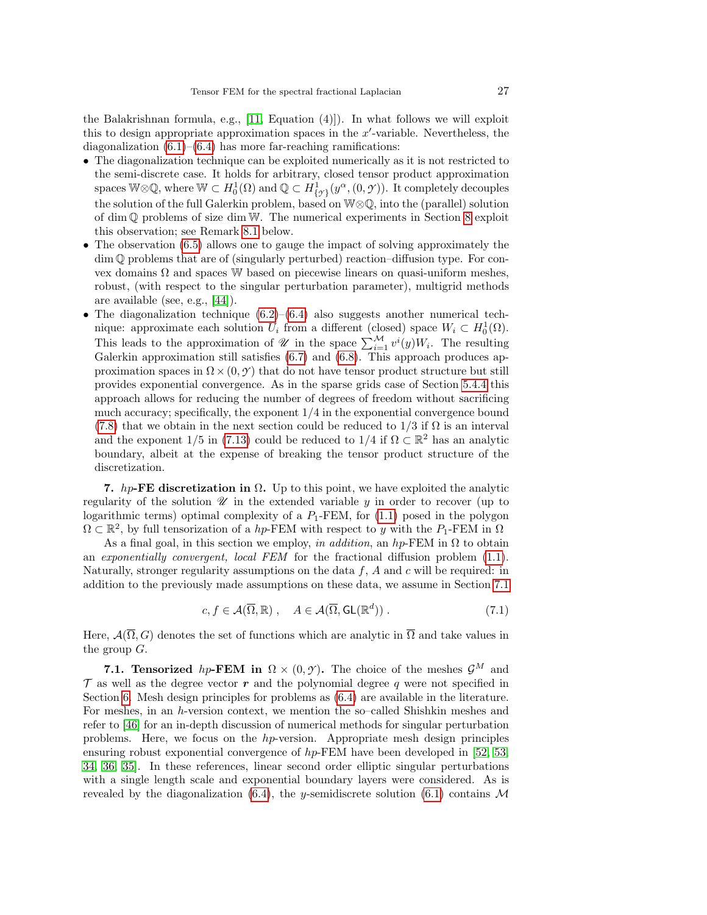the Balakrishnan formula, e.g.,  $[11, Equation (4)]$ . In what follows we will exploit this to design appropriate approximation spaces in the  $x'$ -variable. Nevertheless, the diagonalization  $(6.1)$ – $(6.4)$  has more far-reaching ramifications:

- The diagonalization technique can be exploited numerically as it is not restricted to the semi-discrete case. It holds for arbitrary, closed tensor product approximation spaces W⊗Q, where  $W \subset H_0^1(\Omega)$  and  $\mathbb{Q} \subset H^1_{\{y\}}(y^{\alpha},(0, \mathcal{Y}))$ . It completely decouples the solution of the full Galerkin problem, based on W⊗Q, into the (parallel) solution of dim Q problems of size dim W. The numerical experiments in Section [8](#page-31-1) exploit this observation; see Remark [8.1](#page-32-0) below.
- The observation [\(6.5\)](#page-24-6) allows one to gauge the impact of solving approximately the dim Q problems that are of (singularly perturbed) reaction–diffusion type. For convex domains  $\Omega$  and spaces W based on piecewise linears on quasi-uniform meshes, robust, (with respect to the singular perturbation parameter), multigrid methods are available (see, e.g., [\[44\]](#page-43-10)).
- The diagonalization technique  $(6.2)$ – $(6.4)$  also suggests another numerical technique: approximate each solution  $U_i$  from a different (closed) space  $W_i \subset H_0^1(\Omega)$ . This leads to the approximation of  $\mathscr U$  in the space  $\sum_{i=1}^{\mathcal M} v^i(y)W_i$ . The resulting Galerkin approximation still satisfies [\(6.7\)](#page-24-4) and [\(6.8\)](#page-24-5). This approach produces approximation spaces in  $\Omega \times (0, \mathcal{Y})$  that do not have tensor product structure but still provides exponential convergence. As in the sparse grids case of Section [5.4.4](#page-18-1) this approach allows for reducing the number of degrees of freedom without sacrificing much accuracy; specifically, the exponent  $1/4$  in the exponential convergence bound [\(7.8\)](#page-28-0) that we obtain in the next section could be reduced to  $1/3$  if  $\Omega$  is an interval and the exponent 1/5 in [\(7.13\)](#page-30-1) could be reduced to  $1/4$  if  $\Omega \subset \mathbb{R}^2$  has an analytic boundary, albeit at the expense of breaking the tensor product structure of the discretization.

<span id="page-26-0"></span>7. hp-FE discretization in  $\Omega$ . Up to this point, we have exploited the analytic regularity of the solution  $\mathscr U$  in the extended variable  $y$  in order to recover (up to logarithmic terms) optimal complexity of a  $P_1$ -FEM, for [\(1.1\)](#page-1-0) posed in the polygon  $\Omega \subset \mathbb{R}^2$ , by full tensorization of a hp-FEM with respect to y with the  $P_1$ -FEM in  $\Omega$ 

As a final goal, in this section we employ, in addition, an hp-FEM in  $\Omega$  to obtain an exponentially convergent, local FEM for the fractional diffusion problem [\(1.1\)](#page-1-0). Naturally, stronger regularity assumptions on the data  $f$ ,  $A$  and  $c$  will be required: in addition to the previously made assumptions on these data, we assume in Section [7.1](#page-26-2)

<span id="page-26-1"></span>
$$
c, f \in \mathcal{A}(\overline{\Omega}, \mathbb{R}), \quad A \in \mathcal{A}(\overline{\Omega}, \mathsf{GL}(\mathbb{R}^d)).
$$
\n
$$
(7.1)
$$

Here,  $\mathcal{A}(\overline{\Omega}, G)$  denotes the set of functions which are analytic in  $\overline{\Omega}$  and take values in the group  $G$ .

<span id="page-26-2"></span>**7.1. Tensorized** hp-FEM in  $\Omega \times (0, \gamma)$ . The choice of the meshes  $\mathcal{G}^M$  and  $\mathcal T$  as well as the degree vector r and the polynomial degree q were not specified in Section [6.](#page-23-1) Mesh design principles for problems as [\(6.4\)](#page-24-2) are available in the literature. For meshes, in an h-version context, we mention the so–called Shishkin meshes and refer to [\[46\]](#page-43-11) for an in-depth discussion of numerical methods for singular perturbation problems. Here, we focus on the hp-version. Appropriate mesh design principles ensuring robust exponential convergence of  $hp$ -FEM have been developed in [\[52,](#page-43-12) [53,](#page-43-13) [34,](#page-42-21) [36,](#page-42-22) [35\]](#page-42-23). In these references, linear second order elliptic singular perturbations with a single length scale and exponential boundary layers were considered. As is revealed by the diagonalization [\(6.4\)](#page-24-2), the y-semidiscrete solution [\(6.1\)](#page-23-3) contains  $\mathcal M$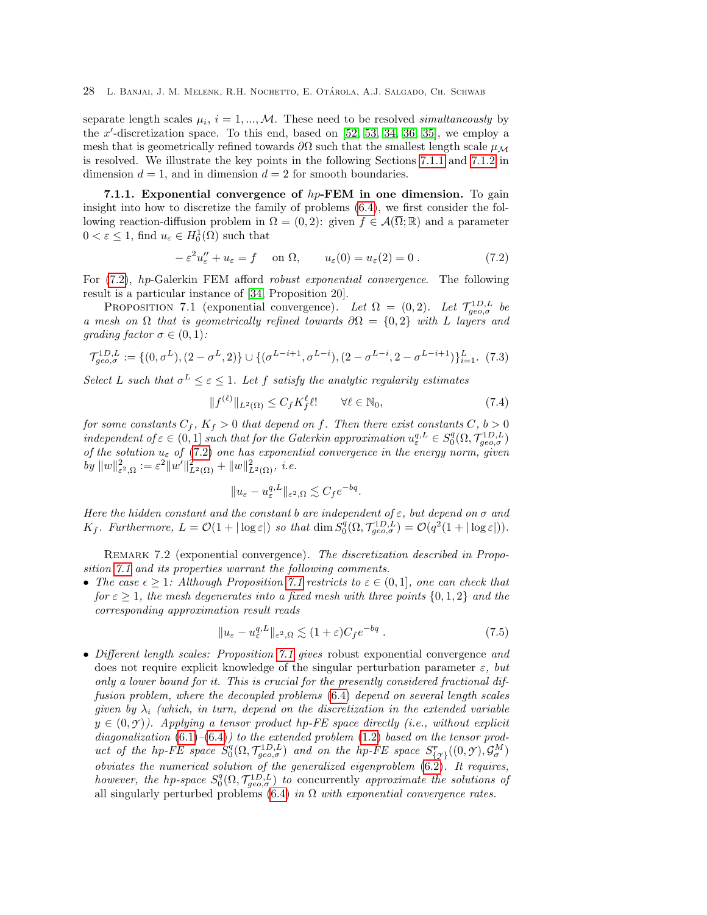separate length scales  $\mu_i$ ,  $i = 1, ..., M$ . These need to be resolved *simultaneously* by the  $x'$ -discretization space. To this end, based on  $[52, 53, 34, 36, 35]$  $[52, 53, 34, 36, 35]$  $[52, 53, 34, 36, 35]$  $[52, 53, 34, 36, 35]$  $[52, 53, 34, 36, 35]$ , we employ a mesh that is geometrically refined towards  $\partial\Omega$  such that the smallest length scale  $\mu_{\mathcal{M}}$ is resolved. We illustrate the key points in the following Sections [7.1.1](#page-27-0) and [7.1.2](#page-29-0) in dimension  $d = 1$ , and in dimension  $d = 2$  for smooth boundaries.

<span id="page-27-0"></span>7.1.1. Exponential convergence of  $hp$ -FEM in one dimension. To gain insight into how to discretize the family of problems [\(6.4\)](#page-24-2), we first consider the following reaction-diffusion problem in  $\Omega = (0, 2)$ : given  $f \in \mathcal{A}(\overline{\Omega}; \mathbb{R})$  and a parameter  $0 < \varepsilon \leq 1$ , find  $u_{\varepsilon} \in H_0^1(\Omega)$  such that

<span id="page-27-2"></span><span id="page-27-1"></span>
$$
-\varepsilon^2 u''_{\varepsilon} + u_{\varepsilon} = f \quad \text{on } \Omega, \qquad u_{\varepsilon}(0) = u_{\varepsilon}(2) = 0. \tag{7.2}
$$

For [\(7.2\)](#page-27-1), hp-Galerkin FEM afford robust exponential convergence. The following result is a particular instance of [\[34,](#page-42-21) Proposition 20].

PROPOSITION 7.1 (exponential convergence). Let  $\Omega = (0, 2)$ . Let  $\mathcal{T}_{geo,\sigma}^{1D,L}$  be a mesh on  $\Omega$  that is geometrically refined towards  $\partial\Omega = \{0,2\}$  with L layers and grading factor  $\sigma \in (0,1)$ :

<span id="page-27-5"></span>
$$
\mathcal{T}_{geo,\sigma}^{1D,L} := \{ (0, \sigma^L), (2 - \sigma^L, 2) \} \cup \{ (\sigma^{L-i+1}, \sigma^{L-i}), (2 - \sigma^{L-i}, 2 - \sigma^{L-i+1}) \}_{i=1}^L. (7.3)
$$

Select L such that  $\sigma^L \leq \varepsilon \leq 1$ . Let f satisfy the analytic regularity estimates

<span id="page-27-3"></span>
$$
||f^{(\ell)}||_{L^{2}(\Omega)} \leq C_{f}K_{f}^{\ell} \ell! \qquad \forall \ell \in \mathbb{N}_{0},\tag{7.4}
$$

for some constants  $C_f$ ,  $K_f > 0$  that depend on f. Then there exist constants  $C, b > 0$ independent of  $\varepsilon \in (0, 1]$  such that for the Galerkin approximation  $u_{\varepsilon}^{q,L} \in S_0^q(\Omega, \mathcal{T}_{geo,\sigma}^{1D,L})$ of the solution  $u_{\varepsilon}$  of [\(7.2\)](#page-27-1) one has exponential convergence in the energy norm, given by  $||w||_{\varepsilon^2, \Omega}^2 := \varepsilon^2 ||w'||_{L^2(\Omega)}^2 + ||w||_{L^2(\Omega)}^2$ , *i.e.* 

$$
||u_{\varepsilon}-u_{\varepsilon}^{q,L}||_{\varepsilon^2,\Omega}\lesssim C_f e^{-bq}.
$$

Here the hidden constant and the constant b are independent of  $\varepsilon$ , but depend on  $\sigma$  and  $K_f$ . Furthermore,  $L = \mathcal{O}(1 + |\log \varepsilon|)$  so that  $\dim S_0^q(\Omega, \mathcal{T}_{geo,\sigma}^{1D,L}) = \mathcal{O}(q^2(1 + |\log \varepsilon|)).$ 

REMARK 7.2 (exponential convergence). The discretization described in Proposition [7.1](#page-27-2) and its properties warrant the following comments.

• The case  $\epsilon \geq 1$ : Although Proposition [7.1](#page-27-2) restricts to  $\varepsilon \in (0,1]$ , one can check that for  $\varepsilon \geq 1$ , the mesh degenerates into a fixed mesh with three points  $\{0, 1, 2\}$  and the corresponding approximation result reads

<span id="page-27-4"></span>
$$
||u_{\varepsilon} - u_{\varepsilon}^{q,L}||_{\varepsilon^2, \Omega} \lesssim (1+\varepsilon)C_f e^{-bq} . \tag{7.5}
$$

• Different length scales: Proposition [7.1](#page-27-2) gives robust exponential convergence and does not require explicit knowledge of the singular perturbation parameter  $\varepsilon$ , but only a lower bound for it. This is crucial for the presently considered fractional diffusion problem, where the decoupled problems [\(6.4\)](#page-24-2) depend on several length scales given by  $\lambda_i$  (which, in turn, depend on the discretization in the extended variable  $y \in (0, \mathcal{Y})$ ). Applying a tensor product hp-FE space directly (i.e., without explicit diagonalization  $(6.1)$ – $(6.4)$ ) to the extended problem  $(1.2)$  based on the tensor product of the hp-FE space  $S_0^q(\Omega, \mathcal{T}_{geo,\sigma}^{1D,L})$  and on the hp-FE space  $S_{\{\gamma\}}^r((0,\gamma), \mathcal{G}_{\sigma}^M)$ obviates the numerical solution of the generalized eigenproblem [\(6.2\)](#page-24-0). It requires, however, the hp-space  $S_0^q(\Omega, \mathcal{T}_{geo,\sigma}^{1D,L})$  to concurrently approximate the solutions of all singularly perturbed problems [\(6.4\)](#page-24-2) in  $\Omega$  with exponential convergence rates.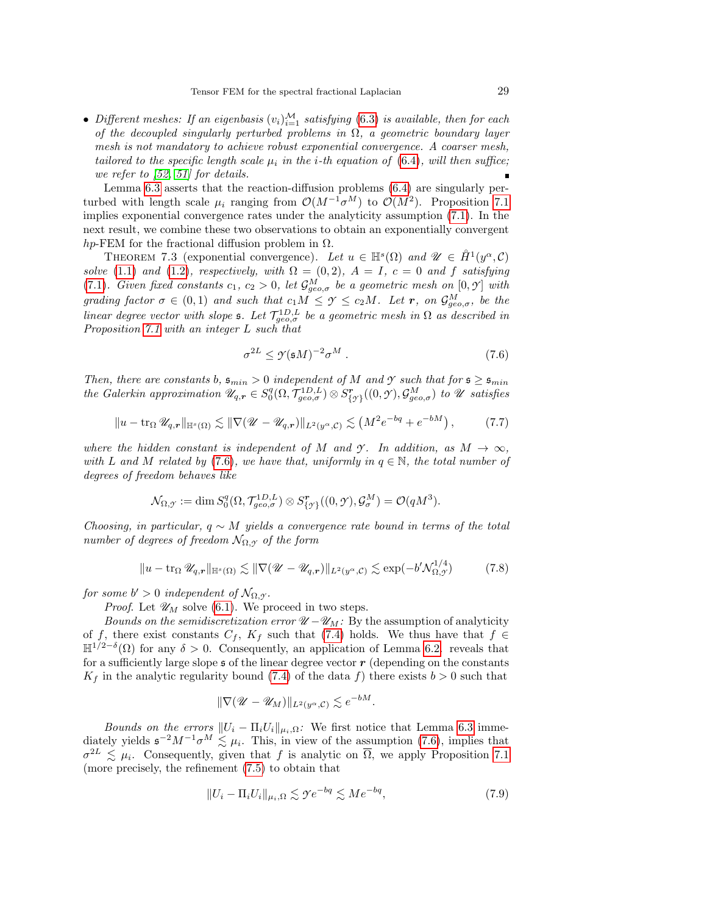• Different meshes: If an eigenbasis  $(v_i)_{i=1}^{\mathcal{M}}$  satisfying [\(6.3\)](#page-24-1) is available, then for each of the decoupled singularly perturbed problems in  $\Omega$ , a geometric boundary layer mesh is not mandatory to achieve robust exponential convergence. A coarser mesh, tailored to the specific length scale  $\mu_i$  in the *i*-th equation of [\(6.4\)](#page-24-2), will then suffice; we refer to [\[52,](#page-43-12) [51\]](#page-43-9) for details.

Lemma [6.3](#page-25-2) asserts that the reaction-diffusion problems [\(6.4\)](#page-24-2) are singularly perturbed with length scale  $\mu_i$  ranging from  $\mathcal{O}(M^{-1} \sigma^M)$  to  $\mathcal{O}(M^2)$ . Proposition [7.1](#page-27-2) implies exponential convergence rates under the analyticity assumption [\(7.1\)](#page-26-1). In the next result, we combine these two observations to obtain an exponentially convergent hp-FEM for the fractional diffusion problem in  $\Omega$ .

THEOREM 7.3 (exponential convergence). Let  $u \in \mathbb{H}^{s}(\Omega)$  and  $\mathscr{U} \in \mathring{H}^{1}(y^{\alpha}, \mathcal{C})$ solve [\(1.1\)](#page-1-0) and [\(1.2\)](#page-1-1), respectively, with  $\Omega = (0, 2)$ ,  $A = I$ ,  $c = 0$  and f satisfying [\(7.1\)](#page-26-1). Given fixed constants  $c_1, c_2 > 0$ , let  $\mathcal{G}_{geo,\sigma}^M$  be a geometric mesh on  $[0, \mathcal{Y}]$  with grading factor  $\sigma \in (0,1)$  and such that  $c_1 M \leq \gamma \leq c_2 M$ . Let **r**, on  $\mathcal{G}_{geo,\sigma}^M$ , be the linear degree vector with slope s. Let  $\mathcal{T}_{geo,\sigma}^{1D,L}$  be a geometric mesh in  $\Omega$  as described in Proposition [7.1](#page-27-2) with an integer L such that

<span id="page-28-2"></span><span id="page-28-1"></span>
$$
\sigma^{2L} \le \mathcal{Y}(\mathfrak{s}M)^{-2}\sigma^M \ . \tag{7.6}
$$

Then, there are constants b,  $\mathfrak{s}_{min} > 0$  independent of M and *Y* such that for  $\mathfrak{s} \geq \mathfrak{s}_{min}$ the Galerkin approximation  $\mathscr{U}_{q,r} \in S_0^q(\Omega, \mathcal{T}_{geo,\sigma}^{1D,L}) \otimes S_{\{\gamma\}}^r((0,\gamma), \mathcal{G}_{geo,\sigma}^M)$  to  $\mathscr U$  satisfies

$$
||u - \operatorname{tr}_{\Omega} \mathscr{U}_{q,r}||_{\mathbb{H}^{s}(\Omega)} \lesssim ||\nabla (\mathscr{U} - \mathscr{U}_{q,r})||_{L^{2}(y^{\alpha}, \mathcal{C})} \lesssim \left(M^{2} e^{-bq} + e^{-bM}\right), \tag{7.7}
$$

where the hidden constant is independent of M and  $\gamma$ . In addition, as  $M \to \infty$ , with L and M related by [\(7.6\)](#page-28-2), we have that, uniformly in  $q \in \mathbb{N}$ , the total number of degrees of freedom behaves like

$$
\mathcal{N}_{\Omega,\mathcal{Y}} := \dim S^q_0(\Omega,\mathcal{T}^{1D,L}_{geo,\sigma}) \otimes S^{\mathbf{r}}_{\{\mathcal{Y}\}}((0,\mathcal{Y}),\mathcal{G}^M_\sigma) = \mathcal{O}(qM^3).
$$

Choosing, in particular,  $q \sim M$  yields a convergence rate bound in terms of the total number of degrees of freedom  $\mathcal{N}_{\Omega,\gamma}$  of the form

$$
||u - \operatorname{tr}_{\Omega} \mathscr{U}_{q,r}||_{\mathbb{H}^{s}(\Omega)} \lesssim ||\nabla (\mathscr{U} - \mathscr{U}_{q,r})||_{L^{2}(y^{\alpha}, \mathcal{C})} \lesssim \exp(-b' \mathcal{N}_{\Omega, \mathcal{Y}}^{1/4})
$$
(7.8)

for some  $b' > 0$  independent of  $\mathcal{N}_{\Omega, \mathcal{Y}}$ .

*Proof.* Let  $\mathcal{U}_M$  solve [\(6.1\)](#page-23-3). We proceed in two steps.

Bounds on the semidiscretization error  $\mathcal{U}-\mathcal{U}_M$ : By the assumption of analyticity of f, there exist constants  $C_f$ ,  $K_f$  such that [\(7.4\)](#page-27-3) holds. We thus have that  $f \in$  $\mathbb{H}^{1/2-\delta}(\Omega)$  for any  $\delta > 0$ . Consequently, an application of Lemma [6.2.](#page-25-0) reveals that for a sufficiently large slope  $\mathfrak s$  of the linear degree vector  $\mathfrak r$  (depending on the constants  $K_f$  in the analytic regularity bound [\(7.4\)](#page-27-3) of the data f) there exists  $b > 0$  such that

<span id="page-28-0"></span>
$$
\|\nabla (\mathscr{U} - \mathscr{U}_M)\|_{L^2(y^\alpha, \mathcal{C})} \lesssim e^{-bM}.
$$

Bounds on the errors  $||U_i - \Pi_i U_i||_{\mu_i,\Omega}$ : We first notice that Lemma [6.3](#page-25-2) immediately yields  $\mathfrak{s}^{-2}M^{-1}\sigma^M \lesssim \mu_i$ . This, in view of the assumption [\(7.6\)](#page-28-2), implies that  $\sigma^{2L} \leq \mu_i$ . Consequently, given that f is analytic on  $\overline{\Omega}$ , we apply Proposition [7.1](#page-27-2) (more precisely, the refinement [\(7.5\)](#page-27-4) to obtain that

<span id="page-28-3"></span>
$$
||U_i - \Pi_i U_i||_{\mu_i, \Omega} \lesssim \gamma e^{-bq} \lesssim Me^{-bq},\tag{7.9}
$$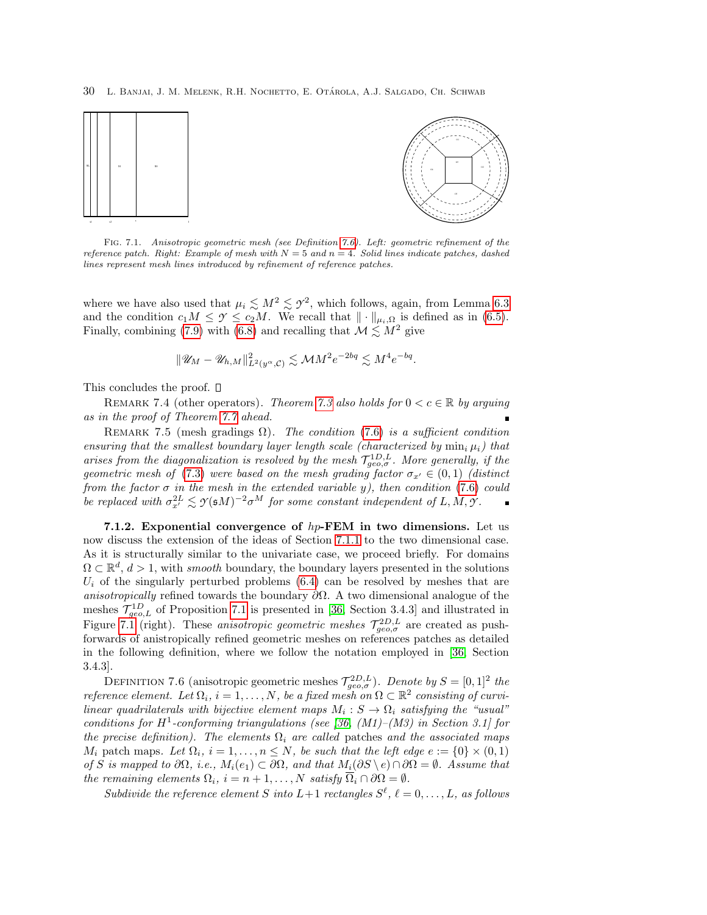30 L. Banjai, J. M. Melenk, R.H. Nochetto, E. Otarola, A.J. Salgado, Ch. Schwab ´



<span id="page-29-2"></span>Fig. 7.1. Anisotropic geometric mesh (see Definition [7.6\)](#page-29-1). Left: geometric refinement of the reference patch. Right: Example of mesh with  $N = 5$  and  $n = 4$ . Solid lines indicate patches, dashed lines represent mesh lines introduced by refinement of reference patches.

where we have also used that  $\mu_i \lesssim M^2 \lesssim \gamma^2$ , which follows, again, from Lemma [6.3](#page-25-2) and the condition  $c_1M \leq \gamma \leq c_2M$ . We recall that  $\|\cdot\|_{\mu_i,\Omega}$  is defined as in [\(6.5\)](#page-24-6). Finally, combining [\(7.9\)](#page-28-3) with [\(6.8\)](#page-24-5) and recalling that  $\mathcal{M} \leq M^2$  give

$$
\|\mathscr{U}_M-\mathscr{U}_{h,M}\|_{L^2(y^\alpha,\mathcal{C})}^2 \lesssim \mathcal{M} M^2 e^{-2bq} \lesssim M^4 e^{-bq}.
$$

This concludes the proof.  $\square$ 

REMARK 7.4 (other operators). Theorem [7.3](#page-28-1) also holds for  $0 < c \in \mathbb{R}$  by arguing as in the proof of Theorem [7.7](#page-30-0) ahead.

REMARK 7.5 (mesh gradings  $\Omega$ ). The condition [\(7.6\)](#page-28-2) is a sufficient condition ensuring that the smallest boundary layer length scale (characterized by  $\min_i \mu_i$ ) that arises from the diagonalization is resolved by the mesh  $\mathcal{T}_{geo,\sigma}^{1D,L}$ . More generally, if the geometric mesh of [\(7.3\)](#page-27-5) were based on the mesh grading factor  $\sigma_{x'} \in (0, 1)$  (distinct from the factor  $\sigma$  in the mesh in the extended variable y), then condition [\(7.6\)](#page-28-2) could be replaced with  $\sigma_{x'}^{2L} \lesssim \gamma(\mathfrak{s} M)^{-2} \sigma^{M}$  for some constant independent of L, M,  $\gamma$ .

<span id="page-29-0"></span>7.1.2. Exponential convergence of  $hp$ -FEM in two dimensions. Let us now discuss the extension of the ideas of Section [7.1.1](#page-27-0) to the two dimensional case. As it is structurally similar to the univariate case, we proceed briefly. For domains  $\Omega \subset \mathbb{R}^d$ ,  $d > 1$ , with *smooth* boundary, the boundary layers presented in the solutions  $U_i$  of the singularly perturbed problems [\(6.4\)](#page-24-2) can be resolved by meshes that are anisotropically refined towards the boundary  $\partial\Omega$ . A two dimensional analogue of the meshes  $\mathcal{T}_{geo,L}^{1D}$  of Proposition [7.1](#page-27-2) is presented in [\[36,](#page-42-22) Section 3.4.3] and illustrated in Figure [7.1](#page-29-2) (right). These *anisotropic geometric meshes*  $\mathcal{T}_{geo,\sigma}^{2D,L}$  are created as pushforwards of anistropically refined geometric meshes on references patches as detailed in the following definition, where we follow the notation employed in [\[36,](#page-42-22) Section 3.4.3].

<span id="page-29-1"></span>DEFINITION 7.6 (anisotropic geometric meshes  $\mathcal{T}_{geo,\sigma}^{2D,L}$ ). Denote by  $S = [0,1]^2$  the reference element. Let  $\Omega_i$ ,  $i = 1, ..., N$ , be a fixed mesh on  $\Omega \subset \mathbb{R}^2$  consisting of curvilinear quadrilaterals with bijective element maps  $M_i : S \to \Omega_i$  satisfying the "usual" conditions for  $H^1$ -conforming triangulations (see [\[36,](#page-42-22) (M1)–(M3) in Section 3.1] for the precise definition). The elements  $\Omega_i$  are called patches and the associated maps  $M_i$  patch maps. Let  $\Omega_i$ ,  $i = 1, \ldots, n \leq N$ , be such that the left edge  $e := \{0\} \times (0, 1)$ of S is mapped to  $\partial\Omega$ , i.e.,  $M_i(e_1) \subset \partial\Omega$ , and that  $M_i(\partial S \setminus e) \cap \partial\Omega = \emptyset$ . Assume that the remaining elements  $\Omega_i$ ,  $i = n+1, \ldots, N$  satisfy  $\overline{\Omega}_i \cap \partial \Omega = \emptyset$ .

Subdivide the reference element S into  $L+1$  rectangles  $S^{\ell}, \ell = 0, \ldots, L$ , as follows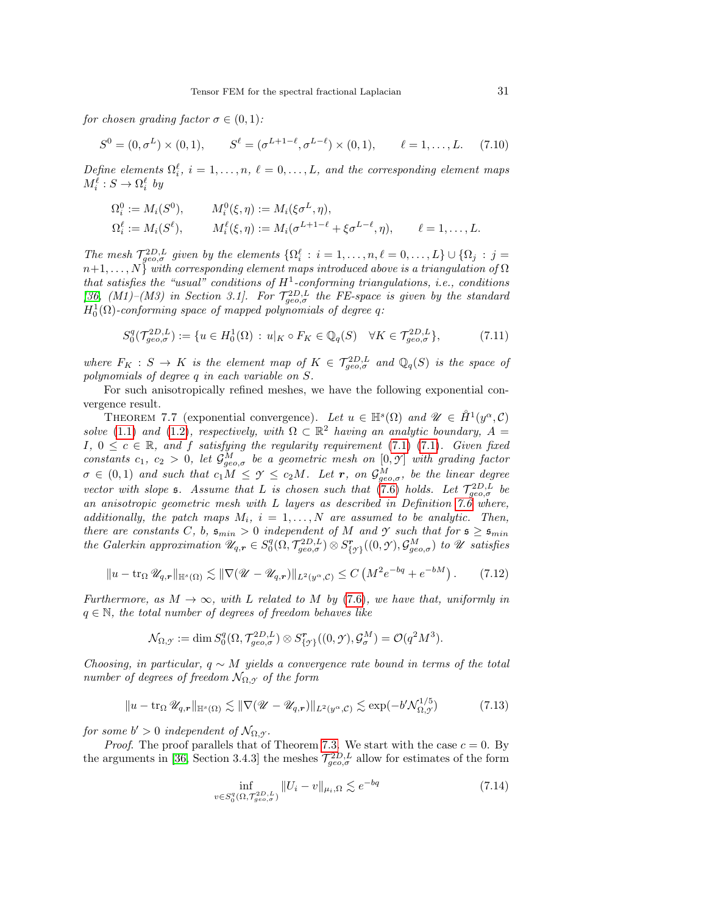for chosen grading factor  $\sigma \in (0,1)$ :

$$
S^{0} = (0, \sigma^{L}) \times (0, 1), \qquad S^{\ell} = (\sigma^{L+1-\ell}, \sigma^{L-\ell}) \times (0, 1), \qquad \ell = 1, ..., L. \tag{7.10}
$$

Define elements  $\Omega_i^{\ell}$ ,  $i = 1, ..., n$ ,  $\ell = 0, ..., L$ , and the corresponding element maps  $M_i^{\ell}: S \to \Omega_i^{\ell}$  by

$$
\Omega_i^0 := M_i(S^0), \qquad M_i^0(\xi, \eta) := M_i(\xi \sigma^L, \eta), \n\Omega_i^{\ell} := M_i(S^{\ell}), \qquad M_i^{\ell}(\xi, \eta) := M_i(\sigma^{L+1-\ell} + \xi \sigma^{L-\ell}, \eta), \qquad \ell = 1, ..., L.
$$

The mesh  $\mathcal{T}_{geo,\sigma}^{2D,L}$  given by the elements  $\{\Omega_i^{\ell}: i=1,\ldots,n, \ell=0,\ldots,L\} \cup \{\Omega_j : j=1,\ldots,m\}$  $n+1, \ldots, N$  with corresponding element maps introduced above is a triangulation of  $\Omega$ that satisfies the "usual" conditions of  $H^1$ -conforming triangulations, i.e., conditions [\[36,](#page-42-22)  $(M1)$ – $(M3)$  in Section 3.1]. For  $\mathcal{T}_{geo,\sigma}^{2D,L}$  the FE-space is given by the standard  $H_0^1(\Omega)$ -conforming space of mapped polynomials of degree q:

$$
S_0^q(\mathcal{T}_{geo,\sigma}^{2D,L}) := \{ u \in H_0^1(\Omega) : u|_K \circ F_K \in \mathbb{Q}_q(S) \quad \forall K \in \mathcal{T}_{geo,\sigma}^{2D,L} \},\tag{7.11}
$$

where  $F_K : S \to K$  is the element map of  $K \in \mathcal{T}_{geo,\sigma}^{2D,L}$  and  $\mathbb{Q}_q(S)$  is the space of polynomials of degree q in each variable on S.

For such anisotropically refined meshes, we have the following exponential convergence result.

<span id="page-30-0"></span>THEOREM 7.7 (exponential convergence). Let  $u \in \mathbb{H}^{s}(\Omega)$  and  $\mathscr{U} \in \mathring{H}^{1}(y^{\alpha}, \mathcal{C})$ solve [\(1.1\)](#page-1-0) and [\(1.2\)](#page-1-1), respectively, with  $\Omega \subset \mathbb{R}^2$  having an analytic boundary,  $A =$ I,  $0 \leq c \in \mathbb{R}$ , and f satisfying the regularity requirement [\(7.1\) \(7.1\)](#page-26-1). Given fixed constants  $c_1, c_2 > 0$ , let  $\mathcal{G}_{geo,\sigma}^M$  be a geometric mesh on  $[0, \mathcal{Y}]$  with grading factor  $\sigma \in (0,1)$  and such that  $c_1M \leq \gamma \leq c_2M$ . Let r, on  $\mathcal{G}^M_{geo,\sigma}$ , be the linear degree vector with slope 5. Assume that L is chosen such that [\(7.6\)](#page-28-2) holds. Let  $\mathcal{T}_{geo,\sigma}^{2D,L}$  be an anisotropic geometric mesh with L layers as described in Definition [7.6](#page-29-1) where, additionally, the patch maps  $M_i$ ,  $i = 1, ..., N$  are assumed to be analytic. Then, there are constants C, b,  $\mathfrak{s}_{min} > 0$  independent of M and *Y* such that for  $\mathfrak{s} \geq \mathfrak{s}_{min}$ the Galerkin approximation  $\mathscr{U}_{q,r} \in S_0^q(\Omega, \mathcal{T}_{geo,\sigma}^{2D,L}) \otimes S_{\{\gamma\}}^r((0,\mathcal{Y}), \mathcal{G}_{geo,\sigma}^M)$  to  $\mathscr U$  satisfies

$$
||u - \operatorname{tr}_{\Omega} \mathscr{U}_{q,r}||_{\mathbb{H}^{s}(\Omega)} \lesssim ||\nabla (\mathscr{U} - \mathscr{U}_{q,r})||_{L^{2}(y^{\alpha}, \mathcal{C})} \leq C \left(M^{2} e^{-bq} + e^{-bM}\right). \tag{7.12}
$$

Furthermore, as  $M \to \infty$ , with L related to M by [\(7.6\)](#page-28-2), we have that, uniformly in  $q \in \mathbb{N}$ , the total number of degrees of freedom behaves like

<span id="page-30-3"></span>
$$
\mathcal{N}_{\Omega,\mathcal{Y}} := \dim S_0^q(\Omega, \mathcal{T}_{geo,\sigma}^{2D,L}) \otimes S_{\{\mathcal{Y}\}}^r((0,\mathcal{Y}), \mathcal{G}_{\sigma}^M) = \mathcal{O}(q^2M^3).
$$

Choosing, in particular,  $q \sim M$  yields a convergence rate bound in terms of the total number of degrees of freedom  $\mathcal{N}_{\Omega,\gamma}$  of the form

$$
||u - \operatorname{tr}_{\Omega} \mathscr{U}_{q,r}||_{\mathbb{H}^{s}(\Omega)} \lesssim ||\nabla (\mathscr{U} - \mathscr{U}_{q,r})||_{L^{2}(y^{\alpha}, \mathcal{C})} \lesssim \exp(-b'\mathcal{N}_{\Omega, \mathcal{Y}}^{1/5})
$$
(7.13)

for some  $b' > 0$  independent of  $\mathcal{N}_{\Omega, \mathcal{Y}}$ .

*Proof.* The proof parallels that of Theorem [7.3.](#page-28-1) We start with the case  $c = 0$ . By the arguments in [\[36,](#page-42-22) Section 3.4.3] the meshes  $\mathcal{T}_{geo,\sigma}^{2D,L}$  allow for estimates of the form

<span id="page-30-2"></span><span id="page-30-1"></span>
$$
\inf_{v \in S_0^q(\Omega, \mathcal{T}_{geo,\sigma}^{2D,L})} \|U_i - v\|_{\mu_i, \Omega} \lesssim e^{-bq}
$$
\n(7.14)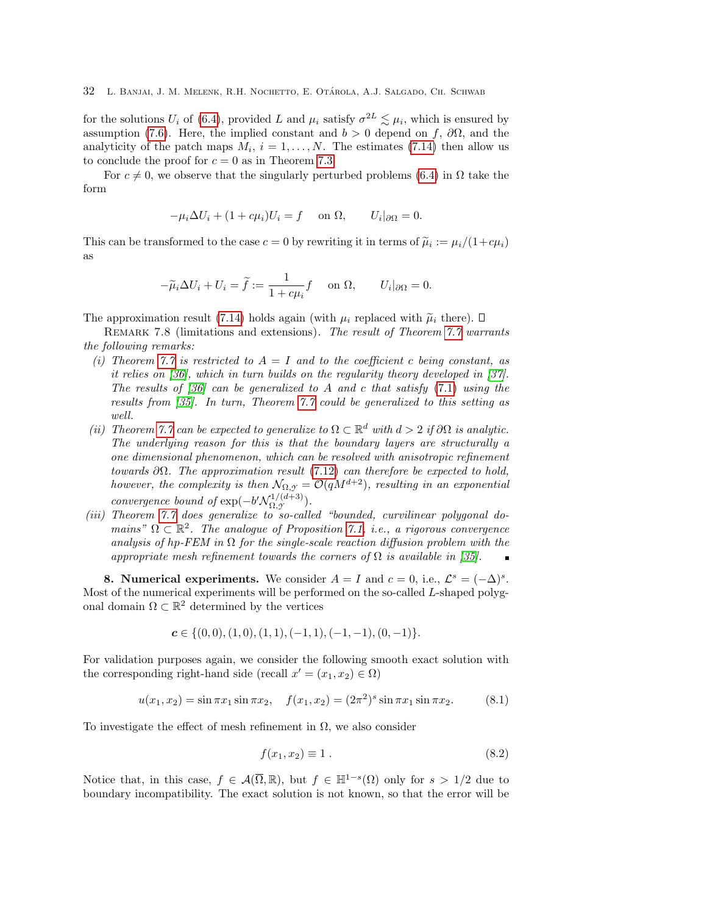for the solutions  $U_i$  of [\(6.4\)](#page-24-2), provided L and  $\mu_i$  satisfy  $\sigma^{2L} \lesssim \mu_i$ , which is ensured by assumption [\(7.6\)](#page-28-2). Here, the implied constant and  $b > 0$  depend on f,  $\partial\Omega$ , and the analyticity of the patch maps  $M_i$ ,  $i = 1, ..., N$ . The estimates [\(7.14\)](#page-30-2) then allow us to conclude the proof for  $c = 0$  as in Theorem [7.3.](#page-28-1)

For  $c \neq 0$ , we observe that the singularly perturbed problems [\(6.4\)](#page-24-2) in  $\Omega$  take the form

$$
-\mu_i \Delta U_i + (1 + c\mu_i)U_i = f \quad \text{on } \Omega, \qquad U_i|_{\partial\Omega} = 0.
$$

This can be transformed to the case  $c = 0$  by rewriting it in terms of  $\tilde{\mu}_i := \mu_i/(1 + c\mu_i)$ as

$$
-\widetilde{\mu}_i \Delta U_i + U_i = \widetilde{f} := \frac{1}{1 + c\mu_i} f \quad \text{on } \Omega, \qquad U_i|_{\partial\Omega} = 0.
$$

The approximation result [\(7.14\)](#page-30-2) holds again (with  $\mu_i$  replaced with  $\tilde{\mu}_i$  there).  $\Box$ 

<span id="page-31-0"></span>REMARK 7.8 (limitations and extensions). The result of Theorem [7.7](#page-30-0) warrants the following remarks:

- (i) Theorem [7.7](#page-30-0) is restricted to  $A = I$  and to the coefficient c being constant, as it relies on [\[36\]](#page-42-22), which in turn builds on the regularity theory developed in [\[37\]](#page-42-24). The results of  $\lceil 36 \rceil$  can be generalized to A and c that satisfy [\(7.1\)](#page-26-1) using the results from [\[35\]](#page-42-23). In turn, Theorem [7.7](#page-30-0) could be generalized to this setting as well.
- (ii) Theorem [7.7](#page-30-0) can be expected to generalize to  $\Omega \subset \mathbb{R}^d$  with  $d > 2$  if  $\partial \Omega$  is analytic. The underlying reason for this is that the boundary layers are structurally a one dimensional phenomenon, which can be resolved with anisotropic refinement towards  $\partial\Omega$ . The approximation result [\(7.12\)](#page-30-3) can therefore be expected to hold, however, the complexity is then  $\mathcal{N}_{\Omega,\mathcal{I}} = \mathcal{O}(qM^{d+2})$ , resulting in an exponential convergence bound of  $\exp(-b' \mathcal{N}_{\Omega, \gamma}^{1/(d+3)})$  $\Omega, \mathcal{Y}^{(a+3)}$ ).
- (iii) Theorem [7.7](#page-30-0) does generalize to so-called "bounded, curvilinear polygonal domains"  $\Omega \subset \mathbb{R}^2$ . The analogue of Proposition [7.1,](#page-27-2) i.e., a rigorous convergence analysis of hp-FEM in  $\Omega$  for the single-scale reaction diffusion problem with the appropriate mesh refinement towards the corners of  $\Omega$  is available in [\[35\]](#page-42-23).

<span id="page-31-1"></span>8. Numerical experiments. We consider  $A = I$  and  $c = 0$ , i.e.,  $\mathcal{L}^s = (-\Delta)^s$ . Most of the numerical experiments will be performed on the so-called L-shaped polygonal domain  $\Omega \subset \mathbb{R}^2$  determined by the vertices

$$
\mathbf{c} \in \{ (0,0), (1,0), (1,1), (-1,1), (-1,-1), (0,-1) \}.
$$

For validation purposes again, we consider the following smooth exact solution with the corresponding right-hand side (recall  $x' = (x_1, x_2) \in \Omega$ )

<span id="page-31-2"></span>
$$
u(x_1, x_2) = \sin \pi x_1 \sin \pi x_2, \quad f(x_1, x_2) = (2\pi^2)^s \sin \pi x_1 \sin \pi x_2.
$$
 (8.1)

To investigate the effect of mesh refinement in  $\Omega$ , we also consider

$$
f(x_1, x_2) \equiv 1. \tag{8.2}
$$

Notice that, in this case,  $f \in \mathcal{A}(\overline{\Omega}, \mathbb{R})$ , but  $f \in \mathbb{H}^{1-s}(\Omega)$  only for  $s > 1/2$  due to boundary incompatibility. The exact solution is not known, so that the error will be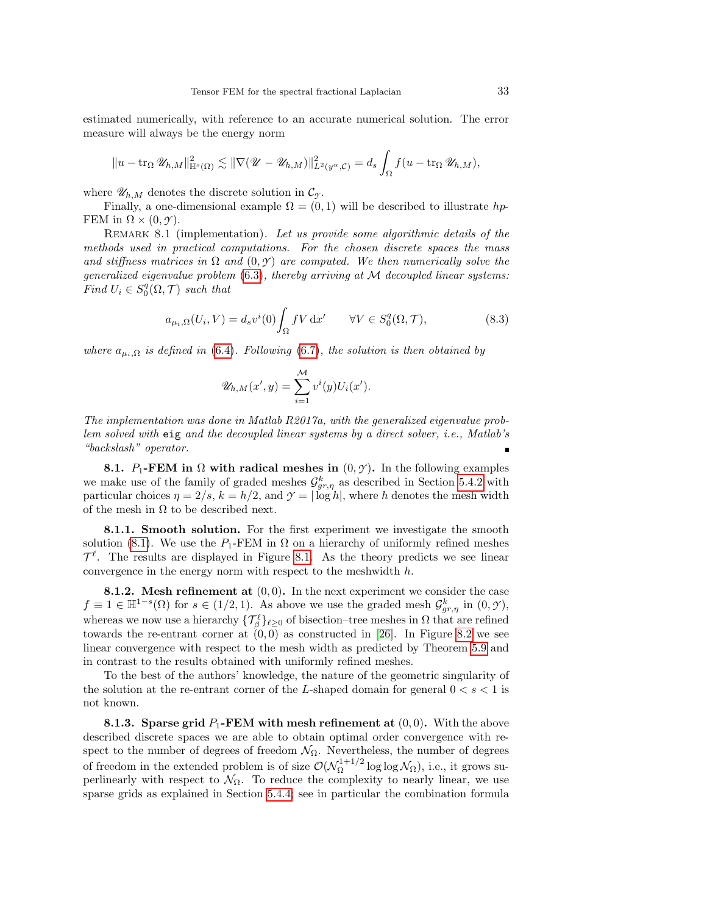estimated numerically, with reference to an accurate numerical solution. The error measure will always be the energy norm

$$
||u - \operatorname{tr}_{\Omega} \mathscr{U}_{h,M}||_{\mathbb{H}^{s}(\Omega)}^{2} \lesssim ||\nabla (\mathscr{U} - \mathscr{U}_{h,M})||_{L^{2}(y^{\alpha},\mathcal{C})}^{2} = d_{s} \int_{\Omega} f(u - \operatorname{tr}_{\Omega} \mathscr{U}_{h,M}),
$$

where  $\mathscr{U}_{h,M}$  denotes the discrete solution in  $\mathcal{C}_{\gamma}$ .

Finally, a one-dimensional example  $\Omega = (0,1)$  will be described to illustrate hp-FEM in  $\Omega \times (0, \gamma)$ .

<span id="page-32-0"></span>REMARK 8.1 (implementation). Let us provide some algorithmic details of the methods used in practical computations. For the chosen discrete spaces the mass and stiffness matrices in  $\Omega$  and  $(0, \gamma)$  are computed. We then numerically solve the generalized eigenvalue problem  $(6.3)$ , thereby arriving at M decoupled linear systems: Find  $U_i \in S_0^q(\Omega, \mathcal{T})$  such that

$$
a_{\mu_i,\Omega}(U_i, V) = d_s v^i(0) \int_{\Omega} fV \, \mathrm{d}x' \qquad \forall V \in S_0^q(\Omega, \mathcal{T}),\tag{8.3}
$$

where  $a_{\mu_i,\Omega}$  is defined in [\(6.4\)](#page-24-2). Following [\(6.7\)](#page-24-4), the solution is then obtained by

$$
\mathscr{U}_{h,M}(x',y) = \sum_{i=1}^{\mathcal{M}} v^i(y) U_i(x').
$$

The implementation was done in Matlab R2017a, with the generalized eigenvalue problem solved with eig and the decoupled linear systems by a direct solver, i.e., Matlab's "backslash" operator.

**8.1.** P<sub>1</sub>-FEM in  $\Omega$  with radical meshes in  $(0, \gamma)$ . In the following examples we make use of the family of graded meshes  $\mathcal{G}^k_{gr,\eta}$  as described in Section [5.4.2](#page-15-0) with particular choices  $\eta = 2/s$ ,  $k = h/2$ , and  $\gamma = |\log h|$ , where h denotes the mesh width of the mesh in  $\Omega$  to be described next.

8.1.1. Smooth solution. For the first experiment we investigate the smooth solution [\(8.1\)](#page-31-2). We use the  $P_1$ -FEM in  $\Omega$  on a hierarchy of uniformly refined meshes  $\mathcal{T}^{\ell}$ . The results are displayed in Figure [8.1.](#page-29-2) As the theory predicts we see linear convergence in the energy norm with respect to the meshwidth  $h$ .

8.1.2. Mesh refinement at  $(0, 0)$ . In the next experiment we consider the case  $f \equiv 1 \in \mathbb{H}^{1-s}(\Omega)$  for  $s \in (1/2, 1)$ . As above we use the graded mesh  $\mathcal{G}^k_{gr, \eta}$  in  $(0, \mathcal{Y})$ , whereas we now use a hierarchy  $\{\mathcal{T}_{\beta}^{\ell}\}_{\ell \geq 0}$  of bisection–tree meshes in  $\Omega$  that are refined towards the re-entrant corner at  $(0,0)$  as constructed in [\[26\]](#page-42-17). In Figure [8.2](#page-33-0) we see linear convergence with respect to the mesh width as predicted by Theorem [5.9](#page-17-0) and in contrast to the results obtained with uniformly refined meshes.

To the best of the authors' knowledge, the nature of the geometric singularity of the solution at the re-entrant corner of the L-shaped domain for general  $0 < s < 1$  is not known.

8.1.3. Sparse grid  $P_1$ -FEM with mesh refinement at  $(0,0)$ . With the above described discrete spaces we are able to obtain optimal order convergence with respect to the number of degrees of freedom  $\mathcal{N}_{\Omega}$ . Nevertheless, the number of degrees of freedom in the extended problem is of size  $\mathcal{O}(\mathcal{N}_0^{1+1/2})$  $\Omega^{\frac{1+1}{2}}$  log log  $\mathcal{N}_{\Omega}$ ), i.e., it grows superlinearly with respect to  $\mathcal{N}_{\Omega}$ . To reduce the complexity to nearly linear, we use sparse grids as explained in Section [5.4.4;](#page-18-1) see in particular the combination formula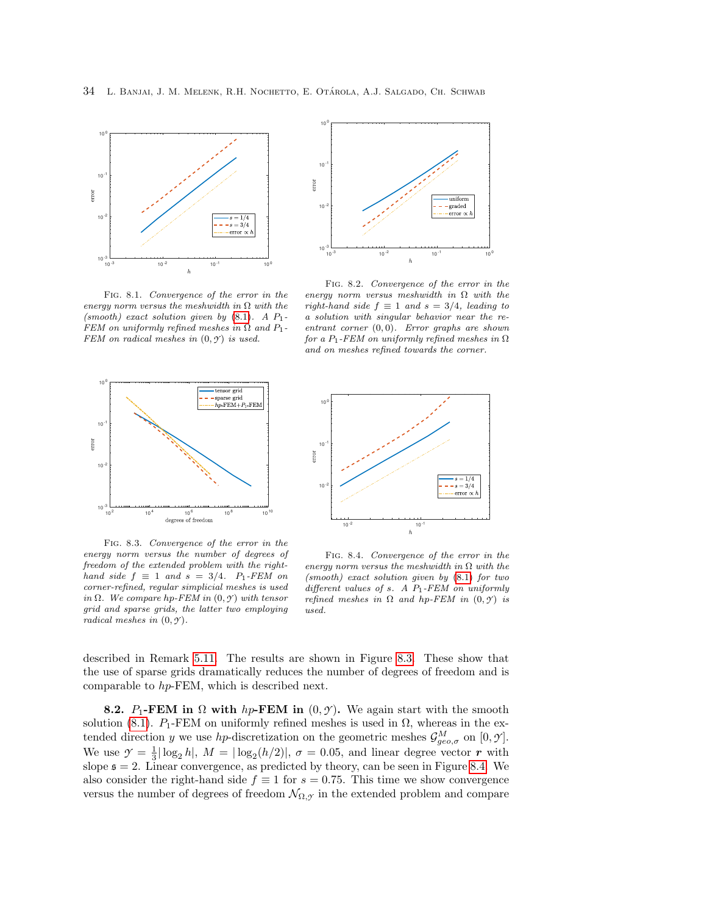

Fig. 8.1. Convergence of the error in the energy norm versus the meshwidth in  $\Omega$  with the (smooth) exact solution given by  $(8.1)$ . A  $P_1$ -FEM on uniformly refined meshes in  $\Omega$  and  $P_1$ -FEM on radical meshes in  $(0, \gamma)$  is used.



<span id="page-33-0"></span>Fig. 8.2. Convergence of the error in the energy norm versus meshwidth in  $\Omega$  with the right-hand side  $f \equiv 1$  and  $s = 3/4$ , leading to a solution with singular behavior near the reentrant corner  $(0, 0)$ . Error graphs are shown for a  $P_1$ -FEM on uniformly refined meshes in  $\Omega$ and on meshes refined towards the corner.



<span id="page-33-1"></span>Fig. 8.3. Convergence of the error in the energy norm versus the number of degrees of freedom of the extended problem with the righthand side  $f \equiv 1$  and  $s = 3/4$ . P<sub>1</sub>-FEM on corner-refined, regular simplicial meshes is used in  $\Omega$ . We compare hp-FEM in  $(0, \gamma)$  with tensor grid and sparse grids, the latter two employing radical meshes in  $(0, \mathcal{Y})$ .



<span id="page-33-2"></span>Fig. 8.4. Convergence of the error in the energy norm versus the meshwidth in  $\Omega$  with the (smooth) exact solution given by [\(8.1\)](#page-31-2) for two different values of s. A  $P_1$ -FEM on uniformly refined meshes in  $\Omega$  and hp-FEM in  $(0, \gamma)$  is used.

described in Remark [5.11.](#page-19-3) The results are shown in Figure [8.3.](#page-33-1) These show that the use of sparse grids dramatically reduces the number of degrees of freedom and is comparable to hp-FEM, which is described next.

**8.2.** P<sub>1</sub>-FEM in  $\Omega$  with h<sub>p</sub>-FEM in  $(0, \gamma)$ . We again start with the smooth solution [\(8.1\)](#page-31-2).  $P_1$ -FEM on uniformly refined meshes is used in  $\Omega$ , whereas in the extended direction y we use hp-discretization on the geometric meshes  $\mathcal{G}^M_{geo,\sigma}$  on  $[0,\mathcal{Y}]$ . We use  $\mathcal{Y} = \frac{1}{3} |\log_2 h|$ ,  $M = |\log_2(h/2)|$ ,  $\sigma = 0.05$ , and linear degree vector r with slope  $\epsilon = 2$ . Linear convergence, as predicted by theory, can be seen in Figure [8.4.](#page-33-2) We also consider the right-hand side  $f \equiv 1$  for  $s = 0.75$ . This time we show convergence versus the number of degrees of freedom  $\mathcal{N}_{\Omega,\mathcal{Y}}$  in the extended problem and compare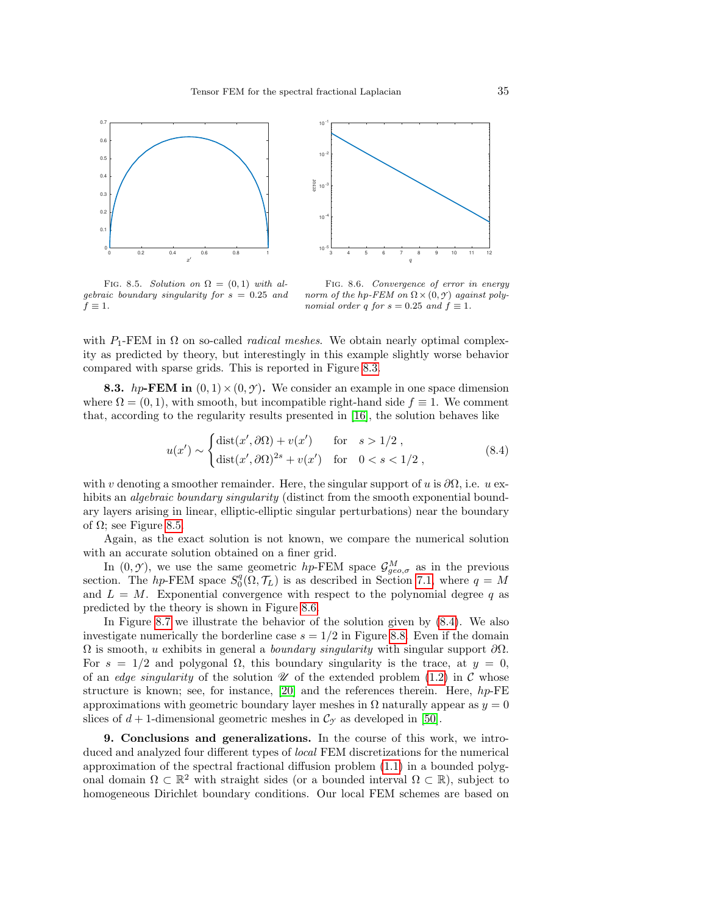



<span id="page-34-0"></span>FIG. 8.5. Solution on  $\Omega = (0,1)$  with algebraic boundary singularity for  $s = 0.25$  and  $f \equiv 1$ .

<span id="page-34-1"></span>Fig. 8.6. Convergence of error in energy norm of the hp-FEM on  $\Omega \times (0, \gamma)$  against polynomial order q for  $s = 0.25$  and  $f \equiv 1$ .

with  $P_1$ -FEM in  $\Omega$  on so-called *radical meshes*. We obtain nearly optimal complexity as predicted by theory, but interestingly in this example slightly worse behavior compared with sparse grids. This is reported in Figure [8.3.](#page-33-1)

**8.3.** hp-FEM in  $(0, 1) \times (0, \gamma)$ . We consider an example in one space dimension where  $\Omega = (0, 1)$ , with smooth, but incompatible right-hand side  $f \equiv 1$ . We comment that, according to the regularity results presented in [\[16\]](#page-42-25), the solution behaves like

<span id="page-34-2"></span>
$$
u(x') \sim \begin{cases} \text{dist}(x', \partial \Omega) + v(x') & \text{for} \quad s > 1/2 \\ \text{dist}(x', \partial \Omega)^{2s} + v(x') & \text{for} \quad 0 < s < 1/2 \end{cases},\tag{8.4}
$$

with v denoting a smoother remainder. Here, the singular support of u is  $\partial\Omega$ , i.e. u exhibits an *algebraic boundary singularity* (distinct from the smooth exponential boundary layers arising in linear, elliptic-elliptic singular perturbations) near the boundary of  $\Omega$ ; see Figure [8.5.](#page-34-0)

Again, as the exact solution is not known, we compare the numerical solution with an accurate solution obtained on a finer grid.

In  $(0, \mathcal{Y})$ , we use the same geometric hp-FEM space  $\mathcal{G}_{geo,\sigma}^M$  as in the previous section. The hp-FEM space  $S_0^q(0,\mathcal{T}_L)$  is as described in Section [7.1,](#page-26-2) where  $q = M$ and  $L = M$ . Exponential convergence with respect to the polynomial degree q as predicted by the theory is shown in Figure [8.6.](#page-34-1)

In Figure [8.7](#page-35-0) we illustrate the behavior of the solution given by [\(8.4\)](#page-34-2). We also investigate numerically the borderline case  $s = 1/2$  in Figure [8.8.](#page-35-1) Even if the domain  $\Omega$  is smooth, u exhibits in general a *boundary singularity* with singular support  $\partial\Omega$ . For  $s = 1/2$  and polygonal  $\Omega$ , this boundary singularity is the trace, at  $y = 0$ , of an *edge singularity* of the solution  $\mathcal U$  of the extended problem [\(1.2\)](#page-1-1) in C whose structure is known; see, for instance,  $|20|$  and the references therein. Here,  $hp$ -FE approximations with geometric boundary layer meshes in  $\Omega$  naturally appear as  $y = 0$ slices of  $d + 1$ -dimensional geometric meshes in  $\mathcal{C}_{\gamma}$  as developed in [\[50\]](#page-43-14).

9. Conclusions and generalizations. In the course of this work, we introduced and analyzed four different types of local FEM discretizations for the numerical approximation of the spectral fractional diffusion problem [\(1.1\)](#page-1-0) in a bounded polygonal domain  $\Omega \subset \mathbb{R}^2$  with straight sides (or a bounded interval  $\Omega \subset \mathbb{R}$ ), subject to homogeneous Dirichlet boundary conditions. Our local FEM schemes are based on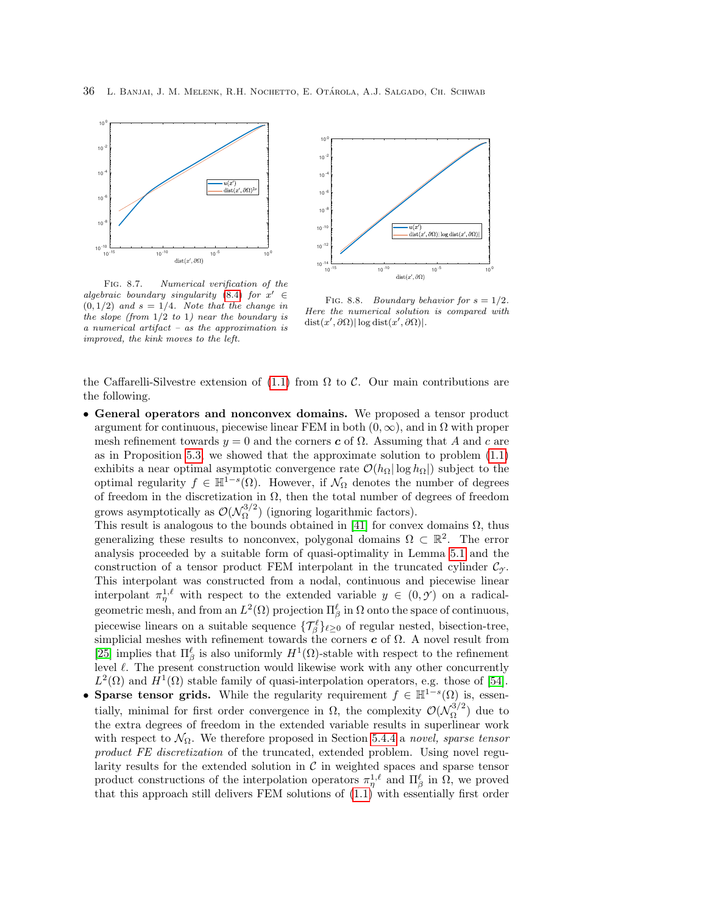



<span id="page-35-0"></span>algebraic boundary singularity [\(8.4\)](#page-34-2) for  $x' \in$  $(0, 1/2)$  and  $s = 1/4$ . Note that the change in the slope (from  $1/2$  to 1) near the boundary is a numerical artifact – as the approximation is improved, the kink moves to the left.



<span id="page-35-1"></span>FIG. 8.8. Boundary behavior for  $s = 1/2$ . Here the numerical solution is compared with  $dist(x',\partial\Omega)|\log dist(x',\partial\Omega)|.$ 

the Caffarelli-Silvestre extension of  $(1.1)$  from  $\Omega$  to  $\mathcal{C}$ . Our main contributions are the following.

• General operators and nonconvex domains. We proposed a tensor product argument for continuous, piecewise linear FEM in both  $(0, \infty)$ , and in  $\Omega$  with proper mesh refinement towards  $y = 0$  and the corners c of  $\Omega$ . Assuming that A and c are as in Proposition [5.3,](#page-13-4) we showed that the approximate solution to problem [\(1.1\)](#page-1-0) exhibits a near optimal asymptotic convergence rate  $\mathcal{O}(h_{\Omega}|\log h_{\Omega}|)$  subject to the optimal regularity  $f \in \mathbb{H}^{1-s}(\Omega)$ . However, if  $\mathcal{N}_{\Omega}$  denotes the number of degrees of freedom in the discretization in  $\Omega$ , then the total number of degrees of freedom grows asymptotically as  $\mathcal{O}(\mathcal{N}_\Omega^{3/2})$  $\Omega^{(3/2)}$  (ignoring logarithmic factors).

This result is analogous to the bounds obtained in [\[41\]](#page-43-1) for convex domains  $\Omega$ , thus generalizing these results to nonconvex, polygonal domains  $\Omega \subset \mathbb{R}^2$ . The error analysis proceeded by a suitable form of quasi-optimality in Lemma [5.1](#page-12-6) and the construction of a tensor product FEM interpolant in the truncated cylinder  $\mathcal{C}_{\gamma}$ . This interpolant was constructed from a nodal, continuous and piecewise linear interpolant  $\pi_{\eta}^{1,\ell}$  with respect to the extended variable  $y \in (0, \mathcal{Y})$  on a radicalgeometric mesh, and from an  $L^2(\Omega)$  projection  $\Pi_{\beta}^{\ell}$  in  $\Omega$  onto the space of continuous, piecewise linears on a suitable sequence  $\{\mathcal{T}_{\beta}^{\ell}\}_{\ell \geq 0}$  of regular nested, bisection-tree, simplicial meshes with refinement towards the corners  $\boldsymbol{c}$  of  $\Omega$ . A novel result from [\[25\]](#page-42-16) implies that  $\Pi_{\beta}^{\ell}$  is also uniformly  $H^{1}(\Omega)$ -stable with respect to the refinement level  $\ell$ . The present construction would likewise work with any other concurrently  $L^2(\Omega)$  and  $H^1(\Omega)$  stable family of quasi-interpolation operators, e.g. those of [\[54\]](#page-43-8).

• Sparse tensor grids. While the regularity requirement  $f \in \mathbb{H}^{1-s}(\Omega)$  is, essentially, minimal for first order convergence in  $\Omega$ , the complexity  $\mathcal{O}(\mathcal{N}_{\Omega}^{3/2})$  $\binom{3}{2}$  due to the extra degrees of freedom in the extended variable results in superlinear work with respect to  $\mathcal{N}_{\Omega}$ . We therefore proposed in Section [5.4.4](#page-18-1) a novel, sparse tensor product FE discretization of the truncated, extended problem. Using novel regularity results for the extended solution in  $C$  in weighted spaces and sparse tensor product constructions of the interpolation operators  $\pi_{\eta}^{1,\ell}$  and  $\Pi_{\beta}^{\ell}$  in  $\Omega$ , we proved that this approach still delivers FEM solutions of [\(1.1\)](#page-1-0) with essentially first order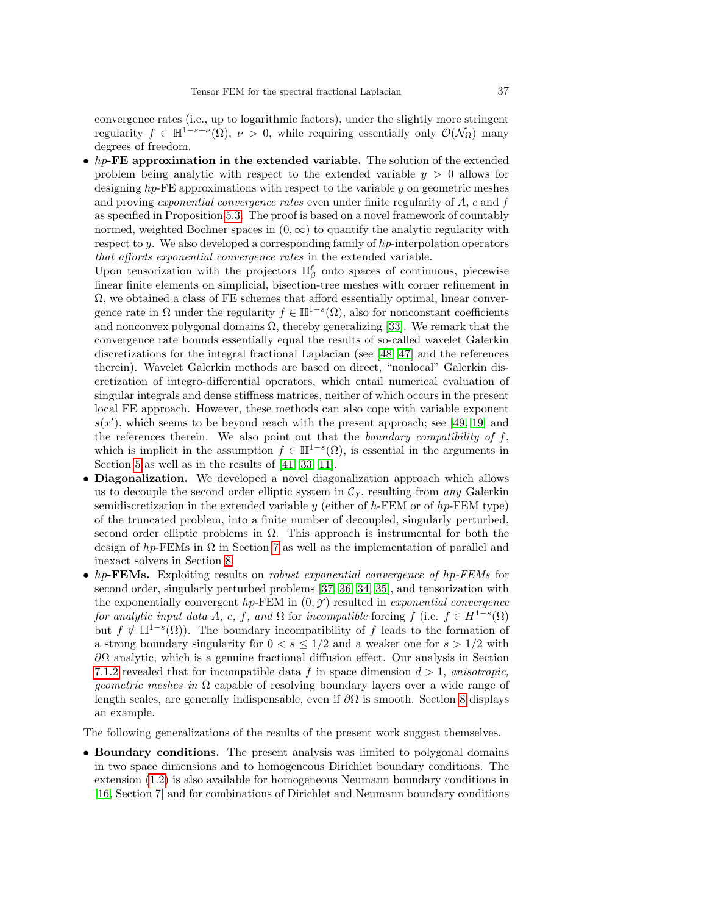convergence rates (i.e., up to logarithmic factors), under the slightly more stringent regularity  $f \in \mathbb{H}^{1-s+\nu}(\Omega)$ ,  $\nu > 0$ , while requiring essentially only  $\mathcal{O}(\mathcal{N}_{\Omega})$  many degrees of freedom.

•  $hp$ -FE approximation in the extended variable. The solution of the extended problem being analytic with respect to the extended variable  $y > 0$  allows for designing  $hp$ -FE approximations with respect to the variable  $y$  on geometric meshes and proving *exponential convergence rates* even under finite regularity of  $A$ ,  $c$  and  $f$ as specified in Proposition [5.3.](#page-13-4) The proof is based on a novel framework of countably normed, weighted Bochner spaces in  $(0, \infty)$  to quantify the analytic regularity with respect to y. We also developed a corresponding family of  $hp$ -interpolation operators that affords exponential convergence rates in the extended variable.

Upon tensorization with the projectors  $\Pi_{\beta}^{\ell}$  onto spaces of continuous, piecewise linear finite elements on simplicial, bisection-tree meshes with corner refinement in  $\Omega$ , we obtained a class of FE schemes that afford essentially optimal, linear convergence rate in  $\Omega$  under the regularity  $f \in \mathbb{H}^{1-s}(\Omega)$ , also for nonconstant coefficients and nonconvex polygonal domains  $\Omega$ , thereby generalizing [\[33\]](#page-42-5). We remark that the convergence rate bounds essentially equal the results of so-called wavelet Galerkin discretizations for the integral fractional Laplacian (see [\[48,](#page-43-15) [47\]](#page-43-16) and the references therein). Wavelet Galerkin methods are based on direct, "nonlocal" Galerkin discretization of integro-differential operators, which entail numerical evaluation of singular integrals and dense stiffness matrices, neither of which occurs in the present local FE approach. However, these methods can also cope with variable exponent  $s(x')$ , which seems to be beyond reach with the present approach; see [\[49,](#page-43-17) [19\]](#page-42-27) and the references therein. We also point out that the boundary compatibility of  $f$ , which is implicit in the assumption  $f \in \mathbb{H}^{1-s}(\Omega)$ , is essential in the arguments in Section [5](#page-11-0) as well as in the results of [\[41,](#page-43-1) [33,](#page-42-5) [11\]](#page-42-6).

- **Diagonalization.** We developed a novel diagonalization approach which allows us to decouple the second order elliptic system in  $\mathcal{C}_{\gamma}$ , resulting from any Galerkin semidiscretization in the extended variable y (either of h-FEM or of hp-FEM type) of the truncated problem, into a finite number of decoupled, singularly perturbed, second order elliptic problems in  $\Omega$ . This approach is instrumental for both the design of  $hp$ -FEMs in  $\Omega$  in Section [7](#page-26-0) as well as the implementation of parallel and inexact solvers in Section [8.](#page-31-1)
- hp-FEMs. Exploiting results on *robust exponential convergence of hp-FEMs* for second order, singularly perturbed problems [\[37,](#page-42-24) [36,](#page-42-22) [34,](#page-42-21) [35\]](#page-42-23), and tensorization with the exponentially convergent  $hp$ -FEM in  $(0, \mathcal{Y})$  resulted in *exponential convergence* for analytic input data A, c, f, and  $\Omega$  for incompatible forcing f (i.e.  $f \in H^{1-s}(\Omega)$ ) but  $f \notin \mathbb{H}^{1-s}(\Omega)$ . The boundary incompatibility of f leads to the formation of a strong boundary singularity for  $0 < s \leq 1/2$  and a weaker one for  $s > 1/2$  with  $\partial\Omega$  analytic, which is a genuine fractional diffusion effect. Our analysis in Section [7.1.2](#page-29-0) revealed that for incompatible data f in space dimension  $d > 1$ , anisotropic, *geometric meshes in*  $\Omega$  capable of resolving boundary layers over a wide range of length scales, are generally indispensable, even if  $\partial\Omega$  is smooth. Section [8](#page-31-1) displays an example.

The following generalizations of the results of the present work suggest themselves.

• Boundary conditions. The present analysis was limited to polygonal domains in two space dimensions and to homogeneous Dirichlet boundary conditions. The extension [\(1.2\)](#page-1-1) is also available for homogeneous Neumann boundary conditions in [\[16,](#page-42-25) Section 7] and for combinations of Dirichlet and Neumann boundary conditions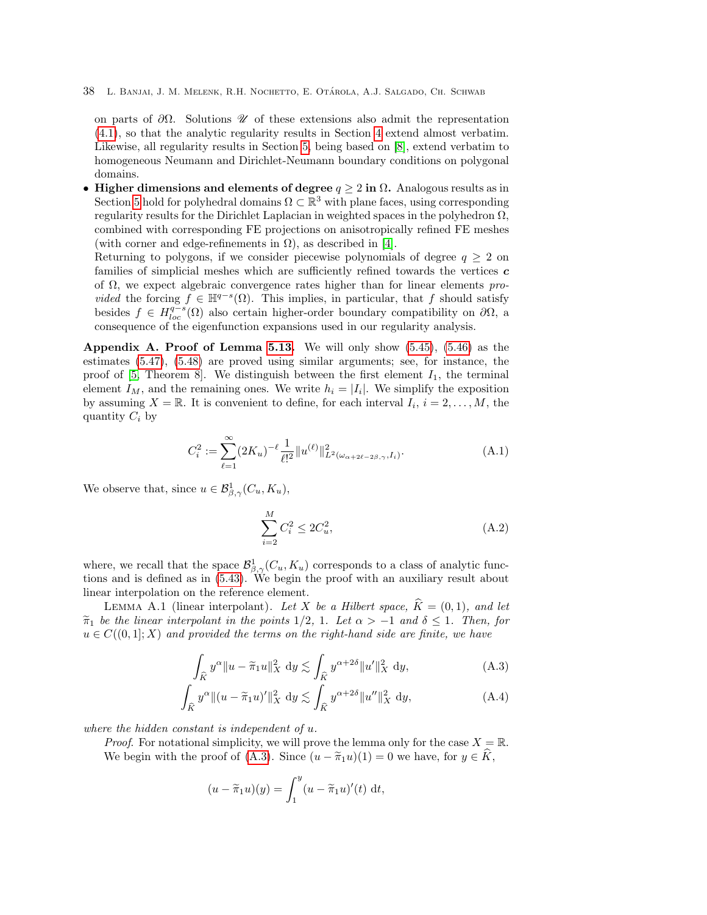on parts of  $\partial\Omega$ . Solutions  $\mathscr U$  of these extensions also admit the representation [\(4.1\)](#page-5-1), so that the analytic regularity results in Section [4](#page-5-3) extend almost verbatim. Likewise, all regularity results in Section [5,](#page-11-0) being based on [\[8\]](#page-41-4), extend verbatim to homogeneous Neumann and Dirichlet-Neumann boundary conditions on polygonal domains.

• Higher dimensions and elements of degree  $q \geq 2$  in  $\Omega$ . Analogous results as in Section [5](#page-11-0) hold for polyhedral domains  $\Omega \subset \mathbb{R}^3$  with plane faces, using corresponding regularity results for the Dirichlet Laplacian in weighted spaces in the polyhedron  $\Omega$ , combined with corresponding FE projections on anisotropically refined FE meshes (with corner and edge-refinements in  $\Omega$ ), as described in [\[4\]](#page-41-8).

Returning to polygons, if we consider piecewise polynomials of degree  $q \geq 2$  on families of simplicial meshes which are sufficiently refined towards the vertices  $c$ of  $\Omega$ , we expect algebraic convergence rates higher than for linear elements pro*vided* the forcing  $f \in \mathbb{H}^{q-s}(\Omega)$ . This implies, in particular, that f should satisfy besides  $f \in H_{loc}^{q-s}(\Omega)$  also certain higher-order boundary compatibility on  $\partial\Omega$ , a consequence of the eigenfunction expansions used in our regularity analysis.

<span id="page-37-1"></span>Appendix A. Proof of Lemma [5.13.](#page-22-2) We will only show  $(5.45)$ ,  $(5.46)$  as the estimates [\(5.47\)](#page-23-5), [\(5.48\)](#page-23-4) are proved using similar arguments; see, for instance, the proof of  $[5,$  Theorem 8. We distinguish between the first element  $I_1$ , the terminal element  $I_M$ , and the remaining ones. We write  $h_i = |I_i|$ . We simplify the exposition by assuming  $X = \mathbb{R}$ . It is convenient to define, for each interval  $I_i$ ,  $i = 2, ..., M$ , the quantity  $C_i$  by

<span id="page-37-3"></span>
$$
C_i^2 := \sum_{\ell=1}^{\infty} (2K_u)^{-\ell} \frac{1}{\ell!^2} \|u^{(\ell)}\|_{L^2(\omega_{\alpha+2\ell-2\beta,\gamma},I_i)}^2.
$$
 (A.1)

We observe that, since  $u \in \mathcal{B}^1_{\beta,\gamma}(C_u, K_u)$ ,

<span id="page-37-2"></span><span id="page-37-0"></span>
$$
\sum_{i=2}^{M} C_i^2 \le 2C_u^2,\tag{A.2}
$$

where, we recall that the space  $\mathcal{B}^1_{\beta,\gamma}(C_u, K_u)$  corresponds to a class of analytic functions and is defined as in [\(5.43\)](#page-22-0). We begin the proof with an auxiliary result about linear interpolation on the reference element.

LEMMA A.1 (linear interpolant). Let X be a Hilbert space,  $\widehat{K} = (0, 1)$ , and let  $\tilde{\pi}_1$  be the linear interpolant in the points 1/2, 1. Let  $\alpha > -1$  and  $\delta \leq 1$ . Then, for  $u \in C((0,1];X)$  and provided the terms on the right-hand side are finite, we have

$$
\int_{\widehat{K}} y^{\alpha} \|u - \widetilde{\pi}_1 u\|_X^2 \, \mathrm{d}y \lesssim \int_{\widehat{K}} y^{\alpha + 2\delta} \|u'\|_X^2 \, \mathrm{d}y,\tag{A.3}
$$

$$
\int_{\widehat{K}} y^{\alpha} \| (u - \widetilde{\pi}_1 u)' \|_X^2 \, \mathrm{d}y \lesssim \int_{\widehat{K}} y^{\alpha + 2\delta} \| u'' \|_X^2 \, \mathrm{d}y,\tag{A.4}
$$

where the hidden constant is independent of u.

*Proof.* For notational simplicity, we will prove the lemma only for the case  $X = \mathbb{R}$ . We begin with the proof of [\(A.3\)](#page-37-0). Since  $(u - \tilde{\pi}_1 u)(1) = 0$  we have, for  $y \in \tilde{K}$ ,

$$
(u - \widetilde{\pi}_1 u)(y) = \int_1^y (u - \widetilde{\pi}_1 u)'(t) dt,
$$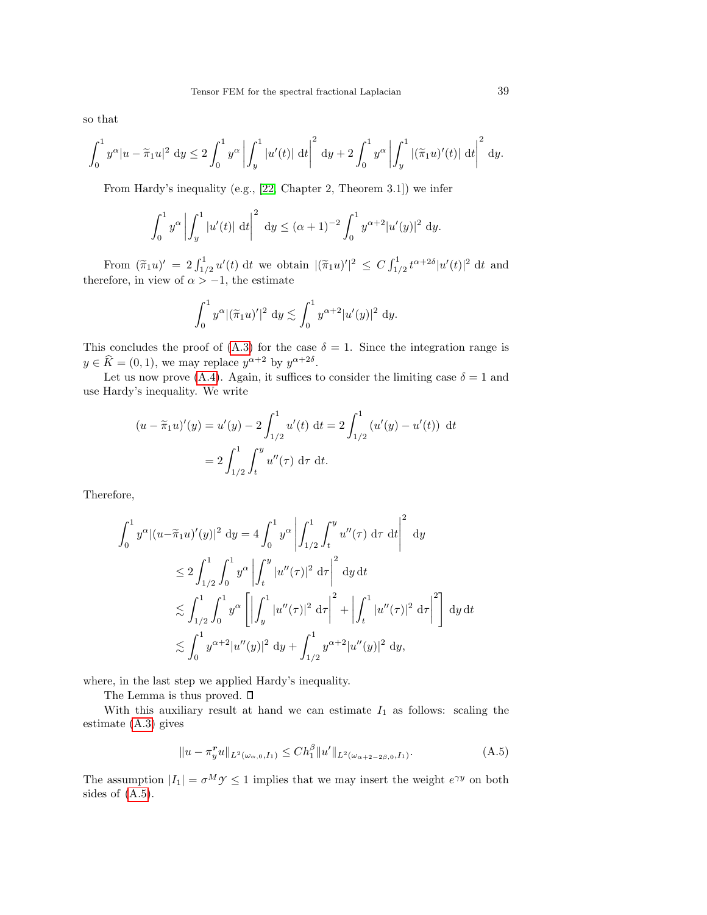so that

$$
\int_0^1 y^{\alpha} |u - \widetilde{\pi}_1 u|^2 \ dy \le 2 \int_0^1 y^{\alpha} \left| \int_y^1 |u'(t)| \ dt \right|^2 \ dy + 2 \int_0^1 y^{\alpha} \left| \int_y^1 |(\widetilde{\pi}_1 u)'(t)| \ dt \right|^2 \ dy.
$$

From Hardy's inequality (e.g., [\[22,](#page-42-28) Chapter 2, Theorem 3.1]) we infer

$$
\int_0^1 y^{\alpha} \left| \int_y^1 |u'(t)| \, \mathrm{d}t \right|^2 \, \mathrm{d}y \le (\alpha + 1)^{-2} \int_0^1 y^{\alpha + 2} |u'(y)|^2 \, \mathrm{d}y.
$$

From  $(\tilde{\pi}_1 u)' = 2 \int_{1/2}^1 u'(t) dt$  we obtain  $|(\tilde{\pi}_1 u)'|^2 \leq C \int_{1/2}^1 t^{\alpha+2\delta} |u'(t)|^2 dt$  and therefore, in view of  $\alpha > -1$ , the estimate

$$
\int_0^1 y^{\alpha} |(\tilde{\pi}_1 u)'|^2 \, \mathrm{d}y \lesssim \int_0^1 y^{\alpha+2} |u'(y)|^2 \, \mathrm{d}y.
$$

This concludes the proof of [\(A.3\)](#page-37-0) for the case  $\delta = 1$ . Since the integration range is  $y \in \widehat{K} = (0, 1)$ , we may replace  $y^{\alpha+2}$  by  $y^{\alpha+2\delta}$ .

Let us now prove [\(A.4\)](#page-37-2). Again, it suffices to consider the limiting case  $\delta = 1$  and use Hardy's inequality. We write

$$
(u - \tilde{\pi}_1 u)'(y) = u'(y) - 2 \int_{1/2}^1 u'(t) dt = 2 \int_{1/2}^1 (u'(y) - u'(t)) dt
$$

$$
= 2 \int_{1/2}^1 \int_t^y u''(\tau) d\tau dt.
$$

Therefore,

$$
\int_0^1 y^{\alpha} |(u - \tilde{\pi}_1 u)'(y)|^2 dy = 4 \int_0^1 y^{\alpha} \left| \int_{1/2}^1 \int_t^y u''(\tau) d\tau dt \right|^2 dy
$$
  
\n
$$
\leq 2 \int_{1/2}^1 \int_0^1 y^{\alpha} \left| \int_t^y |u''(\tau)|^2 d\tau \right|^2 dy dt
$$
  
\n
$$
\lesssim \int_{1/2}^1 \int_0^1 y^{\alpha} \left[ \left| \int_y^1 |u''(\tau)|^2 d\tau \right|^2 + \left| \int_t^1 |u''(\tau)|^2 d\tau \right|^2 \right] dy dt
$$
  
\n
$$
\lesssim \int_0^1 y^{\alpha+2} |u''(y)|^2 dy + \int_{1/2}^1 y^{\alpha+2} |u''(y)|^2 dy,
$$

where, in the last step we applied Hardy's inequality.

The Lemma is thus proved.  $\square$ 

With this auxiliary result at hand we can estimate  $I_1$  as follows: scaling the estimate [\(A.3\)](#page-37-0) gives

<span id="page-38-0"></span>
$$
||u - \pi_y^r u||_{L^2(\omega_{\alpha,0},I_1)} \le Ch_1^{\beta} ||u'||_{L^2(\omega_{\alpha+2-2\beta,0},I_1)}.
$$
 (A.5)

The assumption  $|I_1| = \sigma^M \mathcal{Y} \leq 1$  implies that we may insert the weight  $e^{\gamma y}$  on both sides of [\(A.5\)](#page-38-0).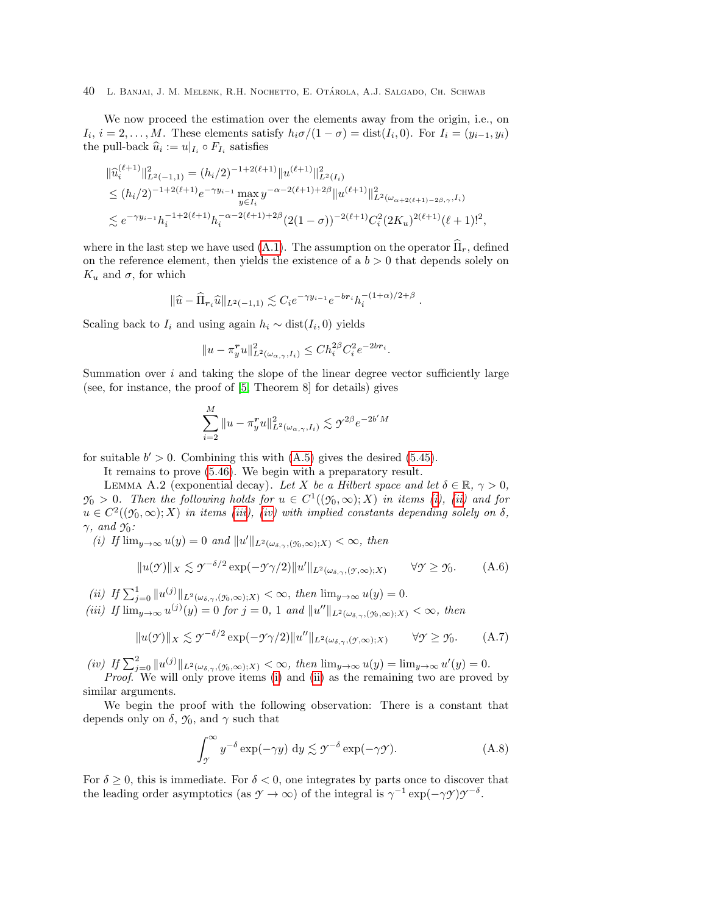We now proceed the estimation over the elements away from the origin, i.e., on  $I_i$ ,  $i = 2, \ldots, M$ . These elements satisfy  $h_i \sigma/(1 - \sigma) = \text{dist}(I_i, 0)$ . For  $I_i = (y_{i-1}, y_i)$ the pull-back  $\widehat{u}_i := u|_{I_i} \circ F_{I_i}$  satisfies

$$
\|\hat{u}_{i}^{(\ell+1)}\|_{L^{2}(-1,1)}^{2} = (h_{i}/2)^{-1+2(\ell+1)}\|u^{(\ell+1)}\|_{L^{2}(I_{i})}^{2}
$$
  
\n
$$
\leq (h_{i}/2)^{-1+2(\ell+1)}e^{-\gamma y_{i-1}}\max_{y\in I_{i}} y^{-\alpha-2(\ell+1)+2\beta}\|u^{(\ell+1)}\|_{L^{2}(\omega_{\alpha+2(\ell+1)-2\beta,\gamma},I_{i})}^{2}
$$
  
\n
$$
\lesssim e^{-\gamma y_{i-1}}h_{i}^{-1+2(\ell+1)}h_{i}^{-\alpha-2(\ell+1)+2\beta}(2(1-\sigma))^{-2(\ell+1)}C_{i}^{2}(2K_{u})^{2(\ell+1)}(\ell+1)!^{2},
$$

where in the last step we have used [\(A.1\)](#page-37-3). The assumption on the operator  $\widehat{\Pi}_r$ , defined on the reference element, then yields the existence of a  $b > 0$  that depends solely on  $K_u$  and  $\sigma$ , for which

$$
\|\widehat{u} - \widehat{\Pi}_{r_i}\widehat{u}\|_{L^2(-1,1)} \lesssim C_i e^{-\gamma y_{i-1}} e^{-br_i} h_i^{-(1+\alpha)/2+\beta}
$$

.

.

Scaling back to  $I_i$  and using again  $h_i \sim \text{dist}(I_i, 0)$  yields

$$
||u - \pi_y^r u||_{L^2(\omega_{\alpha,\gamma}, I_i)}^2 \leq C h_i^{2\beta} C_i^2 e^{-2br_i}
$$

Summation over  $i$  and taking the slope of the linear degree vector sufficiently large (see, for instance, the proof of [\[5,](#page-41-7) Theorem 8] for details) gives

$$
\sum_{i=2}^{M} \|u - \pi_y^r u\|_{L^2(\omega_{\alpha,\gamma},I_i)}^2 \lesssim \gamma^{2\beta} e^{-2b'M}
$$

for suitable  $b' > 0$ . Combining this with  $(A.5)$  gives the desired  $(5.45)$ .

It remains to prove [\(5.46\)](#page-22-3). We begin with a preparatory result.

<span id="page-39-0"></span>LEMMA A.2 (exponential decay). Let X be a Hilbert space and let  $\delta \in \mathbb{R}, \gamma > 0$ ,  $\mathcal{Y}_0 > 0$ . Then the following holds for  $u \in C^1((\mathcal{Y}_0,\infty);X)$  in items [\(i\)](#page-39-1), [\(ii\)](#page-39-2) and for  $u \in C^2((\mathfrak{H}, \infty); X)$  in items [\(iii\)](#page-39-3), [\(iv\)](#page-39-4) with implied constants depending solely on  $\delta$ , γ, and *Y*0:

<span id="page-39-1"></span>(i) If  $\lim_{y\to\infty} u(y) = 0$  and  $||u'||_{L^2(\omega_{\delta,\gamma},(\gamma_0,\infty);X)} < \infty$ , then

<span id="page-39-5"></span>
$$
||u(\mathcal{Y})||_X \lesssim \mathcal{Y}^{-\delta/2} \exp(-\mathcal{Y}\gamma/2)||u'||_{L^2(\omega_{\delta,\gamma},(\mathcal{Y},\infty);X)} \qquad \forall \mathcal{Y} \ge \mathcal{Y}_0.
$$
 (A.6)

- <span id="page-39-2"></span>(*ii*) If  $\sum_{j=0}^{1} ||u^{(j)}||_{L^{2}(\omega_{\delta,\gamma},(\gamma_0,\infty);X)} < \infty$ , then  $\lim_{y\to\infty} u(y) = 0$ .
- <span id="page-39-3"></span>(iii) If  $\lim_{y\to\infty} u^{(j)}(y) = 0$  for  $j = 0, 1$  and  $||u''||_{L^2(\omega_{\delta,\gamma},(\gamma_0,\infty);X)} < \infty$ , then

$$
||u(\mathcal{Y})||_X \lesssim \mathcal{Y}^{-\delta/2} \exp(-\mathcal{Y}\gamma/2)||u''||_{L^2(\omega_{\delta,\gamma},(\mathcal{Y},\infty);X)} \qquad \forall \mathcal{Y} \ge \mathcal{Y}_0.
$$
 (A.7)

<span id="page-39-4"></span>(iv) If  $\sum_{j=0}^{2} ||u^{(j)}||_{L^{2}(\omega_{\delta,\gamma},(\gamma_0,\infty);X)} < \infty$ , then  $\lim_{y\to\infty} u(y) = \lim_{y\to\infty} u'(y) = 0$ .

Proof. We will only prove items [\(i\)](#page-39-1) and [\(ii\)](#page-39-2) as the remaining two are proved by similar arguments.

We begin the proof with the following observation: There is a constant that depends only on  $\delta$ ,  $\mathfrak{I}_0$ , and  $\gamma$  such that

<span id="page-39-6"></span>
$$
\int_{\gamma}^{\infty} y^{-\delta} \exp(-\gamma y) dy \lesssim \gamma^{-\delta} \exp(-\gamma \gamma).
$$
 (A.8)

For  $\delta \geq 0$ , this is immediate. For  $\delta < 0$ , one integrates by parts once to discover that the leading order asymptotics (as  $\gamma \to \infty$ ) of the integral is  $\gamma^{-1} \exp(-\gamma \gamma) \gamma^{-\delta}$ .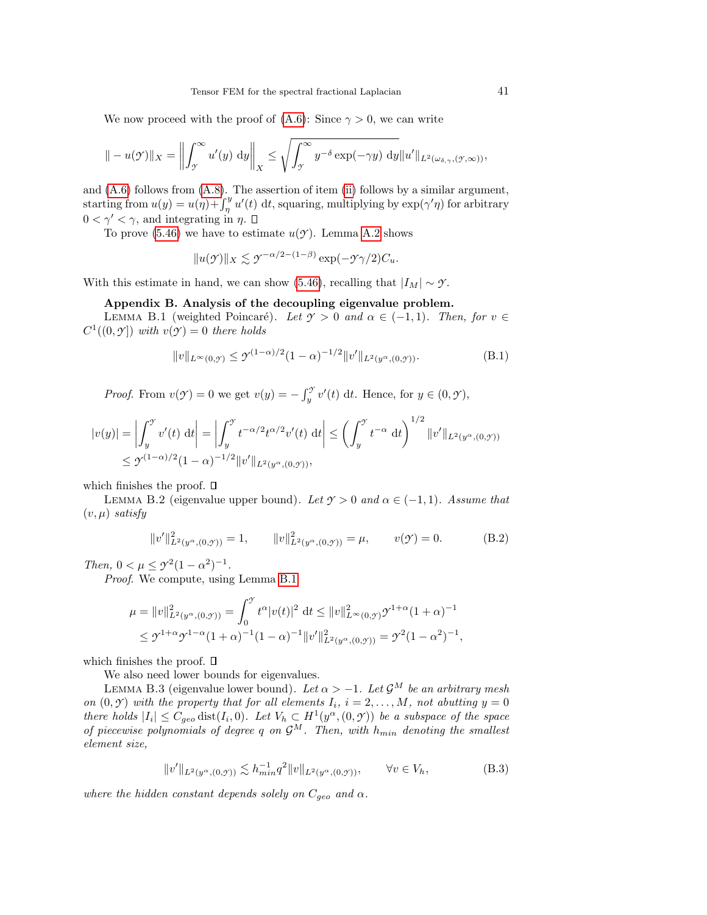We now proceed with the proof of  $(A.6)$ : Since  $\gamma > 0$ , we can write

$$
\| -u(\mathcal{Y})\|_X = \left\| \int_{\mathcal{Y}}^{\infty} u'(y) \, dy \right\|_X \le \sqrt{\int_{\mathcal{Y}}^{\infty} y^{-\delta} \exp(-\gamma y) \, dy} \|u'\|_{L^2(\omega_{\delta,\gamma},(\mathcal{Y},\infty))},
$$

and [\(A.6\)](#page-39-5) follows from [\(A.8\)](#page-39-6). The assertion of item [\(ii\)](#page-39-2) follows by a similar argument, starting from  $u(y) = u(\eta) + \int_{\eta}^{y} u'(t) dt$ , squaring, multiplying by  $\exp(\gamma' \eta)$  for arbitrary  $0 < \gamma' < \gamma$ , and integrating in  $\eta$ .

To prove  $(5.46)$  we have to estimate  $u(y)$ . Lemma [A.2](#page-39-0) shows

<span id="page-40-0"></span>
$$
||u(\mathcal{Y})||_X \lesssim \mathcal{Y}^{-\alpha/2 - (1-\beta)} \exp(-\mathcal{Y}\gamma/2)C_u.
$$

With this estimate in hand, we can show [\(5.46\)](#page-22-3), recalling that  $|I_M| \sim \gamma$ .

# Appendix B. Analysis of the decoupling eigenvalue problem.

LEMMA B.1 (weighted Poincaré). Let  $\gamma > 0$  and  $\alpha \in (-1, 1)$ . Then, for  $v \in$  $C^1((0, \mathcal{Y}])$  with  $v(\mathcal{Y}) = 0$  there holds

$$
||v||_{L^{\infty}(0,\mathcal{Y})} \leq \mathcal{Y}^{(1-\alpha)/2}(1-\alpha)^{-1/2}||v'||_{L^{2}(y^{\alpha},(0,\mathcal{Y}))}.
$$
 (B.1)

*Proof.* From  $v(\mathcal{Y}) = 0$  we get  $v(y) = -\int_y^{\mathcal{Y}} v'(t) dt$ . Hence, for  $y \in (0, \mathcal{Y})$ ,

$$
|v(y)| = \left| \int_y^y v'(t) dt \right| = \left| \int_y^y t^{-\alpha/2} t^{\alpha/2} v'(t) dt \right| \le \left( \int_y^y t^{-\alpha} dt \right)^{1/2} \|v'\|_{L^2(y^{\alpha},(0,y))}
$$
  
\$\le y^{(1-\alpha)/2} (1-\alpha)^{-1/2} ||v'||\_{L^2(y^{\alpha},(0,y))}\$,

which finishes the proof.  $\square$ 

<span id="page-40-1"></span>LEMMA B.2 (eigenvalue upper bound). Let  $\gamma > 0$  and  $\alpha \in (-1, 1)$ . Assume that  $(v, \mu)$  satisfy

$$
||v'||_{L^{2}(y^{\alpha},(0,\mathcal{Y}))}^{2} = 1, \t ||v||_{L^{2}(y^{\alpha},(0,\mathcal{Y}))}^{2} = \mu, \t v(\mathcal{Y}) = 0.
$$
 (B.2)

Then,  $0 < \mu \leq \gamma^2 (1 - \alpha^2)^{-1}$ .

Proof. We compute, using Lemma [B.1](#page-40-0)

$$
\mu = \|v\|_{L^2(y^{\alpha},(0,\mathcal{Y}))}^2 = \int_0^{\mathcal{Y}} t^{\alpha} |v(t)|^2 dt \le \|v\|_{L^{\infty}(0,\mathcal{Y})}^2 \mathcal{Y}^{1+\alpha} (1+\alpha)^{-1}
$$
  

$$
\le \mathcal{Y}^{1+\alpha} \mathcal{Y}^{1-\alpha} (1+\alpha)^{-1} (1-\alpha)^{-1} \|v'\|_{L^2(y^{\alpha},(0,\mathcal{Y}))}^2 = \mathcal{Y}^2 (1-\alpha^2)^{-1},
$$

which finishes the proof.  $\square$ 

We also need lower bounds for eigenvalues.

<span id="page-40-2"></span>LEMMA B.3 (eigenvalue lower bound). Let  $\alpha > -1$ . Let  $\mathcal{G}^M$  be an arbitrary mesh on  $(0, \mathcal{Y})$  with the property that for all elements  $I_i$ ,  $i = 2, ..., M$ , not abutting  $y = 0$ there holds  $|I_i| \leq C_{geo}$  dist $(I_i, 0)$ . Let  $V_h \subset H^1(y^\alpha, (0, \mathcal{Y}))$  be a subspace of the space of piecewise polynomials of degree q on  $\mathcal{G}^M$ . Then, with  $h_{min}$  denoting the smallest element size,

$$
||v'||_{L^{2}(y^{\alpha},(0,\mathcal{Y}))} \lesssim h_{min}^{-1} q^{2} ||v||_{L^{2}(y^{\alpha},(0,\mathcal{Y}))}, \qquad \forall v \in V_{h},
$$
\n(B.3)

where the hidden constant depends solely on  $C_{geo}$  and  $\alpha$ .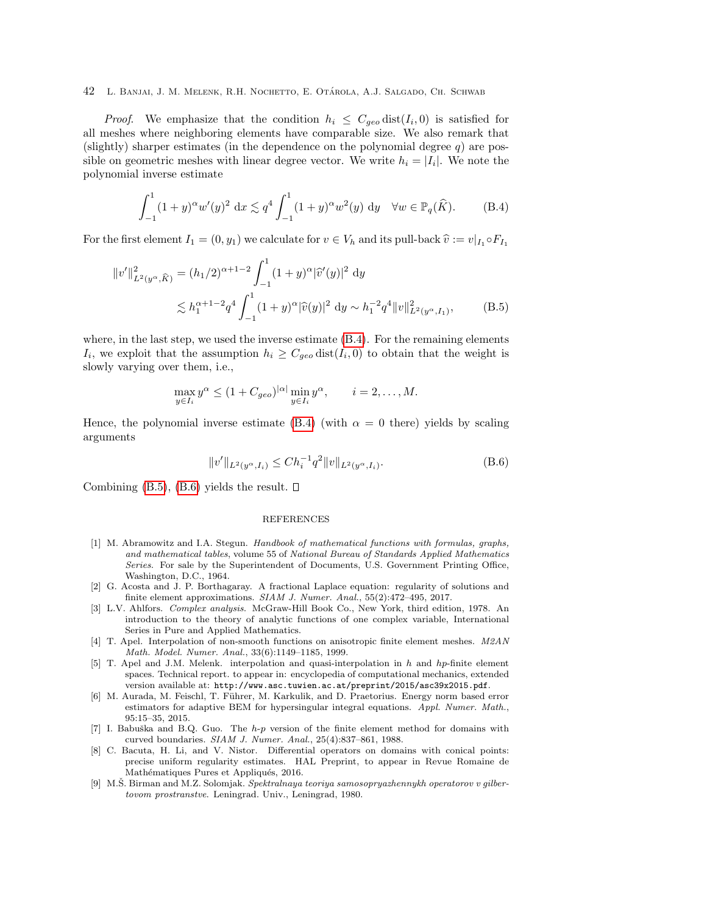*Proof.* We emphasize that the condition  $h_i \leq C_{geo}$  dist $(I_i, 0)$  is satisfied for all meshes where neighboring elements have comparable size. We also remark that (slightly) sharper estimates (in the dependence on the polynomial degree  $q$ ) are possible on geometric meshes with linear degree vector. We write  $h_i = |I_i|$ . We note the polynomial inverse estimate

<span id="page-41-9"></span>
$$
\int_{-1}^{1} (1+y)^{\alpha} w'(y)^2 dx \lesssim q^4 \int_{-1}^{1} (1+y)^{\alpha} w^2(y) dy \quad \forall w \in \mathbb{P}_q(\widehat{K}).
$$
 (B.4)

For the first element  $I_1 = (0, y_1)$  we calculate for  $v \in V_h$  and its pull-back  $\hat{v} := v|_{I_1} \circ F_{I_1}$ 

$$
||v'||_{L^{2}(y^{\alpha}, \widehat{K})}^{2} = (h_{1}/2)^{\alpha+1-2} \int_{-1}^{1} (1+y)^{\alpha} |\widehat{v}'(y)|^{2} dy
$$
  

$$
\lesssim h_{1}^{\alpha+1-2} q^{4} \int_{-1}^{1} (1+y)^{\alpha} |\widehat{v}(y)|^{2} dy \sim h_{1}^{-2} q^{4} ||v||_{L^{2}(y^{\alpha}, I_{1})}^{2}, \qquad (B.5)
$$

where, in the last step, we used the inverse estimate  $(B.4)$ . For the remaining elements  $I_i$ , we exploit that the assumption  $h_i \geq C_{geo}$  dist $(I_i, 0)$  to obtain that the weight is slowly varying over them, i.e.,

$$
\max_{y \in I_i} y^{\alpha} \le (1 + C_{geo})^{|\alpha|} \min_{y \in I_i} y^{\alpha}, \qquad i = 2, \dots, M.
$$

Hence, the polynomial inverse estimate [\(B.4\)](#page-41-9) (with  $\alpha = 0$  there) yields by scaling arguments

<span id="page-41-11"></span>
$$
||v'||_{L^{2}(y^{\alpha},I_{i})} \leq Ch_{i}^{-1}q^{2}||v||_{L^{2}(y^{\alpha},I_{i})}.
$$
\n(B.6)

Combining  $(B.5)$ ,  $(B.6)$  yields the result.  $\square$ 

# <span id="page-41-10"></span>REFERENCES

- <span id="page-41-2"></span>[1] M. Abramowitz and I.A. Stegun. Handbook of mathematical functions with formulas, graphs, and mathematical tables, volume 55 of National Bureau of Standards Applied Mathematics Series. For sale by the Superintendent of Documents, U.S. Government Printing Office, Washington, D.C., 1964.
- <span id="page-41-0"></span>[2] G. Acosta and J. P. Borthagaray. A fractional Laplace equation: regularity of solutions and finite element approximations. SIAM J. Numer. Anal., 55(2):472–495, 2017.
- <span id="page-41-3"></span>[3] L.V. Ahlfors. Complex analysis. McGraw-Hill Book Co., New York, third edition, 1978. An introduction to the theory of analytic functions of one complex variable, International Series in Pure and Applied Mathematics.
- <span id="page-41-8"></span>[4] T. Apel. Interpolation of non-smooth functions on anisotropic finite element meshes. M2AN Math. Model. Numer. Anal., 33(6):1149–1185, 1999.
- <span id="page-41-7"></span>[5] T. Apel and J.M. Melenk. interpolation and quasi-interpolation in h and hp-finite element spaces. Technical report. to appear in: encyclopedia of computational mechanics, extended version available at: http://www.asc.tuwien.ac.at/preprint/2015/asc39x2015.pdf.
- <span id="page-41-5"></span>[6] M. Aurada, M. Feischl, T. Führer, M. Karkulik, and D. Praetorius. Energy norm based error estimators for adaptive BEM for hypersingular integral equations. Appl. Numer. Math., 95:15–35, 2015.
- <span id="page-41-6"></span>[7] I. Babuška and B.Q. Guo. The  $h-p$  version of the finite element method for domains with curved boundaries. SIAM J. Numer. Anal., 25(4):837–861, 1988.
- <span id="page-41-4"></span>[8] C. Bacuta, H. Li, and V. Nistor. Differential operators on domains with conical points: precise uniform regularity estimates. HAL Preprint, to appear in Revue Romaine de Mathématiques Pures et Appliqués, 2016.
- <span id="page-41-1"></span>[9] M.S. Birman and M.Z. Solomjak. Spektralnaya teoriya samosopryazhennykh operatorov v gilbertovom prostranstve. Leningrad. Univ., Leningrad, 1980.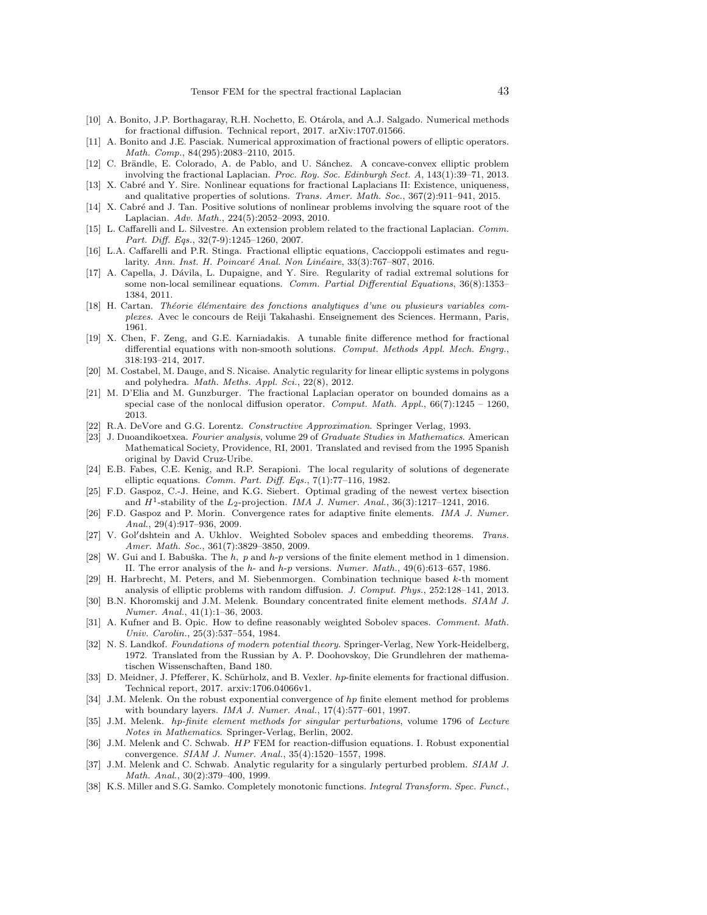- <span id="page-42-8"></span>[10] A. Bonito, J.P. Borthagaray, R.H. Nochetto, E. Otárola, and A.J. Salgado. Numerical methods for fractional diffusion. Technical report, 2017. arXiv:1707.01566.
- <span id="page-42-6"></span>[11] A. Bonito and J.E. Pasciak. Numerical approximation of fractional powers of elliptic operators. Math. Comp., 84(295):2083–2110, 2015.
- <span id="page-42-9"></span>[12] C. Brändle, E. Colorado, A. de Pablo, and U. Sánchez. A concave-convex elliptic problem involving the fractional Laplacian. Proc. Roy. Soc. Edinburgh Sect. A, 143(1):39–71, 2013.
- <span id="page-42-0"></span>[13] X. Cabré and Y. Sire. Nonlinear equations for fractional Laplacians II: Existence, uniqueness, and qualitative properties of solutions. Trans. Amer. Math. Soc., 367(2):911–941, 2015.
- <span id="page-42-1"></span>[14] X. Cabré and J. Tan. Positive solutions of nonlinear problems involving the square root of the Laplacian. Adv. Math., 224(5):2052–2093, 2010.
- <span id="page-42-2"></span>[15] L. Caffarelli and L. Silvestre. An extension problem related to the fractional Laplacian. Comm. Part. Diff. Eqs., 32(7-9):1245–1260, 2007.
- <span id="page-42-25"></span>[16] L.A. Caffarelli and P.R. Stinga. Fractional elliptic equations, Caccioppoli estimates and regularity. Ann. Inst. H. Poincaré Anal. Non Linéaire, 33(3):767–807, 2016.
- <span id="page-42-3"></span>[17] A. Capella, J. Dávila, L. Dupaigne, and Y. Sire. Regularity of radial extremal solutions for some non-local semilinear equations. Comm. Partial Differential Equations, 36(8):1353– 1384, 2011.
- <span id="page-42-15"></span>[18] H. Cartan. Théorie élémentaire des fonctions analytiques d'une ou plusieurs variables complexes. Avec le concours de Reiji Takahashi. Enseignement des Sciences. Hermann, Paris, 1961.
- <span id="page-42-27"></span>[19] X. Chen, F. Zeng, and G.E. Karniadakis. A tunable finite difference method for fractional differential equations with non-smooth solutions. Comput. Methods Appl. Mech. Engrg., 318:193–214, 2017.
- <span id="page-42-26"></span>[20] M. Costabel, M. Dauge, and S. Nicaise. Analytic regularity for linear elliptic systems in polygons and polyhedra. Math. Meths. Appl. Sci., 22(8), 2012.
- <span id="page-42-7"></span>[21] M. D'Elia and M. Gunzburger. The fractional Laplacian operator on bounded domains as a special case of the nonlocal diffusion operator. Comput. Math. Appl.,  $66(7):1245 - 1260$ , 2013.
- <span id="page-42-28"></span>[22] R.A. DeVore and G.G. Lorentz. Constructive Approximation. Springer Verlag, 1993.
- <span id="page-42-10"></span>[23] J. Duoandikoetxea. Fourier analysis, volume 29 of Graduate Studies in Mathematics. American Mathematical Society, Providence, RI, 2001. Translated and revised from the 1995 Spanish original by David Cruz-Uribe.
- <span id="page-42-11"></span>[24] E.B. Fabes, C.E. Kenig, and R.P. Serapioni. The local regularity of solutions of degenerate elliptic equations. Comm. Part. Diff. Eqs., 7(1):77–116, 1982.
- <span id="page-42-16"></span>[25] F.D. Gaspoz, C.-J. Heine, and K.G. Siebert. Optimal grading of the newest vertex bisection and  $H^1$ -stability of the  $L_2$ -projection. IMA J. Numer. Anal., 36(3):1217-1241, 2016.
- <span id="page-42-17"></span>[26] F.D. Gaspoz and P. Morin. Convergence rates for adaptive finite elements. IMA J. Numer. Anal., 29(4):917–936, 2009.
- <span id="page-42-12"></span>[27] V. Gol'dshtein and A. Ukhlov. Weighted Sobolev spaces and embedding theorems. Trans. Amer. Math. Soc., 361(7):3829–3850, 2009.
- <span id="page-42-20"></span>[28] W. Gui and I. Babuška. The  $h$ ,  $p$  and  $h$ - $p$  versions of the finite element method in 1 dimension. II. The error analysis of the h- and h-p versions. Numer. Math., 49(6):613–657, 1986.
- <span id="page-42-18"></span>[29] H. Harbrecht, M. Peters, and M. Siebenmorgen. Combination technique based k-th moment analysis of elliptic problems with random diffusion. J. Comput. Phys., 252:128–141, 2013.
- <span id="page-42-19"></span>[30] B.N. Khoromskij and J.M. Melenk. Boundary concentrated finite element methods. SIAM J. Numer. Anal., 41(1):1–36, 2003.
- <span id="page-42-13"></span>[31] A. Kufner and B. Opic. How to define reasonably weighted Sobolev spaces. Comment. Math. Univ. Carolin., 25(3):537–554, 1984.
- <span id="page-42-4"></span>[32] N. S. Landkof. Foundations of modern potential theory. Springer-Verlag, New York-Heidelberg, 1972. Translated from the Russian by A. P. Doohovskoy, Die Grundlehren der mathematischen Wissenschaften, Band 180.
- <span id="page-42-5"></span>[33] D. Meidner, J. Pfefferer, K. Schürholz, and B. Vexler. hp-finite elements for fractional diffusion. Technical report, 2017. arxiv:1706.04066v1.
- <span id="page-42-21"></span>[34] J.M. Melenk. On the robust exponential convergence of hp finite element method for problems with boundary layers. IMA J. Numer. Anal., 17(4):577–601, 1997.
- <span id="page-42-23"></span>[35] J.M. Melenk. hp-finite element methods for singular perturbations, volume 1796 of Lecture Notes in Mathematics. Springer-Verlag, Berlin, 2002.
- <span id="page-42-22"></span>[36] J.M. Melenk and C. Schwab. HP FEM for reaction-diffusion equations. I. Robust exponential convergence. SIAM J. Numer. Anal., 35(4):1520–1557, 1998.
- <span id="page-42-24"></span>[37] J.M. Melenk and C. Schwab. Analytic regularity for a singularly perturbed problem. SIAM J. Math. Anal., 30(2):379–400, 1999.
- <span id="page-42-14"></span>[38] K.S. Miller and S.G. Samko. Completely monotonic functions. Integral Transform. Spec. Funct.,